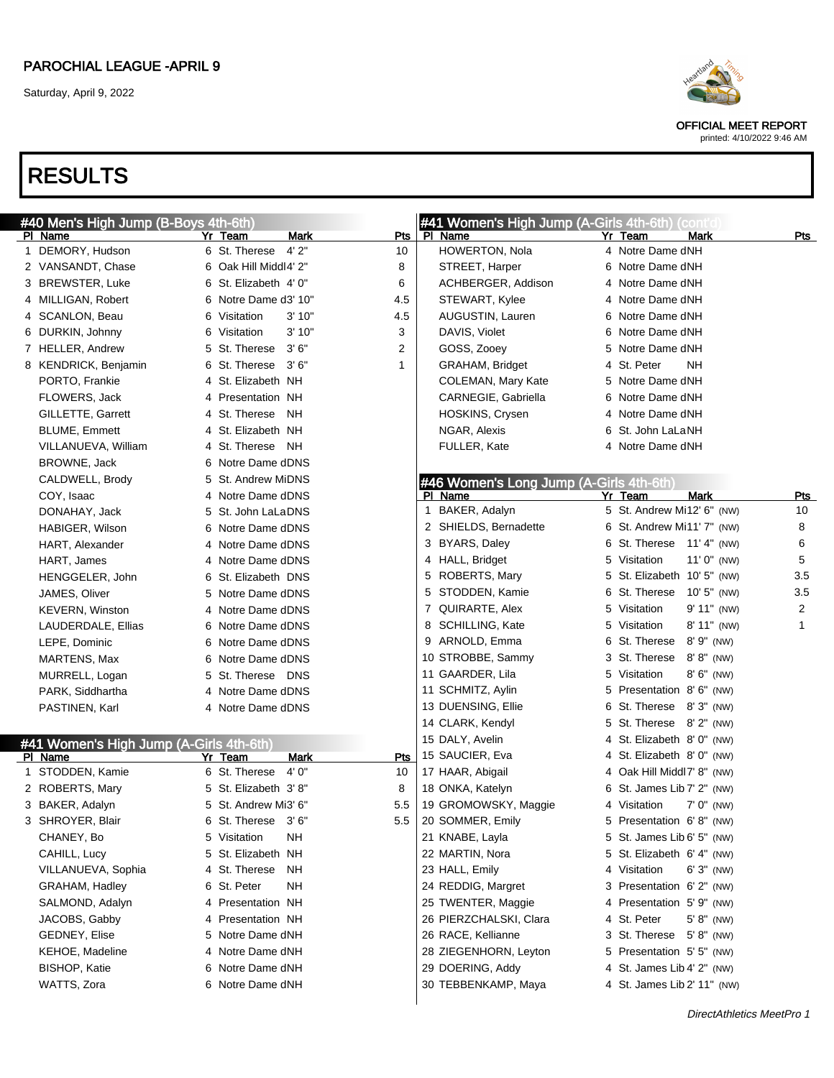

OFFICIAL MEET REPORT

printed: 4/10/2022 9:46 AM

| #40 Men's High Jump (B-Boys 4th-6th)    |              |                            |                    | #41 Women's High Jump (A-Girls 4th-6th) (cont'd |   |                             |                |                |
|-----------------------------------------|--------------|----------------------------|--------------------|-------------------------------------------------|---|-----------------------------|----------------|----------------|
| PI Name                                 | Yr Team      |                            | Mark<br><b>Pts</b> | PI Name                                         |   | Yr Team                     | <b>Mark</b>    | <u>Pts</u>     |
| 1 DEMORY, Hudson                        |              | 4'2"<br>6 St. Therese      | 10                 | HOWERTON, Nola                                  |   | 4 Notre Dame dNH            |                |                |
| 2 VANSANDT, Chase                       |              | 6 Oak Hill Middl4' 2"      | 8                  | STREET, Harper                                  | 6 | Notre Dame dNH              |                |                |
| 3 BREWSTER, Luke                        |              | 6 St. Elizabeth 4' 0"      | 6                  | ACHBERGER, Addison                              | 4 | Notre Dame dNH              |                |                |
| 4 MILLIGAN, Robert                      |              | 6 Notre Dame d3' 10"       | 4.5                | STEWART, Kylee                                  | 4 | Notre Dame dNH              |                |                |
| 4 SCANLON, Beau                         | 6 Visitation |                            | 3'10"<br>4.5       | AUGUSTIN, Lauren                                | 6 | Notre Dame dNH              |                |                |
| 6 DURKIN, Johnny                        | 6 Visitation |                            | 3<br>3'10"         | DAVIS, Violet                                   | 6 | Notre Dame dNH              |                |                |
| 7 HELLER, Andrew                        |              | 5 St. Therese 3'6"         | 2                  | GOSS, Zooey                                     | 5 | Notre Dame dNH              |                |                |
| 8 KENDRICK, Benjamin                    |              | 6 St. Therese<br>3'6''     | 1                  | GRAHAM, Bridget                                 | 4 | St. Peter<br>NΗ             |                |                |
| PORTO, Frankie                          |              | 4 St. Elizabeth NH         |                    | COLEMAN, Mary Kate                              | 5 | Notre Dame dNH              |                |                |
| FLOWERS, Jack                           |              | 4 Presentation NH          |                    | CARNEGIE, Gabriella                             | 6 | Notre Dame dNH              |                |                |
| GILLETTE, Garrett                       |              | 4 St. Therese<br>NH        |                    | HOSKINS, Crysen                                 | 4 | Notre Dame dNH              |                |                |
| <b>BLUME, Emmett</b>                    |              | 4 St. Elizabeth NH         |                    | NGAR, Alexis                                    | 6 | St. John LaLaNH             |                |                |
| VILLANUEVA, William                     |              | 4 St. Therese<br>NH        |                    | FULLER, Kate                                    | 4 | Notre Dame dNH              |                |                |
| BROWNE, Jack                            |              | 6 Notre Dame dDNS          |                    |                                                 |   |                             |                |                |
| CALDWELL, Brody                         |              | 5 St. Andrew MiDNS         |                    | #46 Women's Long Jump (A-Girls 4th-6th)         |   |                             |                |                |
| COY, Isaac                              |              | 4 Notre Dame dDNS          |                    | PI Name                                         |   | Yr Team                     | <b>Mark</b>    | <b>Pts</b>     |
| DONAHAY, Jack                           |              | 5 St. John LaLaDNS         |                    | BAKER, Adalyn<br>1                              |   | 5 St. Andrew Mi12' 6" (NW)  |                | 10             |
| HABIGER, Wilson                         |              | 6 Notre Dame dDNS          |                    | 2 SHIELDS, Bernadette                           |   | 6 St. Andrew Mi11' 7" (NW)  |                | 8              |
| HART, Alexander                         |              | 4 Notre Dame dDNS          |                    | 3 BYARS, Daley                                  |   | 6 St. Therese 11' 4" (NW)   |                | 6              |
| HART, James                             |              | 4 Notre Dame dDNS          |                    | 4 HALL, Bridget                                 |   | 5 Visitation                | $11'0''$ (NW)  | 5              |
| HENGGELER, John                         |              | 6 St. Elizabeth DNS        |                    | 5 ROBERTS, Mary                                 |   | 5 St. Elizabeth 10' 5" (NW) |                | 3.5            |
| JAMES, Oliver                           |              | 5 Notre Dame dDNS          |                    | 5 STODDEN, Kamie                                |   | 6 St. Therese               | $10'5''$ (NW)  | 3.5            |
| <b>KEVERN, Winston</b>                  |              | 4 Notre Dame dDNS          |                    | 7 QUIRARTE, Alex                                |   | 5 Visitation                | $9' 11''$ (NW) | $\overline{2}$ |
| LAUDERDALE, Ellias                      |              | 6 Notre Dame dDNS          |                    | 8 SCHILLING, Kate                               |   | 5 Visitation                | 8' 11" (NW)    | $\mathbf{1}$   |
| LEPE, Dominic                           |              | 6 Notre Dame dDNS          |                    | 9 ARNOLD, Emma                                  | 6 | St. Therese                 | $8'9''$ (NW)   |                |
| MARTENS, Max                            |              | 6 Notre Dame dDNS          |                    | 10 STROBBE, Sammy                               |   | 3 St. Therese               | $8' 8''$ (NW)  |                |
| MURRELL, Logan                          |              | 5 St. Therese DNS          |                    | 11 GAARDER, Lila                                |   | 5 Visitation                | $8' 6''$ (NW)  |                |
| PARK, Siddhartha                        |              | 4 Notre Dame dDNS          |                    | 11 SCHMITZ, Aylin                               | 5 | Presentation 8'6" (NW)      |                |                |
| PASTINEN, Karl                          |              | 4 Notre Dame dDNS          |                    | 13 DUENSING, Ellie                              | 6 | St. Therese 8'3" (NW)       |                |                |
|                                         |              |                            |                    | 14 CLARK, Kendyl                                |   | 5 St. Therese 8' 2" (NW)    |                |                |
| #41 Women's High Jump (A-Girls 4th-6th) |              |                            |                    | 15 DALY, Avelin                                 |   | 4 St. Elizabeth 8'0" (NW)   |                |                |
| PI Name                                 | Yr Team      |                            | <b>Mark</b><br>Pts | 15 SAUCIER, Eva                                 |   | 4 St. Elizabeth 8'0" (NW)   |                |                |
| 1 STODDEN, Kamie                        |              | 4'0''<br>6 St. Therese     | 10                 | 17 HAAR, Abigail                                |   | 4 Oak Hill Middl7' 8" (NW)  |                |                |
| 2 ROBERTS, Mary                         |              | 5 St. Elizabeth 3'8"       | 8                  | 18 ONKA, Katelyn                                |   | 6 St. James Lib 7' 2" (NW)  |                |                |
| 3 BAKER, Adalyn                         |              | 5 St. Andrew Mi3' 6"       | 5.5                | 19 GROMOWSKY, Maggie                            |   | 4 Visitation                | $7' 0''$ (NW)  |                |
| 3 SHROYER, Blair                        |              | 6 St. Therese 3'6"         | 5.5                | 20 SOMMER, Emily                                |   | 5 Presentation 6'8" (NW)    |                |                |
| CHANEY, Bo                              | 5 Visitation | ΝH                         |                    | 21 KNABE, Layla                                 |   | 5 St. James Lib 6' 5" (NW)  |                |                |
| CAHILL, Lucy                            |              | 5 St. Elizabeth NH         |                    | 22 MARTIN, Nora                                 |   | 5 St. Elizabeth 6' 4" (NW)  |                |                |
| VILLANUEVA, Sophia                      |              | 4 St. Therese<br><b>NH</b> |                    | 23 HALL, Emily                                  |   | 4 Visitation                | $6'3''$ (NW)   |                |
| GRAHAM, Hadley                          | 6 St. Peter  | ΝH                         |                    | 24 REDDIG, Margret                              |   | 3 Presentation 6'2" (NW)    |                |                |
| SALMOND, Adalyn                         |              | 4 Presentation NH          |                    | 25 TWENTER, Maggie                              |   | 4 Presentation 5' 9" (NW)   |                |                |
| JACOBS, Gabby                           |              | 4 Presentation NH          |                    | 26 PIERZCHALSKI, Clara                          |   | 4 St. Peter                 | $5' 8''$ (NW)  |                |
| GEDNEY, Elise                           |              | 5 Notre Dame dNH           |                    | 26 RACE, Kellianne                              |   | 3 St. Therese 5'8" (NW)     |                |                |
| KEHOE, Madeline                         |              | 4 Notre Dame dNH           |                    | 28 ZIEGENHORN, Leyton                           |   | 5 Presentation 5' 5" (NW)   |                |                |
| <b>BISHOP, Katie</b>                    |              | 6 Notre Dame dNH           |                    | 29 DOERING, Addy                                |   | 4 St. James Lib 4' 2" (NW)  |                |                |
| WATTS, Zora                             |              | 6 Notre Dame dNH           |                    | 30 TEBBENKAMP, Maya                             |   | 4 St. James Lib 2' 11" (NW) |                |                |
|                                         |              |                            |                    |                                                 |   |                             |                |                |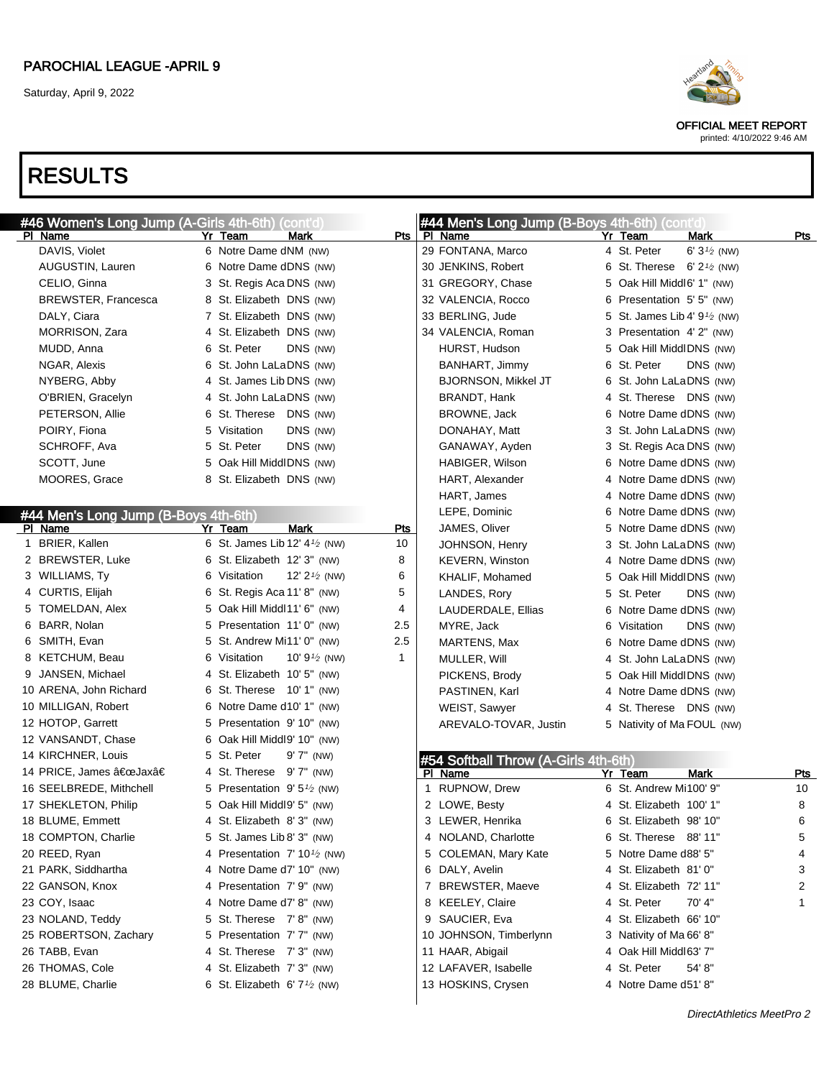

OFFICIAL MEET REPORT printed: 4/10/2022 9:46 AM

| #46 Women's Long Jump (A-Girls 4th-6th) | (cont'd)                                             |            | #44 Men's Long Jump (B-Boys 4th-6th) (cont'd |                                        |                        |     |
|-----------------------------------------|------------------------------------------------------|------------|----------------------------------------------|----------------------------------------|------------------------|-----|
| PI Name                                 | Yr Team<br>Mark                                      |            | Pts   PI Name                                | Yr Team                                | Mark                   | Pts |
| DAVIS, Violet                           | 6 Notre Dame dNM (NW)                                |            | 29 FONTANA, Marco                            | 4 St. Peter                            | 6' $3\frac{1}{2}$ (NW) |     |
| AUGUSTIN, Lauren                        | 6 Notre Dame dDNS (NW)                               |            | 30 JENKINS, Robert                           | 6 St. Therese $6'2'$ (NW)              |                        |     |
| CELIO, Ginna                            | 3 St. Regis Aca DNS (NW)                             |            | 31 GREGORY, Chase                            | 5 Oak Hill Middl6' 1" (NW)             |                        |     |
| <b>BREWSTER, Francesca</b>              | 8 St. Elizabeth DNS (NW)                             |            | 32 VALENCIA, Rocco                           | 6 Presentation 5' 5" (NW)              |                        |     |
| DALY, Ciara                             | 7 St. Elizabeth DNS (NW)                             |            | 33 BERLING, Jude                             | 5 St. James Lib 4' $9\frac{1}{2}$ (NW) |                        |     |
| <b>MORRISON, Zara</b>                   | 4 St. Elizabeth DNS (NW)                             |            | 34 VALENCIA, Roman                           | 3 Presentation 4'2" (NW)               |                        |     |
| MUDD, Anna                              | 6 St. Peter<br>DNS (NW)                              |            | HURST, Hudson                                | 5 Oak Hill MiddlDNS (NW)               |                        |     |
| NGAR, Alexis                            | 6 St. John LaLaDNS (NW)                              |            | BANHART, Jimmy                               | 6 St. Peter                            | DNS (NW)               |     |
| NYBERG, Abby                            | 4 St. James Lib DNS (NW)                             |            | <b>BJORNSON, Mikkel JT</b>                   | 6 St. John LaLaDNS (NW)                |                        |     |
| O'BRIEN, Gracelyn                       | 4 St. John LaLaDNS (NW)                              |            | BRANDT, Hank                                 | 4 St. Therese DNS (NW)                 |                        |     |
| PETERSON, Allie                         | 6 St. Therese DNS (NW)                               |            | BROWNE, Jack                                 | 6 Notre Dame dDNS (NW)                 |                        |     |
| POIRY, Fiona                            | DNS (NW)<br>5 Visitation                             |            | DONAHAY, Matt                                | 3 St. John LaLaDNS (NW)                |                        |     |
| SCHROFF, Ava                            | 5 St. Peter<br>DNS (NW)                              |            | GANAWAY, Ayden                               | 3 St. Regis Aca DNS (NW)               |                        |     |
| SCOTT, June                             | 5 Oak Hill MiddlDNS (NW)                             |            | HABIGER, Wilson                              | 6 Notre Dame dDNS (NW)                 |                        |     |
| MOORES, Grace                           | 8 St. Elizabeth DNS (NW)                             |            | HART, Alexander                              | 4 Notre Dame dDNS (NW)                 |                        |     |
|                                         |                                                      |            | HART, James                                  | 4 Notre Dame dDNS (NW)                 |                        |     |
| #44 Men's Long Jump (B-Boys 4th-6th)    |                                                      |            | LEPE, Dominic                                | 6 Notre Dame dDNS (NW)                 |                        |     |
| PI Name                                 | Yr Team<br>Mark                                      | <b>Pts</b> | JAMES, Oliver                                | 5 Notre Dame dDNS (NW)                 |                        |     |
| 1 BRIER, Kallen                         | 6 St. James Lib 12' $4\frac{1}{2}$ (NW)              | 10         | JOHNSON, Henry                               | 3 St. John LaLaDNS (NW)                |                        |     |
| 2 BREWSTER, Luke                        | 6 St. Elizabeth 12' 3" (NW)                          | 8          | <b>KEVERN, Winston</b>                       | 4 Notre Dame dDNS (NW)                 |                        |     |
| 3 WILLIAMS, Ty                          | 6 Visitation<br>12' $2\frac{1}{2}$ (NW)              | 6          | KHALIF, Mohamed                              | 5 Oak Hill MiddlDNS (NW)               |                        |     |
| 4 CURTIS, Elijah                        | 6 St. Regis Aca 11' 8" (NW)                          | 5          | LANDES, Rory                                 | 5 St. Peter                            | DNS (NW)               |     |
| 5 TOMELDAN, Alex                        | 5 Oak Hill Middl11' 6" (NW)                          | 4          | LAUDERDALE, Ellias                           | 6 Notre Dame dDNS (NW)                 |                        |     |
| 6 BARR, Nolan                           | 5 Presentation 11'0" (NW)                            | 2.5        | MYRE, Jack                                   | 6 Visitation                           | DNS (NW)               |     |
| 6 SMITH, Evan                           | 5 St. Andrew Mi11' 0" (NW)                           | 2.5        | MARTENS, Max                                 | 6 Notre Dame dDNS (NW)                 |                        |     |
| 8 KETCHUM, Beau                         | 6 Visitation<br>10' $9\frac{1}{2}$ (NW)              | 1          | MULLER, Will                                 | 4 St. John LaLaDNS (NW)                |                        |     |
| 9 JANSEN, Michael                       | 4 St. Elizabeth 10' 5" (NW)                          |            | PICKENS, Brody                               | 5 Oak Hill MiddlDNS (NW)               |                        |     |
| 10 ARENA, John Richard                  | 6 St. Therese 10' 1" (NW)                            |            | PASTINEN, Karl                               | 4 Notre Dame dDNS (NW)                 |                        |     |
| 10 MILLIGAN, Robert                     | 6 Notre Dame d10' 1" (NW)                            |            | WEIST, Sawyer                                | 4 St. Therese DNS (NW)                 |                        |     |
| 12 HOTOP, Garrett                       | 5 Presentation 9'10" (NW)                            |            | AREVALO-TOVAR, Justin                        | 5 Nativity of Ma FOUL (NW)             |                        |     |
| 12 VANSANDT, Chase                      | 6 Oak Hill Middl9' 10" (NW)                          |            |                                              |                                        |                        |     |
| 14 KIRCHNER, Louis                      | 5 St. Peter<br>$9'7''$ (NW)                          |            | #54 Softball Throw (A-Girls 4th-6th)         |                                        |                        |     |
| 14 PRICE, James "Jaxâ€                  | 4 St. Therese 9'7" (NW)                              |            | PI Name                                      | Yr Team                                | <b>Mark</b>            | Pts |
| 16 SEELBREDE, Mithchell                 | 5 Presentation 9' 5 <sup>1</sup> / <sub>2</sub> (NW) |            | 1 RUPNOW, Drew                               | 6 St. Andrew Mi100' 9"                 |                        | 10  |
| 17 SHEKLETON, Philip                    | 5 Oak Hill Middl9' 5" (NW)                           |            | 2 LOWE, Besty                                | 4 St. Elizabeth 100' 1"                |                        | 8   |
| 18 BLUME, Emmett                        | 4 St. Elizabeth 8'3" (NW)                            |            | 3 LEWER, Henrika                             | 6 St. Elizabeth 98' 10"                |                        | 6   |
| 18 COMPTON, Charlie                     | 5 St. James Lib 8' 3" (NW)                           |            | 4 NOLAND, Charlotte                          | 6 St. Therese 88' 11"                  |                        | 5   |
| 20 REED, Ryan                           | 4 Presentation $7' 10^{1/2}$ (NW)                    |            | 5 COLEMAN, Mary Kate                         | 5 Notre Dame d88' 5"                   |                        | 4   |
| 21 PARK, Siddhartha                     | 4 Notre Dame d7' 10" (NW)                            |            | 6 DALY, Avelin                               | 4 St. Elizabeth 81' 0"                 |                        | 3   |
| 22 GANSON, Knox                         | 4 Presentation 7'9" (NW)                             |            | 7 BREWSTER, Maeve                            | 4 St. Elizabeth 72' 11"                |                        | 2   |
| 23 COY, Isaac                           | 4 Notre Dame d7' 8" (NW)                             |            | 8 KEELEY, Claire                             | 4 St. Peter                            | 70' 4"                 | 1   |
| 23 NOLAND, Teddy                        | 5 St. Therese 7'8" (NW)                              |            | 9 SAUCIER, Eva                               | 4 St. Elizabeth 66' 10"                |                        |     |
| 25 ROBERTSON, Zachary                   | 5 Presentation 7' 7" (NW)                            |            |                                              | 3 Nativity of Ma 66' 8"                |                        |     |
|                                         |                                                      |            | 10 JOHNSON, Timberlynn                       |                                        |                        |     |
| 26 TABB, Evan                           | 4 St. Therese 7' 3" (NW)                             |            | 11 HAAR, Abigail                             | 4 Oak Hill Middl63' 7"                 |                        |     |
| 26 THOMAS, Cole                         | 4 St. Elizabeth 7' 3" (NW)                           |            | 12 LAFAVER, Isabelle                         | 4 St. Peter                            | 54' 8"                 |     |
| 28 BLUME, Charlie                       | 6 St. Elizabeth 6' $7\frac{1}{2}$ (NW)               |            | 13 HOSKINS, Crysen                           | 4 Notre Dame d51' 8"                   |                        |     |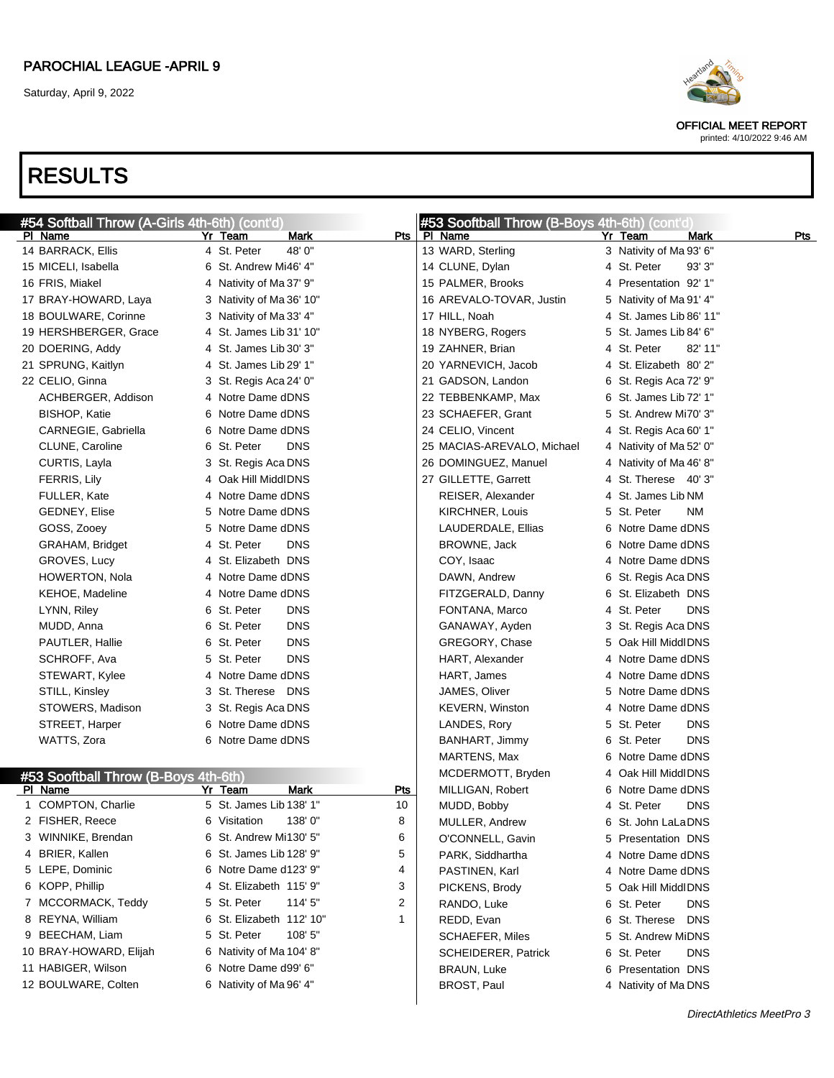

OFFICIAL MEET REPORT

#### printed: 4/10/2022 9:46 AM

| #54 Softball Throw (A-Girls 4th-6th) (cont'd) |                           |             | #53 Sooftball Throw (B-Boys 4th-6th) (cont'd) |                             |     |
|-----------------------------------------------|---------------------------|-------------|-----------------------------------------------|-----------------------------|-----|
| PI Name                                       | <b>Mark</b><br>Yr Team    | Pts         | PI Name                                       | Yr Team<br>Mark             | Pts |
| 14 BARRACK, Ellis                             | 4 St. Peter<br>48'0"      |             | 13 WARD, Sterling                             | 3 Nativity of Ma 93' 6"     |     |
| 15 MICELI, Isabella                           | 6 St. Andrew Mi46' 4"     |             | 14 CLUNE, Dylan                               | 4 St. Peter<br>93'3''       |     |
| 16 FRIS, Miakel                               | 4 Nativity of Ma 37' 9"   |             | 15 PALMER, Brooks                             | 4 Presentation 92' 1"       |     |
| 17 BRAY-HOWARD, Laya                          | 3 Nativity of Ma 36' 10"  |             | 16 AREVALO-TOVAR, Justin                      | 5 Nativity of Ma 91' 4"     |     |
| 18 BOULWARE, Corinne                          | 3 Nativity of Ma 33' 4"   |             | 17 HILL, Noah                                 | 4 St. James Lib 86' 11"     |     |
| 19 HERSHBERGER, Grace                         | 4 St. James Lib 31' 10"   |             | 18 NYBERG, Rogers                             | 5 St. James Lib 84' 6"      |     |
| 20 DOERING, Addy                              | 4 St. James Lib 30' 3"    |             | 19 ZAHNER, Brian                              | 4 St. Peter<br>82' 11"      |     |
| 21 SPRUNG, Kaitlyn                            | 4 St. James Lib 29' 1"    |             | 20 YARNEVICH, Jacob                           | 4 St. Elizabeth 80' 2"      |     |
| 22 CELIO, Ginna                               | 3 St. Regis Aca 24' 0"    |             | 21 GADSON, Landon                             | 6 St. Regis Aca 72' 9"      |     |
| ACHBERGER, Addison                            | 4 Notre Dame dDNS         |             | 22 TEBBENKAMP, Max                            | 6 St. James Lib 72' 1"      |     |
| BISHOP, Katie                                 | 6 Notre Dame dDNS         |             | 23 SCHAEFER, Grant                            | 5 St. Andrew Mi70' 3"       |     |
| CARNEGIE, Gabriella                           | 6 Notre Dame dDNS         |             | 24 CELIO, Vincent                             | 4 St. Regis Aca 60' 1"      |     |
| CLUNE, Caroline                               | 6 St. Peter<br><b>DNS</b> |             | 25 MACIAS-AREVALO, Michael                    | 4 Nativity of Ma 52' 0"     |     |
| CURTIS, Layla                                 | 3 St. Regis Aca DNS       |             | 26 DOMINGUEZ, Manuel                          | 4 Nativity of Ma 46' 8"     |     |
| FERRIS, Lily                                  | 4 Oak Hill MiddlDNS       |             | 27 GILLETTE, Garrett                          | 4 St. Therese 40' 3"        |     |
| FULLER, Kate                                  | 4 Notre Dame dDNS         |             | REISER, Alexander                             | 4 St. James Lib NM          |     |
| <b>GEDNEY, Elise</b>                          | 5 Notre Dame dDNS         |             | KIRCHNER, Louis                               | 5 St. Peter<br>NM.          |     |
| GOSS, Zooey                                   | 5 Notre Dame dDNS         |             | LAUDERDALE, Ellias                            | 6 Notre Dame dDNS           |     |
| GRAHAM, Bridget                               | 4 St. Peter<br><b>DNS</b> |             | BROWNE, Jack                                  | 6 Notre Dame dDNS           |     |
| GROVES, Lucy                                  | 4 St. Elizabeth DNS       |             | COY, Isaac                                    | 4 Notre Dame dDNS           |     |
| <b>HOWERTON, Nola</b>                         | 4 Notre Dame dDNS         |             | DAWN, Andrew                                  | 6 St. Regis Aca DNS         |     |
| KEHOE, Madeline                               | 4 Notre Dame dDNS         |             | FITZGERALD, Danny                             | 6 St. Elizabeth DNS         |     |
| LYNN, Riley                                   | 6 St. Peter<br><b>DNS</b> |             | FONTANA, Marco                                | 4 St. Peter<br><b>DNS</b>   |     |
| MUDD, Anna                                    | <b>DNS</b><br>6 St. Peter |             | GANAWAY, Ayden                                | 3 St. Regis Aca DNS         |     |
| PAUTLER, Hallie                               | <b>DNS</b><br>6 St. Peter |             | GREGORY, Chase                                | 5 Oak Hill MiddlDNS         |     |
| SCHROFF, Ava                                  | 5 St. Peter<br><b>DNS</b> |             | HART, Alexander                               | 4 Notre Dame dDNS           |     |
| STEWART, Kylee                                | 4 Notre Dame dDNS         |             | HART, James                                   | 4 Notre Dame dDNS           |     |
| STILL, Kinsley                                | 3 St. Therese DNS         |             | JAMES, Oliver                                 | 5 Notre Dame dDNS           |     |
| STOWERS, Madison                              | 3 St. Regis Aca DNS       |             | <b>KEVERN, Winston</b>                        | 4 Notre Dame dDNS           |     |
| STREET, Harper                                | 6 Notre Dame dDNS         |             | LANDES, Rory                                  | 5 St. Peter<br><b>DNS</b>   |     |
| WATTS, Zora                                   | 6 Notre Dame dDNS         |             | BANHART, Jimmy                                | 6 St. Peter<br><b>DNS</b>   |     |
|                                               |                           |             | MARTENS, Max                                  | 6 Notre Dame dDNS           |     |
| #53 Sooftball Throw (B-Boys 4th-6th)          |                           |             | MCDERMOTT, Bryden                             | 4 Oak Hill MiddlDNS         |     |
| PI Name                                       | Yr Team<br>Mark           | <u>Pts</u>  | MILLIGAN, Robert                              | 6 Notre Dame dDNS           |     |
| 1 COMPTON, Charlie                            | 5 St. James Lib 138' 1"   | 10          | MUDD, Bobby                                   | 4 St. Peter<br><b>DNS</b>   |     |
| 2 FISHER, Reece                               | 138'0"<br>6 Visitation    | 8           | MULLER, Andrew                                | 6 St. John LaLaDNS          |     |
| 3 WINNIKE, Brendan                            | 6 St. Andrew Mi130' 5"    | 6           | O'CONNELL, Gavin                              | 5 Presentation DNS          |     |
| 4 BRIER, Kallen                               | 6 St. James Lib 128' 9"   | 5           | PARK, Siddhartha                              | 4 Notre Dame dDNS           |     |
| 5 LEPE, Dominic                               | 6 Notre Dame d123' 9"     | 4           | PASTINEN, Karl                                | 4 Notre Dame dDNS           |     |
| 6 KOPP, Phillip                               | 4 St. Elizabeth 115' 9"   | 3           | PICKENS, Brody                                | 5 Oak Hill MiddlDNS         |     |
| 7 MCCORMACK, Teddy                            | 5 St. Peter<br>114' 5"    | 2           | RANDO, Luke                                   | 6 St. Peter<br><b>DNS</b>   |     |
| 8 REYNA, William                              | 6 St. Elizabeth 112' 10"  | $\mathbf 1$ | REDD, Evan                                    | 6 St. Therese<br><b>DNS</b> |     |
| 9 BEECHAM, Liam                               | 5 St. Peter<br>108' 5"    |             | <b>SCHAEFER, Miles</b>                        | 5 St. Andrew MiDNS          |     |
| 10 BRAY-HOWARD, Elijah                        | 6 Nativity of Ma 104' 8"  |             | <b>SCHEIDERER, Patrick</b>                    | 6 St. Peter<br><b>DNS</b>   |     |
| 11 HABIGER, Wilson                            | 6 Notre Dame d99' 6"      |             | <b>BRAUN, Luke</b>                            | 6 Presentation DNS          |     |
| 12 BOULWARE, Colten                           | 6 Nativity of Ma 96' 4"   |             | BROST, Paul                                   | 4 Nativity of Ma DNS        |     |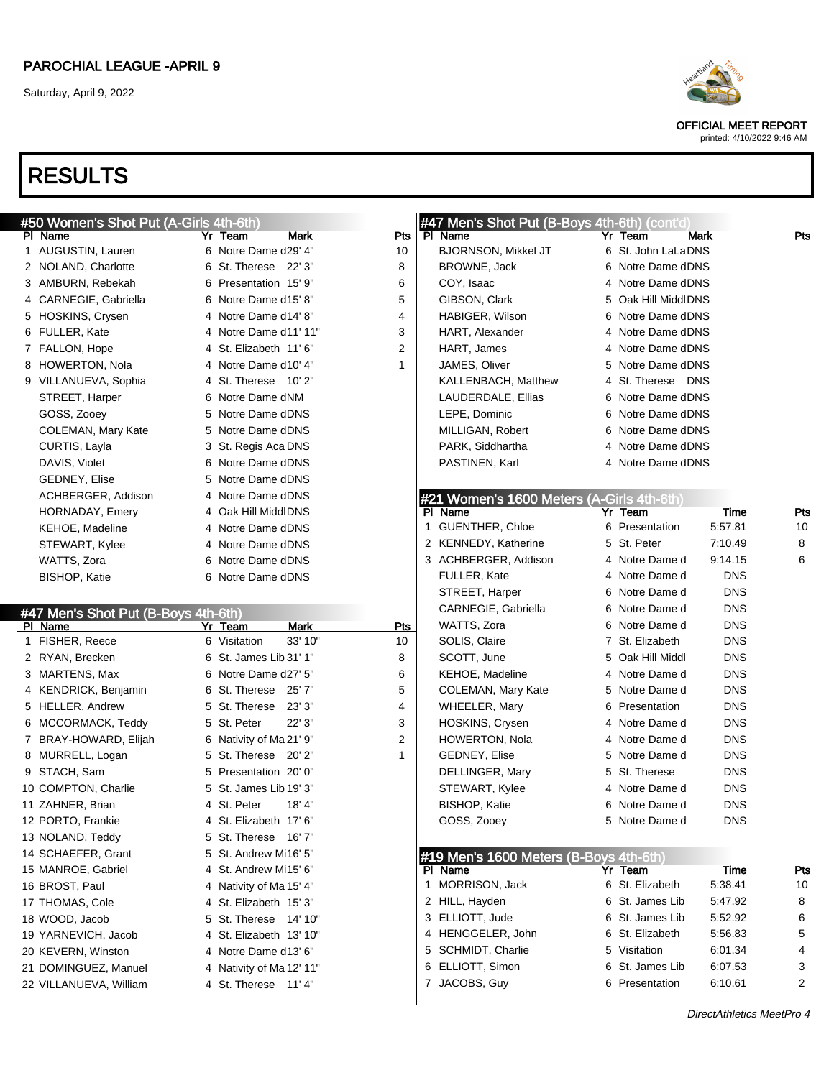

OFFICIAL MEET REPORT

printed: 4/10/2022 9:46 AM

| #50 Women's Shot Put (A-Girls 4th-6th) |                          |              | #47 Men's Shot Put (B-Boys 4th-6th) (cont'd) |   |                     |             |                 |
|----------------------------------------|--------------------------|--------------|----------------------------------------------|---|---------------------|-------------|-----------------|
| PI Name                                | Yr Team<br>Mark          | Pts          | PI Name                                      |   | Yr Team             | Mark        | Pts             |
| 1 AUGUSTIN, Lauren                     | 6 Notre Dame d29' 4"     | 10           | <b>BJORNSON, Mikkel JT</b>                   |   | 6 St. John LaLaDNS  |             |                 |
| 2 NOLAND, Charlotte                    | 6 St. Therese 22' 3"     | 8            | BROWNE, Jack                                 |   | 6 Notre Dame dDNS   |             |                 |
| 3 AMBURN, Rebekah                      | 6 Presentation 15' 9"    | 6            | COY, Isaac                                   |   | 4 Notre Dame dDNS   |             |                 |
| 4 CARNEGIE, Gabriella                  | 6 Notre Dame d15' 8"     | 5            | GIBSON, Clark                                |   | 5 Oak Hill MiddlDNS |             |                 |
| 5 HOSKINS, Crysen                      | 4 Notre Dame d14' 8"     | 4            | HABIGER, Wilson                              |   | 6 Notre Dame dDNS   |             |                 |
| 6 FULLER, Kate                         | 4 Notre Dame d11' 11"    | 3            | HART, Alexander                              |   | 4 Notre Dame dDNS   |             |                 |
| 7 FALLON, Hope                         | 4 St. Elizabeth 11' 6"   | 2            | HART, James                                  |   | 4 Notre Dame dDNS   |             |                 |
| 8 HOWERTON, Nola                       | 4 Notre Dame d10' 4"     | 1            | JAMES, Oliver                                |   | 5 Notre Dame dDNS   |             |                 |
| 9 VILLANUEVA, Sophia                   | 4 St. Therese 10' 2"     |              | KALLENBACH, Matthew                          |   | 4 St. Therese DNS   |             |                 |
| STREET, Harper                         | 6 Notre Dame dNM         |              | LAUDERDALE, Ellias                           |   | 6 Notre Dame dDNS   |             |                 |
| GOSS, Zooey                            | 5 Notre Dame dDNS        |              | LEPE, Dominic                                |   | 6 Notre Dame dDNS   |             |                 |
| COLEMAN, Mary Kate                     | 5 Notre Dame dDNS        |              | MILLIGAN, Robert                             |   | 6 Notre Dame dDNS   |             |                 |
| CURTIS, Layla                          | 3 St. Regis Aca DNS      |              | PARK, Siddhartha                             |   | 4 Notre Dame dDNS   |             |                 |
| DAVIS, Violet                          | 6 Notre Dame dDNS        |              | PASTINEN, Karl                               |   | 4 Notre Dame dDNS   |             |                 |
| <b>GEDNEY, Elise</b>                   | 5 Notre Dame dDNS        |              |                                              |   |                     |             |                 |
| ACHBERGER, Addison                     | 4 Notre Dame dDNS        |              | #21 Women's 1600 Meters (A-Girls 4th-6th)    |   |                     |             |                 |
| HORNADAY, Emery                        | 4 Oak Hill MiddlDNS      |              | PI Name                                      |   | Yr Team             | Time        | <b>Pts</b>      |
| KEHOE, Madeline                        | 4 Notre Dame dDNS        |              | 1 GUENTHER, Chloe                            |   | 6 Presentation      | 5:57.81     | 10 <sup>1</sup> |
| STEWART, Kylee                         | 4 Notre Dame dDNS        |              | 2 KENNEDY, Katherine                         |   | 5 St. Peter         | 7:10.49     | 8               |
| WATTS, Zora                            | 6 Notre Dame dDNS        |              | 3 ACHBERGER, Addison                         |   | 4 Notre Dame d      | 9:14.15     | 6               |
| <b>BISHOP, Katie</b>                   | 6 Notre Dame dDNS        |              | FULLER, Kate                                 |   | 4 Notre Dame d      | <b>DNS</b>  |                 |
|                                        |                          |              | STREET, Harper                               |   | 6 Notre Dame d      | <b>DNS</b>  |                 |
| #47 Men's Shot Put (B-Boys 4th-6th)    |                          |              | CARNEGIE, Gabriella                          |   | 6 Notre Dame d      | <b>DNS</b>  |                 |
| PI Name                                | Yr Team<br><b>Mark</b>   | <b>Pts</b>   | WATTS, Zora                                  |   | 6 Notre Dame d      | <b>DNS</b>  |                 |
| 1 FISHER, Reece                        | 6 Visitation<br>33' 10"  | 10           | SOLIS, Claire                                |   | 7 St. Elizabeth     | <b>DNS</b>  |                 |
| 2 RYAN, Brecken                        | 6 St. James Lib 31' 1"   | 8            | SCOTT, June                                  | 5 | Oak Hill Middl      | <b>DNS</b>  |                 |
| 3 MARTENS, Max                         | 6 Notre Dame d27' 5"     | 6            | KEHOE, Madeline                              |   | 4 Notre Dame d      | <b>DNS</b>  |                 |
| 4 KENDRICK, Benjamin                   | 6 St. Therese 25' 7"     | 5            | COLEMAN, Mary Kate                           |   | 5 Notre Dame d      | <b>DNS</b>  |                 |
| 5 HELLER, Andrew                       | 5 St. Therese 23' 3"     | 4            | WHEELER, Mary                                | 6 | Presentation        | <b>DNS</b>  |                 |
| 6 MCCORMACK, Teddy                     | 22' 3"<br>5 St. Peter    | 3            | HOSKINS, Crysen                              |   | 4 Notre Dame d      | <b>DNS</b>  |                 |
| 7 BRAY-HOWARD, Elijah                  | 6 Nativity of Ma 21' 9"  | 2            | HOWERTON, Nola                               |   | 4 Notre Dame d      | <b>DNS</b>  |                 |
| 8 MURRELL, Logan                       | 5 St. Therese 20' 2"     | $\mathbf{1}$ | <b>GEDNEY, Elise</b>                         |   | 5 Notre Dame d      | <b>DNS</b>  |                 |
| 9 STACH, Sam                           | 5 Presentation 20' 0"    |              | DELLINGER, Mary                              |   | 5 St. Therese       | <b>DNS</b>  |                 |
| 10 COMPTON, Charlie                    | 5 St. James Lib 19' 3"   |              | STEWART, Kylee                               |   | 4 Notre Dame d      | <b>DNS</b>  |                 |
| 11 ZAHNER, Brian                       | 4 St. Peter<br>18' 4"    |              | BISHOP, Katie                                | 6 | Notre Dame d        | <b>DNS</b>  |                 |
| 12 PORTO, Frankie                      | 4 St. Elizabeth 17' 6"   |              | GOSS, Zooey                                  |   | 5 Notre Dame d      | <b>DNS</b>  |                 |
| 13 NOLAND, Teddy                       | 5 St. Therese 16' 7"     |              |                                              |   |                     |             |                 |
| 14 SCHAEFER, Grant                     | 5 St. Andrew Mi16' 5"    |              | #19 Men's 1600 Meters (B-Boys 4th-6th)       |   |                     |             |                 |
| 15 MANROE, Gabriel                     | 4 St. Andrew Mi15' 6"    |              | PI Name                                      |   | Yr Team             | <b>Time</b> | <u>Pts</u>      |
| 16 BROST, Paul                         | 4 Nativity of Ma 15' 4"  |              | 1 MORRISON, Jack                             |   | 6 St. Elizabeth     | 5:38.41     | 10              |
| 17 THOMAS, Cole                        | 4 St. Elizabeth 15' 3"   |              | 2 HILL, Hayden                               |   | 6 St. James Lib     | 5:47.92     | 8               |
| 18 WOOD, Jacob                         | 5 St. Therese 14' 10"    |              | 3 ELLIOTT, Jude                              |   | 6 St. James Lib     | 5:52.92     | 6               |
| 19 YARNEVICH, Jacob                    | 4 St. Elizabeth 13' 10"  |              | 4 HENGGELER, John                            |   | 6 St. Elizabeth     | 5:56.83     | 5               |
| 20 KEVERN, Winston                     | 4 Notre Dame d13' 6"     |              | 5 SCHMIDT, Charlie                           |   | 5 Visitation        | 6:01.34     | 4               |
| 21 DOMINGUEZ, Manuel                   | 4 Nativity of Ma 12' 11" |              | 6 ELLIOTT, Simon                             |   | 6 St. James Lib     | 6:07.53     | 3               |
| 22 VILLANUEVA, William                 | 4 St. Therese 11' 4"     |              | 7 JACOBS, Guy                                |   | 6 Presentation      | 6:10.61     | 2               |
|                                        |                          |              |                                              |   |                     |             |                 |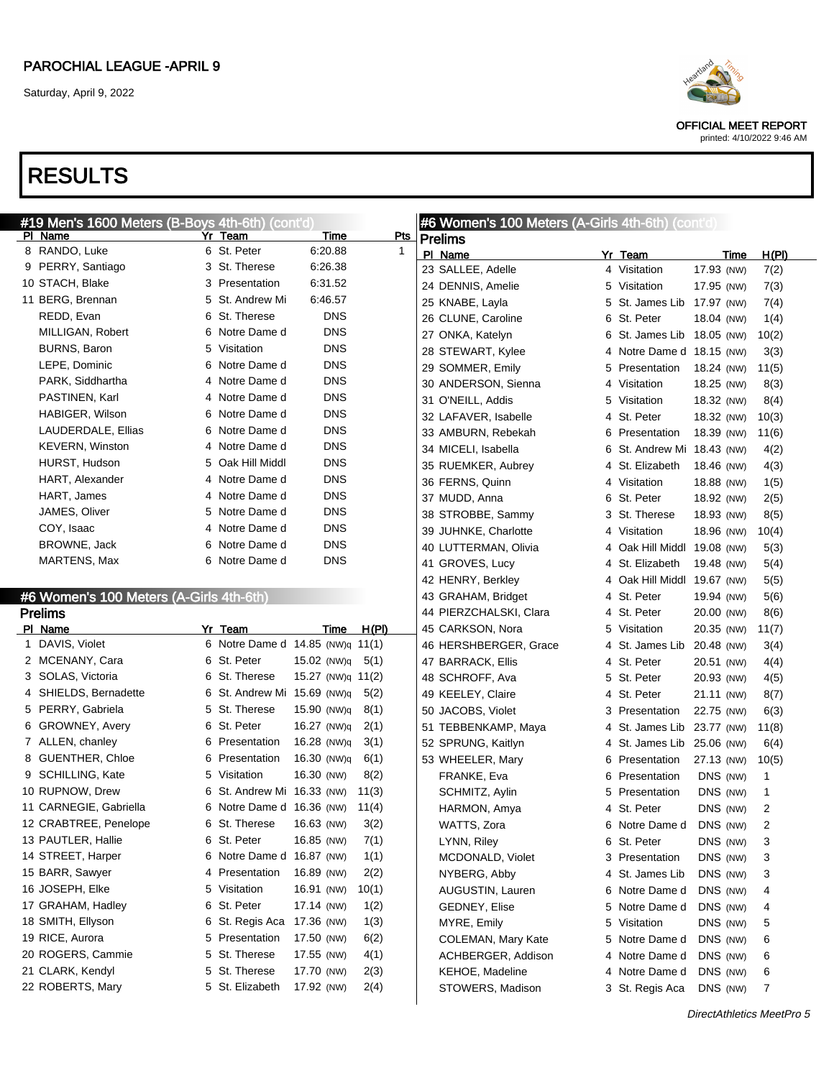

OFFICIAL MEET REPORT printed: 4/10/2022 9:46 AM

|   | #19 Men's 1600 Meters (B-Boys 4th-6th) (cont'd) |   |                                  |                   |            |             | #6 Women's 100 Meters (A-Girls 4th-6th) (cont'd) |   |                             |            |       |
|---|-------------------------------------------------|---|----------------------------------|-------------------|------------|-------------|--------------------------------------------------|---|-----------------------------|------------|-------|
|   | PI Name                                         |   | Yr Team                          |                   | Time       | <b>Pts</b>  | <b>Prelims</b>                                   |   |                             |            |       |
|   | 8 RANDO, Luke                                   |   | 6 St. Peter                      |                   | 6:20.88    | $\mathbf 1$ | PI Name                                          |   | Yr Team                     | Time       | H(PI) |
|   | 9 PERRY, Santiago                               |   | 3 St. Therese                    |                   | 6:26.38    |             | 23 SALLEE, Adelle                                |   | 4 Visitation                | 17.93 (NW) | 7(2)  |
|   | 10 STACH, Blake                                 |   | 3 Presentation                   |                   | 6:31.52    |             | 24 DENNIS, Amelie                                |   | 5 Visitation                | 17.95 (NW) | 7(3)  |
|   | 11 BERG, Brennan                                |   | 5 St. Andrew Mi                  |                   | 6:46.57    |             | 25 KNABE, Layla                                  |   | 5 St. James Lib 17.97 (NW)  |            | 7(4)  |
|   | REDD, Evan                                      |   | 6 St. Therese                    |                   | <b>DNS</b> |             | 26 CLUNE, Caroline                               |   | 6 St. Peter                 | 18.04 (NW) | 1(4)  |
|   | MILLIGAN, Robert                                |   | 6 Notre Dame d                   |                   | <b>DNS</b> |             | 27 ONKA, Katelyn                                 |   | 6 St. James Lib 18.05 (NW)  |            | 10(2) |
|   | <b>BURNS, Baron</b>                             |   | 5 Visitation                     |                   | <b>DNS</b> |             | 28 STEWART, Kylee                                |   | 4 Notre Dame d 18.15 (NW)   |            | 3(3)  |
|   | LEPE, Dominic                                   |   | 6 Notre Dame d                   |                   | <b>DNS</b> |             | 29 SOMMER, Emily                                 |   | 5 Presentation              | 18.24 (NW) | 11(5) |
|   | PARK, Siddhartha                                |   | 4 Notre Dame d                   |                   | <b>DNS</b> |             | 30 ANDERSON, Sienna                              |   | 4 Visitation                | 18.25 (NW) | 8(3)  |
|   | PASTINEN, Karl                                  |   | 4 Notre Dame d                   |                   | <b>DNS</b> |             | 31 O'NEILL, Addis                                |   | 5 Visitation                | 18.32 (NW) | 8(4)  |
|   | HABIGER, Wilson                                 |   | 6 Notre Dame d                   |                   | <b>DNS</b> |             | 32 LAFAVER, Isabelle                             |   | 4 St. Peter                 | 18.32 (NW) | 10(3) |
|   | LAUDERDALE, Ellias                              |   | 6 Notre Dame d                   |                   | <b>DNS</b> |             | 33 AMBURN, Rebekah                               |   | 6 Presentation              | 18.39 (NW) | 11(6) |
|   | <b>KEVERN, Winston</b>                          |   | 4 Notre Dame d                   |                   | <b>DNS</b> |             | 34 MICELI, Isabella                              |   | 6 St. Andrew Mi 18.43 (NW)  |            | 4(2)  |
|   | HURST, Hudson                                   |   | 5 Oak Hill Middl                 |                   | <b>DNS</b> |             | 35 RUEMKER, Aubrey                               |   | 4 St. Elizabeth             | 18.46 (NW) | 4(3)  |
|   | HART, Alexander                                 |   | 4 Notre Dame d                   |                   | <b>DNS</b> |             | 36 FERNS, Quinn                                  |   | 4 Visitation                | 18.88 (NW) | 1(5)  |
|   | HART, James                                     |   | 4 Notre Dame d                   |                   | <b>DNS</b> |             | 37 MUDD, Anna                                    |   | 6 St. Peter                 | 18.92 (NW) | 2(5)  |
|   | JAMES, Oliver                                   |   | 5 Notre Dame d                   |                   | <b>DNS</b> |             | 38 STROBBE, Sammy                                |   | 3 St. Therese               | 18.93 (NW) | 8(5)  |
|   | COY, Isaac                                      |   | 4 Notre Dame d                   |                   | <b>DNS</b> |             | 39 JUHNKE, Charlotte                             |   | 4 Visitation                | 18.96 (NW) | 10(4) |
|   | BROWNE, Jack                                    |   | 6 Notre Dame d                   |                   | <b>DNS</b> |             | 40 LUTTERMAN, Olivia                             |   | 4 Oak Hill Middl 19.08 (NW) |            | 5(3)  |
|   | MARTENS, Max                                    |   | 6 Notre Dame d                   |                   | <b>DNS</b> |             | 41 GROVES, Lucy                                  |   | 4 St. Elizabeth             | 19.48 (NW) | 5(4)  |
|   |                                                 |   |                                  |                   |            |             | 42 HENRY, Berkley                                |   | 4 Oak Hill Middl 19.67 (NW) |            | 5(5)  |
|   | #6 Women's 100 Meters (A-Girls 4th-6th)         |   |                                  |                   |            |             | 43 GRAHAM, Bridget                               |   | 4 St. Peter                 | 19.94 (NW) | 5(6)  |
|   | <b>Prelims</b>                                  |   |                                  |                   |            |             | 44 PIERZCHALSKI, Clara                           |   | 4 St. Peter                 | 20.00 (NW) | 8(6)  |
|   | PI Name                                         |   | Yr Team                          |                   | Time       | H(PI)       | 45 CARKSON, Nora                                 |   | 5 Visitation                | 20.35 (NW) | 11(7) |
|   | 1 DAVIS, Violet                                 |   | 6 Notre Dame d 14.85 (NW)q 11(1) |                   |            |             | 46 HERSHBERGER, Grace                            |   | 4 St. James Lib 20.48 (NW)  |            | 3(4)  |
|   | 2 MCENANY, Cara                                 |   | 6 St. Peter                      | 15.02 (NW)q       |            | 5(1)        | 47 BARRACK, Ellis                                |   | 4 St. Peter                 | 20.51 (NW) | 4(4)  |
|   | 3 SOLAS, Victoria                               |   | 6 St. Therese                    | 15.27 (NW)q 11(2) |            |             | 48 SCHROFF, Ava                                  |   | 5 St. Peter                 | 20.93 (NW) | 4(5)  |
| 4 | SHIELDS, Bernadette                             |   | 6 St. Andrew Mi 15.69 (NW)q      |                   |            | 5(2)        | 49 KEELEY, Claire                                |   | 4 St. Peter                 | 21.11 (NW) | 8(7)  |
|   | 5 PERRY, Gabriela                               |   | 5 St. Therese                    | 15.90 (NW)q       |            | 8(1)        | 50 JACOBS, Violet                                |   | 3 Presentation              | 22.75 (NW) | 6(3)  |
|   | 6 GROWNEY, Avery                                |   | 6 St. Peter                      | 16.27 (NW)q       |            | 2(1)        | 51 TEBBENKAMP, Maya                              |   | 4 St. James Lib 23.77 (NW)  |            | 11(8) |
|   | 7 ALLEN, chanley                                |   | 6 Presentation                   | 16.28 (NW)q       |            | 3(1)        | 52 SPRUNG, Kaitlyn                               |   | 4 St. James Lib 25.06 (NW)  |            | 6(4)  |
|   | 8 GUENTHER, Chloe                               |   | 6 Presentation                   | 16.30 (NW)q       |            | 6(1)        | 53 WHEELER, Mary                                 |   | 6 Presentation              | 27.13 (NW) | 10(5) |
|   | 9 SCHILLING, Kate                               |   | 5 Visitation                     | 16.30 (NW)        |            | 8(2)        | FRANKE, Eva                                      |   | 6 Presentation              | DNS (NW)   | 1     |
|   | 10 RUPNOW, Drew                                 |   | 6 St. Andrew Mi 16.33 (NW)       |                   |            | 11(3)       | SCHMITZ, Aylin                                   |   | 5 Presentation              | DNS (NW)   | 1     |
|   | 11 CARNEGIE, Gabriella                          |   | 6 Notre Dame d 16.36 (NW) 11(4)  |                   |            |             | HARMON, Amya                                     |   | 4 St. Peter                 | DNS (NW)   | 2     |
|   | 12 CRABTREE, Penelope                           | 6 | St. Therese                      | 16.63 (NW)        |            | 3(2)        | WATTS, Zora                                      |   | 6 Notre Dame d              | DNS (NW)   | 2     |
|   | 13 PAUTLER, Hallie                              |   | 6 St. Peter                      | 16.85 (NW)        |            | 7(1)        | LYNN, Riley                                      |   | 6 St. Peter                 | DNS (NW)   | 3     |
|   | 14 STREET, Harper                               |   | 6 Notre Dame d 16.87 (NW)        |                   |            | 1(1)        | MCDONALD, Violet                                 |   | 3 Presentation              | DNS (NW)   | 3     |
|   | 15 BARR, Sawyer                                 |   | 4 Presentation                   | 16.89 (NW)        |            | 2(2)        | NYBERG, Abby                                     |   | 4 St. James Lib             | DNS (NW)   | 3     |
|   | 16 JOSEPH, Elke                                 |   | 5 Visitation                     | 16.91 (NW)        |            | 10(1)       | AUGUSTIN, Lauren                                 |   | 6 Notre Dame d              | DNS (NW)   | 4     |
|   | 17 GRAHAM, Hadley                               |   | 6 St. Peter                      | 17.14 (NW)        |            | 1(2)        | <b>GEDNEY, Elise</b>                             |   | 5 Notre Dame d              | DNS (NW)   | 4     |
|   | 18 SMITH, Ellyson                               |   | 6 St. Regis Aca                  | 17.36 (NW)        |            | 1(3)        | MYRE, Emily                                      |   | 5 Visitation                | DNS (NW)   | 5     |
|   | 19 RICE, Aurora                                 |   | 5 Presentation                   | 17.50 (NW)        |            | 6(2)        | COLEMAN, Mary Kate                               |   | 5 Notre Dame d              | DNS (NW)   | 6     |
|   | 20 ROGERS, Cammie                               |   | 5 St. Therese                    | 17.55 (NW)        |            | 4(1)        | ACHBERGER, Addison                               | 4 | Notre Dame d                | DNS (NW)   | 6     |
|   | 21 CLARK, Kendyl                                |   | 5 St. Therese                    | 17.70 (NW)        |            | 2(3)        | KEHOE, Madeline                                  | 4 | Notre Dame d                | DNS (NW)   | 6     |
|   | 22 ROBERTS, Mary                                |   | 5 St. Elizabeth                  | 17.92 (NW)        |            | 2(4)        | STOWERS, Madison                                 |   | 3 St. Regis Aca             | DNS (NW)   | 7     |
|   |                                                 |   |                                  |                   |            |             |                                                  |   |                             |            |       |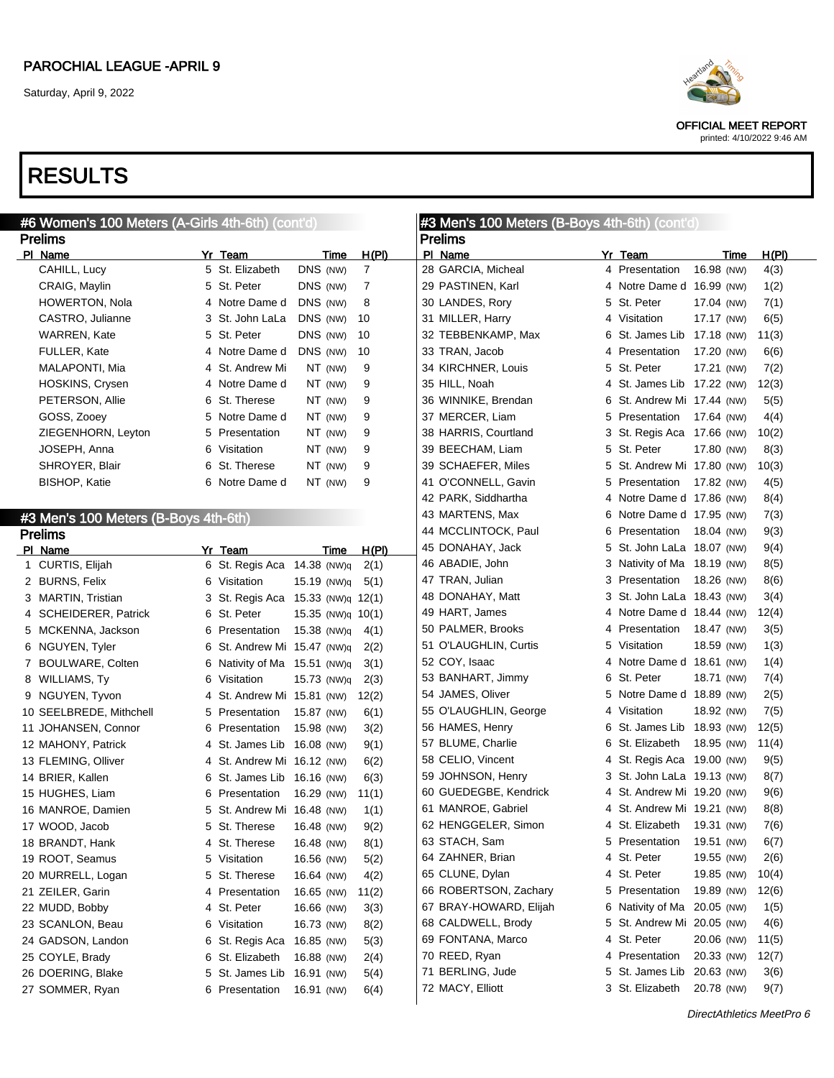OFFICIAL MEET REPORT printed: 4/10/2022 9:46 AM

| #6 Women's 100 Meters (A-Girls 4th-6th) (cont'd) |                                        |                   |                | #3 Men's 100 Meters (B-Boys 4th-6th) (cont'd) |    |                             |            |       |
|--------------------------------------------------|----------------------------------------|-------------------|----------------|-----------------------------------------------|----|-----------------------------|------------|-------|
| <b>Prelims</b>                                   |                                        |                   |                | <b>Prelims</b>                                |    |                             |            |       |
| PI Name                                          | Yr Team                                | Time              | H(PI)          | PI Name                                       |    | Yr Team                     | Time       | H(PI) |
| CAHILL, Lucy                                     | 5 St. Elizabeth                        | DNS (NW)          | $\overline{7}$ | 28 GARCIA, Micheal                            |    | 4 Presentation              | 16.98 (NW) | 4(3)  |
| CRAIG, Maylin                                    | 5 St. Peter                            | DNS (NW)          | 7              | 29 PASTINEN, Karl                             |    | 4 Notre Dame d 16.99 (NW)   |            | 1(2)  |
| <b>HOWERTON, Nola</b>                            | 4 Notre Dame d                         | DNS (NW)          | 8              | 30 LANDES, Rory                               |    | 5 St. Peter                 | 17.04 (NW) | 7(1)  |
| CASTRO, Julianne                                 | 3 St. John LaLa                        | DNS (NW)          | 10             | 31 MILLER, Harry                              |    | 4 Visitation                | 17.17 (NW) | 6(5)  |
| WARREN, Kate                                     | 5 St. Peter                            | DNS (NW)          | 10             | 32 TEBBENKAMP, Max                            |    | 6 St. James Lib 17.18 (NW)  |            | 11(3) |
| <b>FULLER, Kate</b>                              | 4 Notre Dame d                         | DNS (NW)          | 10             | 33 TRAN, Jacob                                |    | 4 Presentation              | 17.20 (NW) | 6(6)  |
| MALAPONTI, Mia                                   | 4 St. Andrew Mi                        | NT (NW)           | 9              | 34 KIRCHNER, Louis                            |    | 5 St. Peter                 | 17.21 (NW) | 7(2)  |
| HOSKINS, Crysen                                  | 4 Notre Dame d                         | NT (NW)           | 9              | 35 HILL, Noah                                 |    | 4 St. James Lib 17.22 (NW)  |            | 12(3) |
| PETERSON, Allie                                  | 6 St. Therese                          | NT (NW)           | 9              | 36 WINNIKE, Brendan                           |    | 6 St. Andrew Mi 17.44 (NW)  |            | 5(5)  |
| GOSS, Zooey                                      | 5 Notre Dame d                         | NT (NW)           | 9              | 37 MERCER, Liam                               |    | 5 Presentation              | 17.64 (NW) | 4(4)  |
| ZIEGENHORN, Leyton                               | 5 Presentation                         | NT (NW)           | 9              | 38 HARRIS, Courtland                          |    | 3 St. Regis Aca 17.66 (NW)  |            | 10(2) |
| JOSEPH, Anna                                     | 6 Visitation                           | NT (NW)           | 9              | 39 BEECHAM, Liam                              |    | 5 St. Peter                 | 17.80 (NW) | 8(3)  |
| SHROYER, Blair                                   | 6 St. Therese                          | NT (NW)           | 9              | 39 SCHAEFER, Miles                            |    | 5 St. Andrew Mi 17.80 (NW)  |            | 10(3) |
| <b>BISHOP, Katie</b>                             | 6 Notre Dame d                         | NT (NW)           | 9              | 41 O'CONNELL, Gavin                           |    | 5 Presentation 17.82 (NW)   |            | 4(5)  |
|                                                  |                                        |                   |                | 42 PARK, Siddhartha                           |    | 4 Notre Dame d 17.86 (NW)   |            | 8(4)  |
|                                                  |                                        |                   |                | 43 MARTENS, Max                               |    | 6 Notre Dame d 17.95 (NW)   |            | 7(3)  |
| #3 Men's 100 Meters (B-Boys 4th-6th)             |                                        |                   |                | 44 MCCLINTOCK, Paul                           | 6  | Presentation                | 18.04 (NW) | 9(3)  |
| <b>Prelims</b>                                   |                                        |                   |                | 45 DONAHAY, Jack                              | 5. | St. John LaLa 18.07 (NW)    |            | 9(4)  |
| PI Name                                          | Yr Team<br>6 St. Regis Aca 14.38 (NW)q | Time              | H(PI)          | 46 ABADIE, John                               |    | 3 Nativity of Ma 18.19 (NW) |            | 8(5)  |
| 1 CURTIS, Elijah                                 |                                        |                   | 2(1)           | 47 TRAN, Julian                               |    | 3 Presentation              | 18.26 (NW) | 8(6)  |
| 2 BURNS, Felix                                   | 6 Visitation                           | 15.19 (NW)q       | 5(1)           |                                               |    |                             |            |       |
| 3 MARTIN, Tristian                               | 3 St. Regis Aca                        | 15.33 (NW)g 12(1) |                | 48 DONAHAY, Matt                              |    | 3 St. John LaLa 18.43 (NW)  |            | 3(4)  |
| 4 SCHEIDERER, Patrick                            | 6 St. Peter                            | 15.35 (NW)g 10(1) |                | 49 HART, James                                | 4  | Notre Dame d 18.44 (NW)     |            | 12(4) |
| 5 MCKENNA, Jackson                               | 6 Presentation                         | 15.38 (NW)q       | 4(1)           | 50 PALMER, Brooks                             | 4  | Presentation                | 18.47 (NW) | 3(5)  |
| 6 NGUYEN, Tyler                                  | 6 St. Andrew Mi 15.47 (NW)q            |                   | 2(2)           | 51 O'LAUGHLIN, Curtis                         |    | 5 Visitation                | 18.59 (NW) | 1(3)  |
| 7 BOULWARE, Colten                               | 6 Nativity of Ma 15.51 (NW)q           |                   | 3(1)           | 52 COY, Isaac                                 |    | 4 Notre Dame d 18.61 (NW)   |            | 1(4)  |
| 8 WILLIAMS, Ty                                   | 6 Visitation                           | 15.73 (NW)q       | 2(3)           | 53 BANHART, Jimmy                             | 6  | St. Peter                   | 18.71 (NW) | 7(4)  |
| 9 NGUYEN, Tyvon                                  | 4 St. Andrew Mi 15.81 (NW)             |                   | 12(2)          | 54 JAMES, Oliver                              |    | 5 Notre Dame d 18.89 (NW)   |            | 2(5)  |
| 10 SEELBREDE, Mithchell                          | 5 Presentation                         | 15.87 (NW)        | 6(1)           | 55 O'LAUGHLIN, George                         |    | 4 Visitation                | 18.92 (NW) | 7(5)  |
| 11 JOHANSEN, Connor                              | 6 Presentation                         | 15.98 (NW)        | 3(2)           | 56 HAMES, Henry                               |    | 6 St. James Lib 18.93 (NW)  |            | 12(5) |
| 12 MAHONY, Patrick                               | 4 St. James Lib                        | 16.08 (NW)        | 9(1)           | 57 BLUME, Charlie                             | 6  | St. Elizabeth               | 18.95 (NW) | 11(4) |
| 13 FLEMING, Olliver                              | 4 St. Andrew Mi 16.12 (NW)             |                   | 6(2)           | 58 CELIO, Vincent                             |    | 4 St. Regis Aca 19.00 (NW)  |            | 9(5)  |
| 14 BRIER, Kallen                                 | 6 St. James Lib                        | 16.16 (NW)        | 6(3)           | 59 JOHNSON, Henry                             |    | 3 St. John LaLa 19.13 (NW)  |            | 8(7)  |
| 15 HUGHES, Liam                                  | Presentation<br>6                      | 16.29 (NW)        | 11(1)          | 60 GUEDEGBE, Kendrick                         |    | 4 St. Andrew Mi 19.20 (NW)  |            | 9(6)  |
| 16 MANROE, Damien                                | 5 St. Andrew Mi 16.48 (NW)             |                   | 1(1)           | 61 MANROE, Gabriel                            |    | 4 St. Andrew Mi 19.21 (NW)  |            | 8(8)  |
| 17 WOOD, Jacob                                   | 5 St. Therese                          | 16.48 (NW)        | 9(2)           | 62 HENGGELER, Simon                           |    | 4 St. Elizabeth             | 19.31 (NW) | 7(6)  |
| 18 BRANDT, Hank                                  | 4 St. Therese                          | 16.48 (NW)        | 8(1)           | 63 STACH, Sam                                 |    | 5 Presentation              | 19.51 (NW) | 6(7)  |
| 19 ROOT, Seamus                                  | 5 Visitation                           | 16.56 (NW)        | 5(2)           | 64 ZAHNER, Brian                              |    | 4 St. Peter                 | 19.55 (NW) | 2(6)  |
| 20 MURRELL, Logan                                | 5 St. Therese                          | 16.64 (NW)        | 4(2)           | 65 CLUNE, Dylan                               | 4  | St. Peter                   | 19.85 (NW) | 10(4) |
| 21 ZEILER, Garin                                 | 4 Presentation                         | 16.65 (NW)        | 11(2)          | 66 ROBERTSON, Zachary                         | 5. | Presentation                | 19.89 (NW) | 12(6) |
| 22 MUDD, Bobby                                   | 4 St. Peter                            | 16.66 (NW)        | 3(3)           | 67 BRAY-HOWARD, Elijah                        |    | 6 Nativity of Ma 20.05 (NW) |            | 1(5)  |
| 23 SCANLON, Beau                                 | 6 Visitation                           | 16.73 (NW)        | 8(2)           | 68 CALDWELL, Brody                            | 5. | St. Andrew Mi 20.05 (NW)    |            | 4(6)  |
| 24 GADSON, Landon                                | 6 St. Regis Aca                        | 16.85 (NW)        | 5(3)           | 69 FONTANA, Marco                             | 4  | St. Peter                   | 20.06 (NW) | 11(5) |
| 25 COYLE, Brady                                  | 6 St. Elizabeth                        | 16.88 (NW)        | 2(4)           | 70 REED, Ryan                                 |    | 4 Presentation              | 20.33 (NW) | 12(7) |
| 26 DOERING, Blake                                | 5 St. James Lib                        | 16.91 (NW)        | 5(4)           | 71 BERLING, Jude                              |    | 5 St. James Lib             | 20.63 (NW) | 3(6)  |
| 27 SOMMER, Ryan                                  | 6 Presentation                         | 16.91 (NW)        | 6(4)           | 72 MACY, Elliott                              |    | 3 St. Elizabeth             | 20.78 (NW) | 9(7)  |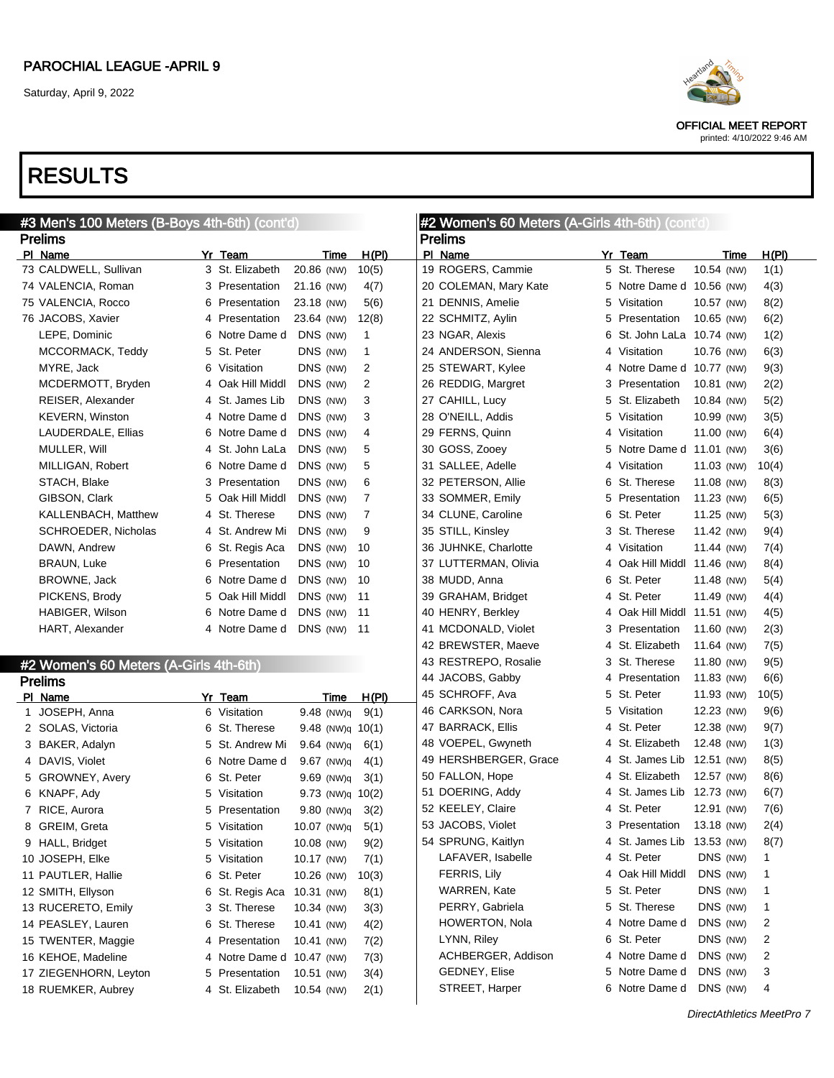

OFFICIAL MEET REPORT printed: 4/10/2022 9:46 AM

| #3 Men's 100 Meters (B-Boys 4th-6th) (cont'd) |   |                  |                      | <b>#2 Women's 60 Meters (A-Girls 4th-6th) (cont'd)</b> |                       |  |                             |            |       |  |
|-----------------------------------------------|---|------------------|----------------------|--------------------------------------------------------|-----------------------|--|-----------------------------|------------|-------|--|
| <b>Prelims</b>                                |   |                  |                      |                                                        | <b>Prelims</b>        |  |                             |            |       |  |
| PI Name                                       |   | Yr Team          | Time                 | H(PI)                                                  | PI Name               |  | Yr Team                     | Time       | H(PI) |  |
| 73 CALDWELL, Sullivan                         |   | 3 St. Elizabeth  | 20.86 (NW)           | 10(5)                                                  | 19 ROGERS, Cammie     |  | 5 St. Therese               | 10.54 (NW) | 1(1)  |  |
| 74 VALENCIA, Roman                            |   | 3 Presentation   | 21.16 (NW)           | 4(7)                                                   | 20 COLEMAN, Mary Kate |  | 5 Notre Dame d 10.56 (NW)   |            | 4(3)  |  |
| 75 VALENCIA, Rocco                            |   | 6 Presentation   | 23.18 (NW)           | 5(6)                                                   | 21 DENNIS, Amelie     |  | 5 Visitation                | 10.57 (NW) | 8(2)  |  |
| 76 JACOBS, Xavier                             |   | 4 Presentation   | 23.64 (NW)           | 12(8)                                                  | 22 SCHMITZ, Aylin     |  | 5 Presentation              | 10.65 (NW) | 6(2)  |  |
| LEPE, Dominic                                 |   | 6 Notre Dame d   | DNS (NW)             | $\mathbf{1}$                                           | 23 NGAR, Alexis       |  | 6 St. John LaLa 10.74 (NW)  |            | 1(2)  |  |
| MCCORMACK, Teddy                              |   | 5 St. Peter      | DNS (NW)             | $\mathbf{1}$                                           | 24 ANDERSON, Sienna   |  | 4 Visitation                | 10.76 (NW) | 6(3)  |  |
| MYRE, Jack                                    |   | 6 Visitation     | DNS (NW)             | 2                                                      | 25 STEWART, Kylee     |  | 4 Notre Dame d 10.77 (NW)   |            | 9(3)  |  |
| MCDERMOTT, Bryden                             |   | 4 Oak Hill Middl | DNS (NW)             | 2                                                      | 26 REDDIG, Margret    |  | 3 Presentation              | 10.81 (NW) | 2(2)  |  |
| REISER, Alexander                             |   | 4 St. James Lib  | DNS (NW)             | 3                                                      | 27 CAHILL, Lucy       |  | 5 St. Elizabeth             | 10.84 (NW) | 5(2)  |  |
| KEVERN, Winston                               |   | 4 Notre Dame d   | DNS (NW)             | 3                                                      | 28 O'NEILL, Addis     |  | 5 Visitation                | 10.99 (NW) | 3(5)  |  |
| LAUDERDALE, Ellias                            |   | 6 Notre Dame d   | DNS (NW)             | 4                                                      | 29 FERNS, Quinn       |  | 4 Visitation                | 11.00 (NW) | 6(4)  |  |
| MULLER, Will                                  |   | 4 St. John LaLa  | DNS (NW)             | 5                                                      | 30 GOSS, Zooey        |  | 5 Notre Dame d 11.01 (NW)   |            | 3(6)  |  |
| MILLIGAN, Robert                              |   | 6 Notre Dame d   | DNS (NW)             | 5                                                      | 31 SALLEE, Adelle     |  | 4 Visitation                | 11.03 (NW) | 10(4) |  |
| STACH, Blake                                  |   | 3 Presentation   | DNS (NW)             | 6                                                      | 32 PETERSON, Allie    |  | 6 St. Therese               | 11.08 (NW) | 8(3)  |  |
| GIBSON, Clark                                 |   | 5 Oak Hill Middl | DNS (NW)             | $\overline{7}$                                         | 33 SOMMER, Emily      |  | 5 Presentation              | 11.23 (NW) | 6(5)  |  |
| KALLENBACH, Matthew                           |   | 4 St. Therese    | DNS (NW)             | 7                                                      | 34 CLUNE, Caroline    |  | 6 St. Peter                 | 11.25 (NW) | 5(3)  |  |
| SCHROEDER, Nicholas                           |   | 4 St. Andrew Mi  | DNS (NW)             | 9                                                      | 35 STILL, Kinsley     |  | 3 St. Therese               | 11.42 (NW) | 9(4)  |  |
| DAWN, Andrew                                  |   | 6 St. Regis Aca  | DNS (NW)             | 10                                                     | 36 JUHNKE, Charlotte  |  | 4 Visitation                | 11.44 (NW) | 7(4)  |  |
| <b>BRAUN, Luke</b>                            |   | 6 Presentation   | DNS (NW)             | 10                                                     | 37 LUTTERMAN, Olivia  |  | 4 Oak Hill Middl 11.46 (NW) |            | 8(4)  |  |
| BROWNE, Jack                                  |   | 6 Notre Dame d   | DNS (NW)             | 10                                                     | 38 MUDD, Anna         |  | 6 St. Peter                 | 11.48 (NW) | 5(4)  |  |
| PICKENS, Brody                                |   | 5 Oak Hill Middl | DNS (NW)             | 11                                                     | 39 GRAHAM, Bridget    |  | 4 St. Peter                 | 11.49 (NW) | 4(4)  |  |
| HABIGER, Wilson                               |   | 6 Notre Dame d   | DNS (NW)             | 11                                                     | 40 HENRY, Berkley     |  | 4 Oak Hill Middl 11.51 (NW) |            | 4(5)  |  |
| HART, Alexander                               |   | 4 Notre Dame d   | DNS (NW)             | 11                                                     | 41 MCDONALD, Violet   |  | 3 Presentation              | 11.60 (NW) | 2(3)  |  |
|                                               |   |                  |                      |                                                        | 42 BREWSTER, Maeve    |  | 4 St. Elizabeth             | 11.64 (NW) | 7(5)  |  |
| #2 Women's 60 Meters (A-Girls 4th-6th)        |   |                  |                      |                                                        | 43 RESTREPO, Rosalie  |  | 3 St. Therese               | 11.80 (NW) | 9(5)  |  |
| <b>Prelims</b>                                |   |                  |                      |                                                        | 44 JACOBS, Gabby      |  | 4 Presentation              | 11.83 (NW) | 6(6)  |  |
| PI Name                                       |   | Yr_Team          | Time                 | H(PI)                                                  | 45 SCHROFF, Ava       |  | 5 St. Peter                 | 11.93 (NW) | 10(5) |  |
| 1 JOSEPH, Anna                                |   | 6 Visitation     | 9.48 (NW)q           | 9(1)                                                   | 46 CARKSON, Nora      |  | 5 Visitation                | 12.23 (NW) | 9(6)  |  |
| 2 SOLAS, Victoria                             |   | 6 St. Therese    | $9.48$ (NW)q $10(1)$ |                                                        | 47 BARRACK, Ellis     |  | 4 St. Peter                 | 12.38 (NW) | 9(7)  |  |
| 3 BAKER, Adalyn                               |   | 5 St. Andrew Mi  | $9.64$ (NW)q         | 6(1)                                                   | 48 VOEPEL, Gwyneth    |  | 4 St. Elizabeth             | 12.48 (NW) | 1(3)  |  |
| 4 DAVIS, Violet                               |   | 6 Notre Dame d   | 9.67 (NW)q           | 4(1)                                                   | 49 HERSHBERGER, Grace |  | 4 St. James Lib             | 12.51 (NW) | 8(5)  |  |
| 5 GROWNEY, Avery                              |   | 6 St. Peter      | 9.69 (NW)q           | 3(1)                                                   | 50 FALLON, Hope       |  | 4 St. Elizabeth             | 12.57 (NW) | 8(6)  |  |
| 6 KNAPF, Ady                                  | 5 | Visitation       | $9.73$ (NW)g $10(2)$ |                                                        | 51 DOERING, Addy      |  | 4 St. James Lib             | 12.73 (NW) | 6(7)  |  |
| 7 RICE, Aurora                                |   | 5 Presentation   | 9.80 (NW)q           | 3(2)                                                   | 52 KEELEY, Claire     |  | 4 St. Peter                 | 12.91 (NW) | 7(6)  |  |
| 8 GREIM, Greta                                | 5 | Visitation       | 10.07 (NW)q          | 5(1)                                                   | 53 JACOBS, Violet     |  | 3 Presentation              | 13.18 (NW) | 2(4)  |  |
| 9 HALL, Bridget                               |   | 5 Visitation     | 10.08 (NW)           | 9(2)                                                   | 54 SPRUNG, Kaitlyn    |  | 4 St. James Lib             | 13.53 (NW) | 8(7)  |  |
| 10 JOSEPH, Elke                               |   | 5 Visitation     | 10.17 (NW)           | 7(1)                                                   | LAFAVER, Isabelle     |  | 4 St. Peter                 | DNS (NW)   | -1    |  |
| 11 PAUTLER, Hallie                            |   | 6 St. Peter      | 10.26 (NW)           | 10(3)                                                  | FERRIS, Lily          |  | 4 Oak Hill Middl            | DNS (NW)   | 1     |  |
| 12 SMITH, Ellyson                             |   | 6 St. Regis Aca  | 10.31 (NW)           | 8(1)                                                   | WARREN, Kate          |  | 5 St. Peter                 | DNS (NW)   | 1     |  |
| 13 RUCERETO, Emily                            |   | 3 St. Therese    | 10.34 (NW)           | 3(3)                                                   | PERRY, Gabriela       |  | 5 St. Therese               | DNS (NW)   | 1     |  |
| 14 PEASLEY, Lauren                            |   | 6 St. Therese    | 10.41 (NW)           | 4(2)                                                   | <b>HOWERTON, Nola</b> |  | 4 Notre Dame d              | DNS (NW)   | 2     |  |
| 15 TWENTER, Maggie                            |   | 4 Presentation   | 10.41 (NW)           | 7(2)                                                   | LYNN, Riley           |  | 6 St. Peter                 | DNS (NW)   | 2     |  |
| 16 KEHOE, Madeline                            |   | 4 Notre Dame d   | 10.47 (NW)           | 7(3)                                                   | ACHBERGER, Addison    |  | 4 Notre Dame d              | DNS (NW)   | 2     |  |
| 17 ZIEGENHORN, Leyton                         |   | 5 Presentation   | 10.51 (NW)           | 3(4)                                                   | GEDNEY, Elise         |  | 5 Notre Dame d              | DNS (NW)   | 3     |  |
| 18 RUEMKER, Aubrey                            |   | 4 St. Elizabeth  | 10.54 (NW)           | 2(1)                                                   | STREET, Harper        |  | 6 Notre Dame d              | DNS (NW)   | 4     |  |
|                                               |   |                  |                      |                                                        |                       |  |                             |            |       |  |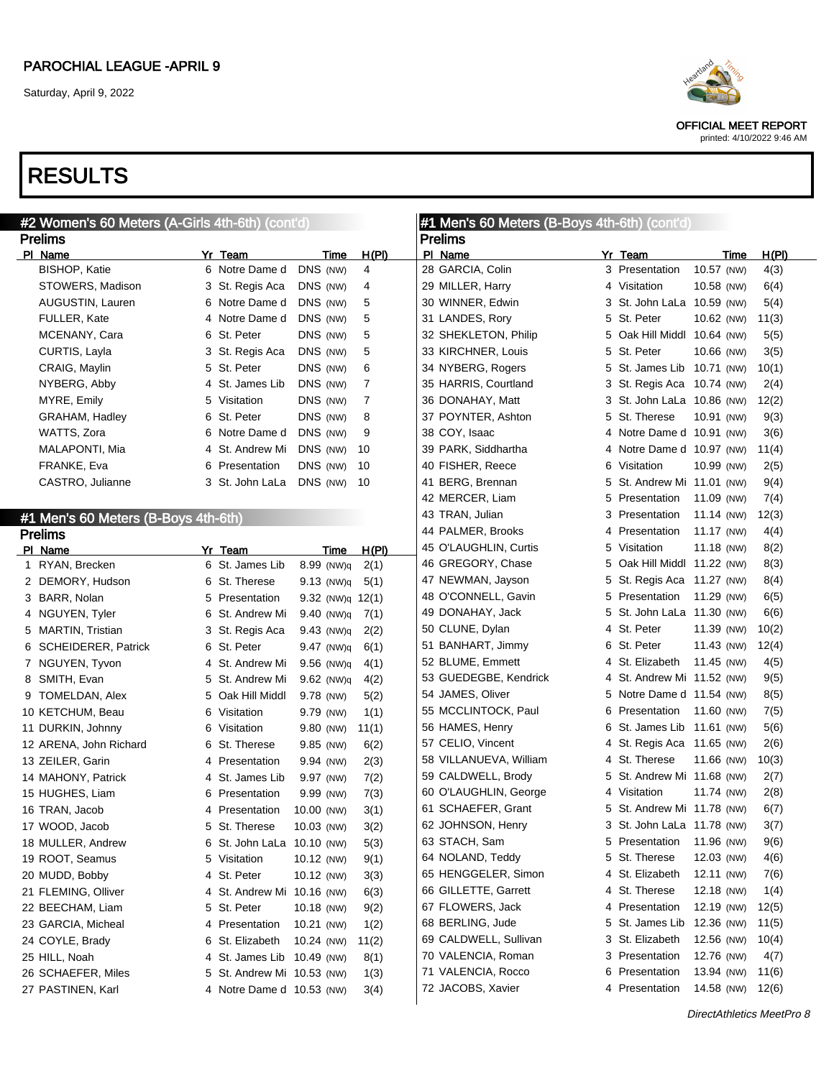OFFICIAL MEET REPORT printed: 4/10/2022 9:46 AM

| #2 Women's 60 Meters (A-Girls 4th-6th) (cont'd) |                                |       | #1 Men's 60 Meters (B-Boys 4th-6th) (cont'd) |  |                             |            |       |  |  |
|-------------------------------------------------|--------------------------------|-------|----------------------------------------------|--|-----------------------------|------------|-------|--|--|
| <b>Prelims</b>                                  |                                |       | <b>Prelims</b>                               |  |                             |            |       |  |  |
| PI Name<br>Yr Team                              | Time                           | H(PI) | PI Name                                      |  | Yr Team                     | Time       | H(PI) |  |  |
| <b>BISHOP, Katie</b>                            | DNS (NW)<br>6 Notre Dame d     | 4     | 28 GARCIA, Colin                             |  | 3 Presentation              | 10.57 (NW) | 4(3)  |  |  |
| STOWERS, Madison                                | 3 St. Regis Aca<br>DNS (NW)    | 4     | 29 MILLER, Harry                             |  | 4 Visitation                | 10.58 (NW) | 6(4)  |  |  |
| AUGUSTIN, Lauren                                | 6 Notre Dame d<br>DNS (NW)     | 5     | 30 WINNER, Edwin                             |  | 3 St. John LaLa 10.59 (NW)  |            | 5(4)  |  |  |
| <b>FULLER, Kate</b>                             | 4 Notre Dame d<br>DNS (NW)     | 5     | 31 LANDES, Rory                              |  | 5 St. Peter                 | 10.62 (NW) | 11(3) |  |  |
| 6 St. Peter<br>MCENANY, Cara                    | DNS (NW)                       | 5     | 32 SHEKLETON, Philip                         |  | 5 Oak Hill Middl 10.64 (NW) |            | 5(5)  |  |  |
| CURTIS, Layla<br>3 St. Regis Aca                | DNS (NW)                       | 5     | 33 KIRCHNER, Louis                           |  | 5 St. Peter                 | 10.66 (NW) | 3(5)  |  |  |
| 5 St. Peter<br>CRAIG, Maylin                    | DNS (NW)                       | 6     | 34 NYBERG, Rogers                            |  | 5 St. James Lib 10.71 (NW)  |            | 10(1) |  |  |
| NYBERG, Abby                                    | 4 St. James Lib<br>DNS (NW)    | 7     | 35 HARRIS, Courtland                         |  | 3 St. Regis Aca 10.74 (NW)  |            | 2(4)  |  |  |
| MYRE, Emily<br>5 Visitation                     | DNS (NW)                       | 7     | 36 DONAHAY, Matt                             |  | 3 St. John LaLa 10.86 (NW)  |            | 12(2) |  |  |
| 6 St. Peter<br>GRAHAM, Hadley                   | DNS (NW)                       | 8     | 37 POYNTER, Ashton                           |  | 5 St. Therese               | 10.91 (NW) | 9(3)  |  |  |
| WATTS, Zora                                     | 6 Notre Dame d<br>DNS (NW)     | 9     | 38 COY, Isaac                                |  | 4 Notre Dame d 10.91 (NW)   |            | 3(6)  |  |  |
| MALAPONTI, Mia                                  | 4 St. Andrew Mi<br>DNS (NW)    | 10    | 39 PARK, Siddhartha                          |  | 4 Notre Dame d 10.97 (NW)   |            | 11(4) |  |  |
| FRANKE, Eva<br>6 Presentation                   | DNS (NW)                       | 10    | 40 FISHER, Reece                             |  | 6 Visitation                | 10.99 (NW) | 2(5)  |  |  |
| CASTRO, Julianne                                | DNS (NW) 10<br>3 St. John LaLa |       | 41 BERG, Brennan                             |  | 5 St. Andrew Mi 11.01 (NW)  |            | 9(4)  |  |  |
|                                                 |                                |       | 42 MERCER, Liam                              |  | 5 Presentation              | 11.09 (NW) | 7(4)  |  |  |
| #1 Men's 60 Meters (B-Boys 4th-6th)             |                                |       | 43 TRAN, Julian                              |  | 3 Presentation              | 11.14 (NW) | 12(3) |  |  |
| <b>Prelims</b>                                  |                                |       | 44 PALMER, Brooks                            |  | 4 Presentation              | 11.17 (NW) | 4(4)  |  |  |
| Yr Team<br>PI Name                              | Time                           | H(PI) | 45 O'LAUGHLIN, Curtis                        |  | 5 Visitation                | 11.18 (NW) | 8(2)  |  |  |
| 6 St. James Lib<br>1 RYAN, Brecken              | 8.99 (NW)q                     | 2(1)  | 46 GREGORY, Chase                            |  | 5 Oak Hill Middl 11.22 (NW) |            | 8(3)  |  |  |
| 2 DEMORY, Hudson<br>6 St. Therese               | 9.13 (NW)q                     | 5(1)  | 47 NEWMAN, Jayson                            |  | 5 St. Regis Aca 11.27 (NW)  |            | 8(4)  |  |  |
| 3 BARR, Nolan<br>5 Presentation                 | 9.32 (NW)q 12(1)               |       | 48 O'CONNELL, Gavin                          |  | 5 Presentation              | 11.29 (NW) | 6(5)  |  |  |
| 4 NGUYEN, Tyler                                 | 6 St. Andrew Mi<br>9.40 (NW)q  | 7(1)  | 49 DONAHAY, Jack                             |  | 5 St. John LaLa 11.30 (NW)  |            | 6(6)  |  |  |
| 5 MARTIN, Tristian<br>3 St. Regis Aca           | 9.43 (NW)q                     | 2(2)  | 50 CLUNE, Dylan                              |  | 4 St. Peter                 | 11.39 (NW) | 10(2) |  |  |
| 6 St. Peter<br>6 SCHEIDERER, Patrick            | 9.47 (NW)q                     | 6(1)  | 51 BANHART, Jimmy                            |  | 6 St. Peter                 | 11.43 (NW) | 12(4) |  |  |
| 7 NGUYEN, Tyvon                                 | 4 St. Andrew Mi<br>9.56 (NW)q  | 4(1)  | 52 BLUME, Emmett                             |  | 4 St. Elizabeth             | 11.45 (NW) | 4(5)  |  |  |
| 8 SMITH, Evan                                   | 5 St. Andrew Mi<br>9.62 (NW)q  | 4(2)  | 53 GUEDEGBE, Kendrick                        |  | 4 St. Andrew Mi 11.52 (NW)  |            | 9(5)  |  |  |
| 9 TOMELDAN, Alex                                | 5 Oak Hill Middl<br>9.78 (NW)  | 5(2)  | 54 JAMES, Oliver                             |  | 5 Notre Dame d 11.54 (NW)   |            | 8(5)  |  |  |
| 10 KETCHUM, Beau<br>6 Visitation                | 9.79 (NW)                      | 1(1)  | 55 MCCLINTOCK, Paul                          |  | 6 Presentation              | 11.60 (NW) | 7(5)  |  |  |
| 11 DURKIN, Johnny<br>6 Visitation               | 9.80 (NW)                      | 11(1) | 56 HAMES, Henry                              |  | 6 St. James Lib 11.61 (NW)  |            | 5(6)  |  |  |
| 12 ARENA, John Richard<br>6 St. Therese         | 9.85 (NW)                      | 6(2)  | 57 CELIO, Vincent                            |  | 4 St. Regis Aca 11.65 (NW)  |            | 2(6)  |  |  |
| 13 ZEILER, Garin<br>4 Presentation              | 9.94 (NW)                      | 2(3)  | 58 VILLANUEVA, William                       |  | 4 St. Therese               | 11.66 (NW) | 10(3) |  |  |
| 14 MAHONY, Patrick                              | 4 St. James Lib<br>9.97 (NW)   | 7(2)  | 59 CALDWELL, Brody                           |  | 5 St. Andrew Mi 11.68 (NW)  |            | 2(7)  |  |  |
| 15 HUGHES, Liam<br>6 Presentation               | 9.99 (NW)                      | 7(3)  | 60 O'LAUGHLIN, George                        |  | 4 Visitation                | 11.74 (NW) | 2(8)  |  |  |
| 16 TRAN, Jacob<br>4 Presentation                | 10.00 (NW)                     | 3(1)  | 61 SCHAEFER, Grant                           |  | 5 St. Andrew Mi 11.78 (NW)  |            | 6(7)  |  |  |
| 5 St. Therese<br>17 WOOD, Jacob                 | 10.03 (NW)                     | 3(2)  | 62 JOHNSON, Henry                            |  | 3 St. John LaLa 11.78 (NW)  |            | 3(7)  |  |  |
| 18 MULLER, Andrew                               | 6 St. John LaLa 10.10 (NW)     | 5(3)  | 63 STACH, Sam                                |  | 5 Presentation              | 11.96 (NW) | 9(6)  |  |  |
| 19 ROOT, Seamus<br>5 Visitation                 | 10.12 (NW)                     | 9(1)  | 64 NOLAND, Teddy                             |  | 5 St. Therese               | 12.03 (NW) | 4(6)  |  |  |
| 20 MUDD, Bobby<br>4 St. Peter                   | 10.12 (NW)                     | 3(3)  | 65 HENGGELER, Simon                          |  | 4 St. Elizabeth             | 12.11 (NW) | 7(6)  |  |  |
| 21 FLEMING, Olliver                             | 4 St. Andrew Mi 10.16 (NW)     | 6(3)  | 66 GILLETTE, Garrett                         |  | 4 St. Therese               | 12.18 (NW) | 1(4)  |  |  |
| 22 BEECHAM, Liam<br>5 St. Peter                 | 10.18 (NW)                     | 9(2)  | 67 FLOWERS, Jack                             |  | 4 Presentation              | 12.19 (NW) | 12(5) |  |  |
| 23 GARCIA, Micheal<br>4 Presentation            | 10.21 (NW)                     | 1(2)  | 68 BERLING, Jude                             |  | 5 St. James Lib             | 12.36 (NW) | 11(5) |  |  |
| 24 COYLE, Brady<br>6 St. Elizabeth              | 10.24 (NW)                     | 11(2) | 69 CALDWELL, Sullivan                        |  | 3 St. Elizabeth             | 12.56 (NW) | 10(4) |  |  |
| 25 HILL, Noah                                   | 4 St. James Lib 10.49 (NW)     | 8(1)  | 70 VALENCIA, Roman                           |  | 3 Presentation              | 12.76 (NW) | 4(7)  |  |  |
| 26 SCHAEFER, Miles                              | 5 St. Andrew Mi 10.53 (NW)     | 1(3)  | 71 VALENCIA, Rocco                           |  | 6 Presentation              | 13.94 (NW) | 11(6) |  |  |
| 27 PASTINEN, Karl                               | 4 Notre Dame d 10.53 (NW)      | 3(4)  | 72 JACOBS, Xavier                            |  | 4 Presentation              | 14.58 (NW) | 12(6) |  |  |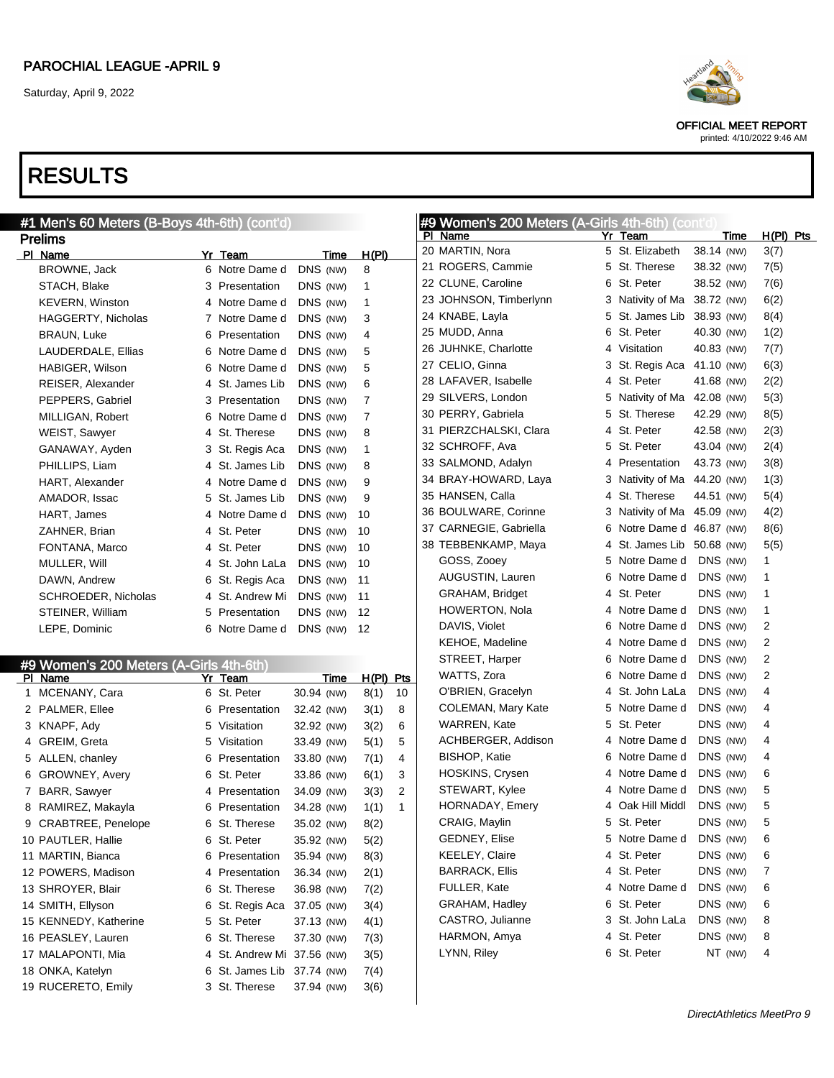

OFFICIAL MEET REPORT printed: 4/10/2022 9:46 AM

|   | #1 Men's 60 Meters (B-Boys 4th-6th) (cont'd) |   |                            |            |              |    | #9 Women's 200 Meters (A-Girls 4th-6th) (cont'd) |                             |            |                  |
|---|----------------------------------------------|---|----------------------------|------------|--------------|----|--------------------------------------------------|-----------------------------|------------|------------------|
|   | <b>Prelims</b>                               |   |                            |            |              |    | PI Name                                          | Yr Team                     | Time       | <u>H(PI) Pts</u> |
|   | PI Name                                      |   | Yr Team                    | Time       | H(PI)        |    | 20 MARTIN, Nora                                  | 5 St. Elizabeth             | 38.14 (NW) | 3(7)             |
|   | BROWNE, Jack                                 |   | 6 Notre Dame d             | DNS (NW)   | 8            |    | 21 ROGERS, Cammie                                | 5 St. Therese               | 38.32 (NW) | 7(5)             |
|   | STACH, Blake                                 |   | 3 Presentation             | DNS (NW)   | $\mathbf{1}$ |    | 22 CLUNE, Caroline                               | 6 St. Peter                 | 38.52 (NW) | 7(6)             |
|   | <b>KEVERN, Winston</b>                       |   | 4 Notre Dame d             | DNS (NW)   | $\mathbf{1}$ |    | 23 JOHNSON, Timberlynn                           | 3 Nativity of Ma 38.72 (NW) |            | 6(2)             |
|   | HAGGERTY, Nicholas                           |   | 7 Notre Dame d             | DNS (NW)   | 3            |    | 24 KNABE, Layla                                  | 5 St. James Lib 38.93 (NW)  |            | 8(4)             |
|   | BRAUN, Luke                                  |   | 6 Presentation             | DNS (NW)   | 4            |    | 25 MUDD, Anna                                    | 6 St. Peter                 | 40.30 (NW) | 1(2)             |
|   | LAUDERDALE, Ellias                           |   | 6 Notre Dame d             | DNS (NW)   | 5            |    | 26 JUHNKE, Charlotte                             | 4 Visitation                | 40.83 (NW) | 7(7)             |
|   | HABIGER, Wilson                              |   | 6 Notre Dame d             | DNS (NW)   | 5            |    | 27 CELIO, Ginna                                  | 3 St. Regis Aca             | 41.10 (NW) | 6(3)             |
|   | REISER, Alexander                            |   | 4 St. James Lib            | DNS (NW)   | 6            |    | 28 LAFAVER, Isabelle                             | 4 St. Peter                 | 41.68 (NW) | 2(2)             |
|   | PEPPERS, Gabriel                             |   | 3 Presentation             | DNS (NW)   | 7            |    | 29 SILVERS, London                               | 5 Nativity of Ma 42.08 (NW) |            | 5(3)             |
|   | MILLIGAN, Robert                             |   | 6 Notre Dame d             | DNS (NW)   | 7            |    | 30 PERRY, Gabriela                               | 5 St. Therese               | 42.29 (NW) | 8(5)             |
|   | WEIST, Sawyer                                |   | 4 St. Therese              | DNS (NW)   | 8            |    | 31 PIERZCHALSKI, Clara                           | 4 St. Peter                 | 42.58 (NW) | 2(3)             |
|   | GANAWAY, Ayden                               |   | 3 St. Regis Aca            | DNS (NW)   | 1            |    | 32 SCHROFF, Ava                                  | 5 St. Peter                 | 43.04 (NW) | 2(4)             |
|   | PHILLIPS, Liam                               |   | 4 St. James Lib            | DNS (NW)   | 8            |    | 33 SALMOND, Adalyn                               | 4 Presentation              | 43.73 (NW) | 3(8)             |
|   | <b>HART, Alexander</b>                       |   | 4 Notre Dame d             | DNS (NW)   | 9            |    | 34 BRAY-HOWARD, Laya                             | 3 Nativity of Ma 44.20 (NW) |            | 1(3)             |
|   | AMADOR, Issac                                |   | 5 St. James Lib            | DNS (NW)   | 9            |    | 35 HANSEN, Calla                                 | 4 St. Therese               | 44.51 (NW) | 5(4)             |
|   | HART, James                                  |   | 4 Notre Dame d             | DNS (NW)   | 10           |    | 36 BOULWARE, Corinne                             | 3 Nativity of Ma 45.09 (NW) |            | 4(2)             |
|   | ZAHNER, Brian                                |   | 4 St. Peter                | DNS (NW)   | 10           |    | 37 CARNEGIE, Gabriella                           | 6 Notre Dame d 46.87 (NW)   |            | 8(6)             |
|   | FONTANA, Marco                               |   | 4 St. Peter                | DNS (NW)   | 10           |    | 38 TEBBENKAMP, Maya                              | 4 St. James Lib 50.68 (NW)  |            | 5(5)             |
|   | MULLER, Will                                 |   | 4 St. John LaLa            | DNS (NW)   | 10           |    | GOSS, Zooey                                      | 5 Notre Dame d              | DNS (NW)   | 1                |
|   | DAWN, Andrew                                 |   | 6 St. Regis Aca            | DNS (NW)   | 11           |    | AUGUSTIN, Lauren                                 | 6 Notre Dame d              | DNS (NW)   | -1               |
|   | <b>SCHROEDER, Nicholas</b>                   |   | 4 St. Andrew Mi            | DNS (NW)   | 11           |    | GRAHAM, Bridget                                  | 4 St. Peter                 | DNS (NW)   | $\mathbf 1$      |
|   | STEINER, William                             |   | 5 Presentation             | DNS (NW)   | 12           |    | <b>HOWERTON, Nola</b>                            | 4 Notre Dame d              | DNS (NW)   | 1                |
|   | LEPE, Dominic                                |   | 6 Notre Dame d             | DNS (NW)   | 12           |    | DAVIS, Violet                                    | 6 Notre Dame d              | DNS (NW)   | 2                |
|   |                                              |   |                            |            |              |    | KEHOE, Madeline                                  | 4 Notre Dame d              | DNS (NW)   | $\overline{2}$   |
|   | #9 Women's 200 Meters (A-Girls 4th-6th)      |   |                            |            |              |    | STREET, Harper                                   | 6 Notre Dame d              | DNS (NW)   | 2                |
|   | PI Name                                      |   | Yr Team                    | Time       | H(PI) Pts    |    | WATTS, Zora                                      | 6 Notre Dame d              | DNS (NW)   | $\overline{2}$   |
|   | 1 MCENANY, Cara                              |   | 6 St. Peter                | 30.94 (NW) | 8(1)         | 10 | O'BRIEN, Gracelyn                                | 4 St. John LaLa             | DNS (NW)   | 4                |
|   | 2 PALMER, Ellee                              |   | 6 Presentation             | 32.42 (NW) | 3(1)         | 8  | COLEMAN, Mary Kate                               | 5 Notre Dame d              | DNS (NW)   | 4                |
|   | 3 KNAPF, Ady                                 |   | 5 Visitation               | 32.92 (NW) | 3(2)         | 6  | WARREN, Kate                                     | 5 St. Peter                 | DNS (NW)   | 4                |
| 4 | GREIM, Greta                                 |   | 5 Visitation               | 33.49 (NW) | 5(1)         | 5  | ACHBERGER, Addison                               | 4 Notre Dame d              | DNS (NW)   | 4                |
|   | 5 ALLEN, chanley                             |   | 6 Presentation             | 33.80 (NW) | 7(1)         | 4  | <b>BISHOP, Katie</b>                             | 6 Notre Dame d              | DNS (NW)   | 4                |
| 6 | <b>GROWNEY, Avery</b>                        | 6 | St. Peter                  | 33.86 (NW) | 6(1)         | 3  | HOSKINS, Crysen                                  | 4 Notre Dame d              | DNS (NW)   | 6                |
|   | 7 BARR, Sawyer                               |   | 4 Presentation             | 34.09 (NW) | 3(3)         | 2  | STEWART, Kylee                                   | 4 Notre Dame d              | DNS (NW)   | 5                |
|   | 8 RAMIREZ, Makayla                           |   | 6 Presentation             | 34.28 (NW) | 1(1)         | 1  | HORNADAY, Emery                                  | 4 Oak Hill Middl            | DNS (NW)   | 5                |
|   | 9 CRABTREE, Penelope                         |   | 6 St. Therese              | 35.02 (NW) | 8(2)         |    | CRAIG, Maylin                                    | 5 St. Peter                 | DNS (NW)   | 5                |
|   | 10 PAUTLER, Hallie                           |   | 6 St. Peter                | 35.92 (NW) | 5(2)         |    | GEDNEY, Elise                                    | 5 Notre Dame d              | DNS (NW)   | 6                |
|   | 11 MARTIN, Bianca                            |   | 6 Presentation             | 35.94 (NW) | 8(3)         |    | <b>KEELEY, Claire</b>                            | 4 St. Peter                 | DNS (NW)   | 6                |
|   | 12 POWERS, Madison                           |   | 4 Presentation             | 36.34 (NW) | 2(1)         |    | <b>BARRACK, Ellis</b>                            | 4 St. Peter                 | DNS (NW)   | 7                |
|   | 13 SHROYER, Blair                            |   | 6 St. Therese              | 36.98 (NW) | 7(2)         |    | FULLER, Kate                                     | 4 Notre Dame d              | DNS (NW)   | 6                |
|   | 14 SMITH, Ellyson                            |   | 6 St. Regis Aca            | 37.05 (NW) | 3(4)         |    | <b>GRAHAM, Hadley</b>                            | 6 St. Peter                 | DNS (NW)   | 6                |
|   | 15 KENNEDY, Katherine                        |   | 5 St. Peter                | 37.13 (NW) | 4(1)         |    | CASTRO, Julianne                                 | 3 St. John LaLa             | DNS (NW)   | 8                |
|   | 16 PEASLEY, Lauren                           |   | 6 St. Therese              | 37.30 (NW) | 7(3)         |    | HARMON, Amya                                     | 4 St. Peter                 | DNS (NW)   | 8                |
|   | 17 MALAPONTI, Mia                            |   | 4 St. Andrew Mi 37.56 (NW) |            | 3(5)         |    | LYNN, Riley                                      | 6 St. Peter                 | NT (NW)    | 4                |
|   | 18 ONKA, Katelyn                             |   | 6 St. James Lib 37.74 (NW) |            | 7(4)         |    |                                                  |                             |            |                  |
|   | 19 RUCERETO, Emily                           |   | 3 St. Therese              | 37.94 (NW) | 3(6)         |    |                                                  |                             |            |                  |
|   |                                              |   |                            |            |              |    |                                                  |                             |            |                  |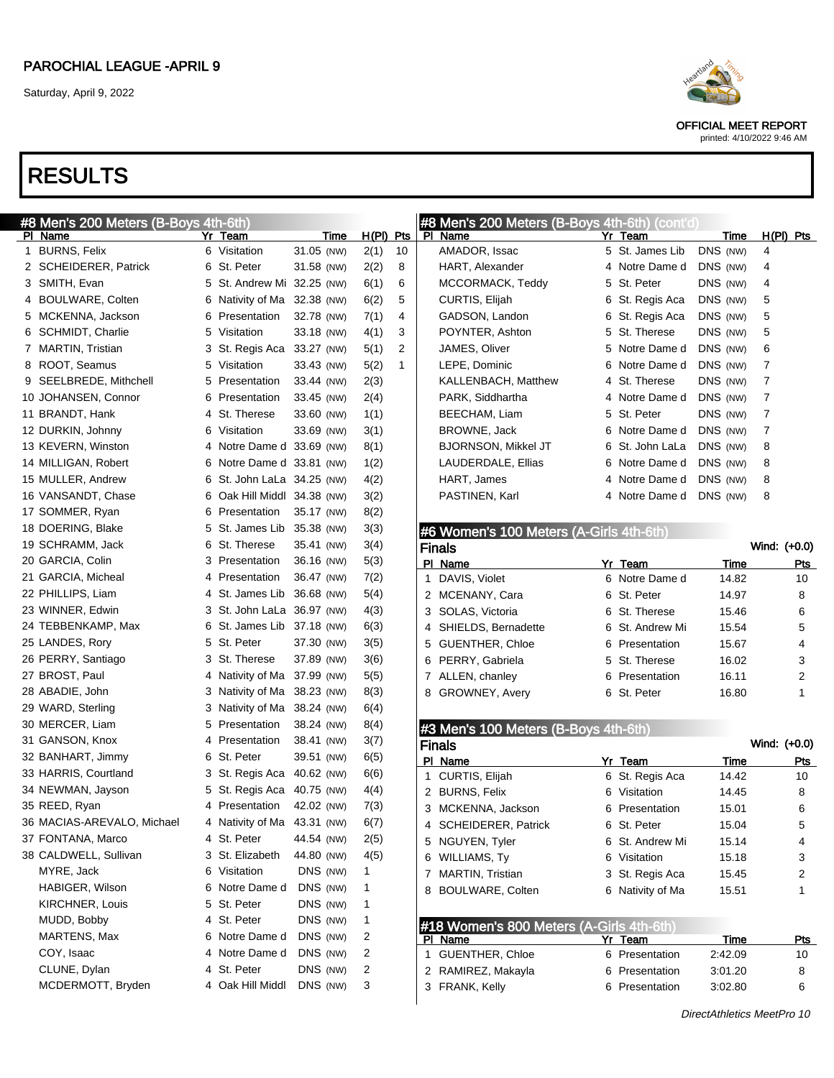

OFFICIAL MEET REPORT

#### printed: 4/10/2022 9:46 AM

| #8 Men's 200 Meters (B-Boys 4th-6th) |                  |                             |              |    | #8 Men's 200 Meters (B-Boys 4th-6th) (cont'd) |                    |             |                |
|--------------------------------------|------------------|-----------------------------|--------------|----|-----------------------------------------------|--------------------|-------------|----------------|
| PI Name                              | Yr<br>Team       | Time                        | $H(PI)$ Pts  |    | PI Name                                       | Yr Team            | Time        | $H(PI)$ Pts    |
| 1 BURNS, Felix                       | 6 Visitation     | 31.05 (NW)                  | 2(1)         | 10 | AMADOR, Issac                                 | 5 St. James Lib    | DNS (NW)    | 4              |
| 2 SCHEIDERER, Patrick                | 6 St. Peter      | 31.58 (NW)                  | 2(2)         | 8  | HART, Alexander                               | 4 Notre Dame d     | DNS (NW)    | 4              |
| 3 SMITH, Evan                        |                  | 5 St. Andrew Mi 32.25 (NW)  | 6(1)         | 6  | MCCORMACK, Teddy                              | 5 St. Peter        | DNS (NW)    | 4              |
| BOULWARE, Colten<br>4                |                  | 6 Nativity of Ma 32.38 (NW) | 6(2)         | 5  | CURTIS, Elijah                                | 6 St. Regis Aca    | DNS (NW)    | 5              |
| 5 MCKENNA, Jackson                   | 6 Presentation   | 32.78 (NW)                  | 7(1)         | 4  | GADSON, Landon                                | 6 St. Regis Aca    | DNS (NW)    | 5              |
| 6 SCHMIDT, Charlie                   | 5 Visitation     | 33.18 (NW)                  | 4(1)         | 3  | POYNTER, Ashton                               | 5 St. Therese      | DNS (NW)    | 5              |
| 7 MARTIN, Tristian                   |                  | 3 St. Regis Aca 33.27 (NW)  | 5(1)         | 2  | JAMES, Oliver                                 | 5 Notre Dame d     | DNS (NW)    | 6              |
| 8 ROOT, Seamus                       | 5 Visitation     | 33.43 (NW)                  | 5(2)         | 1  | LEPE, Dominic                                 | Notre Dame d<br>6  | DNS (NW)    | 7              |
| 9 SEELBREDE, Mithchell               | 5 Presentation   | 33.44 (NW)                  | 2(3)         |    | KALLENBACH, Matthew                           | 4 St. Therese      | DNS (NW)    | 7              |
| 10 JOHANSEN, Connor                  | 6 Presentation   | 33.45 (NW)                  | 2(4)         |    | PARK, Siddhartha                              | 4 Notre Dame d     | DNS (NW)    | 7              |
| 11 BRANDT, Hank                      | 4 St. Therese    | 33.60 (NW)                  | 1(1)         |    | BEECHAM, Liam                                 | 5 St. Peter        | DNS (NW)    | 7              |
| 12 DURKIN, Johnny                    | 6 Visitation     | 33.69 (NW)                  | 3(1)         |    | <b>BROWNE, Jack</b>                           | 6 Notre Dame d     | DNS (NW)    | 7              |
| 13 KEVERN, Winston                   |                  | 4 Notre Dame d 33.69 (NW)   | 8(1)         |    | <b>BJORNSON, Mikkel JT</b>                    | 6 St. John LaLa    | DNS (NW)    | 8              |
| 14 MILLIGAN, Robert                  |                  | 6 Notre Dame d 33.81 (NW)   | 1(2)         |    | LAUDERDALE, Ellias                            | 6 Notre Dame d     | DNS (NW)    | 8              |
| 15 MULLER, Andrew                    |                  | 6 St. John LaLa 34.25 (NW)  | 4(2)         |    | HART, James                                   | 4 Notre Dame d     | DNS (NW)    | 8              |
| 16 VANSANDT, Chase                   |                  | 6 Oak Hill Middl 34.38 (NW) | 3(2)         |    | PASTINEN, Karl                                | 4 Notre Dame d     | DNS (NW)    | 8              |
| 17 SOMMER, Ryan                      | 6 Presentation   | 35.17 (NW)                  | 8(2)         |    |                                               |                    |             |                |
| 18 DOERING, Blake                    |                  | 5 St. James Lib 35.38 (NW)  | 3(3)         |    | #6 Women's 100 Meters (A-Girls 4th-6th)       |                    |             |                |
| 19 SCHRAMM, Jack                     | 6 St. Therese    | 35.41 (NW)                  | 3(4)         |    | <b>Finals</b>                                 |                    |             | Wind: (+0.0)   |
| 20 GARCIA, Colin                     | 3 Presentation   | 36.16 (NW)                  | 5(3)         |    | PI Name                                       | Yr Team            | <b>Time</b> | Pts            |
| 21 GARCIA, Micheal                   | 4 Presentation   | 36.47 (NW)                  | 7(2)         |    | 1 DAVIS, Violet                               | 6 Notre Dame d     | 14.82       | 10             |
| 22 PHILLIPS, Liam                    |                  | 4 St. James Lib 36.68 (NW)  | 5(4)         |    | 2 MCENANY, Cara                               | St. Peter<br>6     | 14.97       | 8              |
| 23 WINNER, Edwin                     |                  | 3 St. John LaLa 36.97 (NW)  | 4(3)         |    | 3 SOLAS, Victoria                             | St. Therese<br>6   | 15.46       | 6              |
| 24 TEBBENKAMP, Max                   |                  | 6 St. James Lib 37.18 (NW)  | 6(3)         |    | 4 SHIELDS, Bernadette                         | St. Andrew Mi<br>6 | 15.54       | 5              |
| 25 LANDES, Rory                      | 5 St. Peter      | 37.30 (NW)                  | 3(5)         |    | 5 GUENTHER, Chloe                             | 6<br>Presentation  | 15.67       | 4              |
| 26 PERRY, Santiago                   | 3 St. Therese    | 37.89 (NW)                  | 3(6)         |    | 6 PERRY, Gabriela                             | St. Therese<br>5   | 16.02       | 3              |
| 27 BROST, Paul                       |                  | 4 Nativity of Ma 37.99 (NW) | 5(5)         |    | 7 ALLEN, chanley                              | Presentation<br>6  | 16.11       | $\overline{2}$ |
| 28 ABADIE, John                      |                  | 3 Nativity of Ma 38.23 (NW) | 8(3)         |    | 8 GROWNEY, Avery                              | 6 St. Peter        | 16.80       | $\mathbf{1}$   |
| 29 WARD, Sterling                    |                  | 3 Nativity of Ma 38.24 (NW) | 6(4)         |    |                                               |                    |             |                |
| 30 MERCER, Liam                      | 5 Presentation   | 38.24 (NW)                  | 8(4)         |    | #3 Men's 100 Meters (B-Boys 4th-6th)          |                    |             |                |
| 31 GANSON, Knox                      | 4 Presentation   | 38.41 (NW)                  | 3(7)         |    | <b>Finals</b>                                 |                    |             | Wind: (+0.0)   |
| 32 BANHART, Jimmy                    | 6 St. Peter      | 39.51 (NW)                  | 6(5)         |    | PI Name                                       | Yr Team            | Time        | <b>Pts</b>     |
| 33 HARRIS, Courtland                 |                  | 3 St. Regis Aca 40.62 (NW)  | 6(6)         |    | 1 CURTIS, Elijah                              | 6 St. Regis Aca    | 14.42       | 10             |
| 34 NEWMAN, Jayson                    |                  | 5 St. Regis Aca 40.75 (NW)  | 4(4)         |    | 2 BURNS, Felix                                | Visitation<br>6    | 14.45       | 8              |
| 35 REED, Ryan                        | 4 Presentation   | 42.02 (NW)                  | 7(3)         |    | 3 MCKENNA, Jackson                            | 6 Presentation     | 15.01       | 6              |
| 36 MACIAS-AREVALO, Michael           |                  | 4 Nativity of Ma 43.31 (NW) | 6(7)         |    | 4 SCHEIDERER, Patrick                         | 6 St. Peter        | 15.04       | 5              |
| 37 FONTANA, Marco                    | 4 St. Peter      | 44.54 (NW)                  | 2(5)         |    | 5 NGUYEN, Tyler                               | 6 St. Andrew Mi    | 15.14       |                |
| 38 CALDWELL, Sullivan                | 3 St. Elizabeth  | 44.80 (NW)                  | 4(5)         |    |                                               | 6 Visitation       |             | 4              |
| MYRE, Jack                           | 6 Visitation     | DNS (NW)                    | $\mathbf{1}$ |    | 6 WILLIAMS, Ty                                |                    | 15.18       | 3              |
| HABIGER, Wilson                      | 6 Notre Dame d   | DNS (NW)                    | 1            |    | 7 MARTIN, Tristian                            | 3 St. Regis Aca    | 15.45       | 2              |
| <b>KIRCHNER, Louis</b>               | 5 St. Peter      | DNS (NW)                    | 1            |    | 8 BOULWARE, Colten                            | 6 Nativity of Ma   | 15.51       | 1              |
| MUDD, Bobby                          | 4 St. Peter      | DNS (NW)                    | 1            |    |                                               |                    |             |                |
| MARTENS, Max                         | 6 Notre Dame d   | DNS (NW)                    |              |    | #18 Women's 800 Meters (A-Girls 4th-6th)      |                    |             |                |
| COY, Isaac                           | 4 Notre Dame d   |                             | 2            |    | PI Name                                       | Yr Team            | <u>Time</u> | <u>Pts</u>     |
|                                      | 4 St. Peter      | DNS (NW)<br>DNS (NW)        | 2            |    | 1 GUENTHER, Chloe                             | 6 Presentation     | 2:42.09     | 10             |
| CLUNE, Dylan<br>MCDERMOTT, Bryden    |                  |                             | 2            |    | 2 RAMIREZ, Makayla                            | 6 Presentation     | 3:01.20     | 8              |
|                                      | 4 Oak Hill Middl | DNS (NW)                    | 3            |    | 3 FRANK, Kelly                                | 6 Presentation     | 3:02.80     | 6              |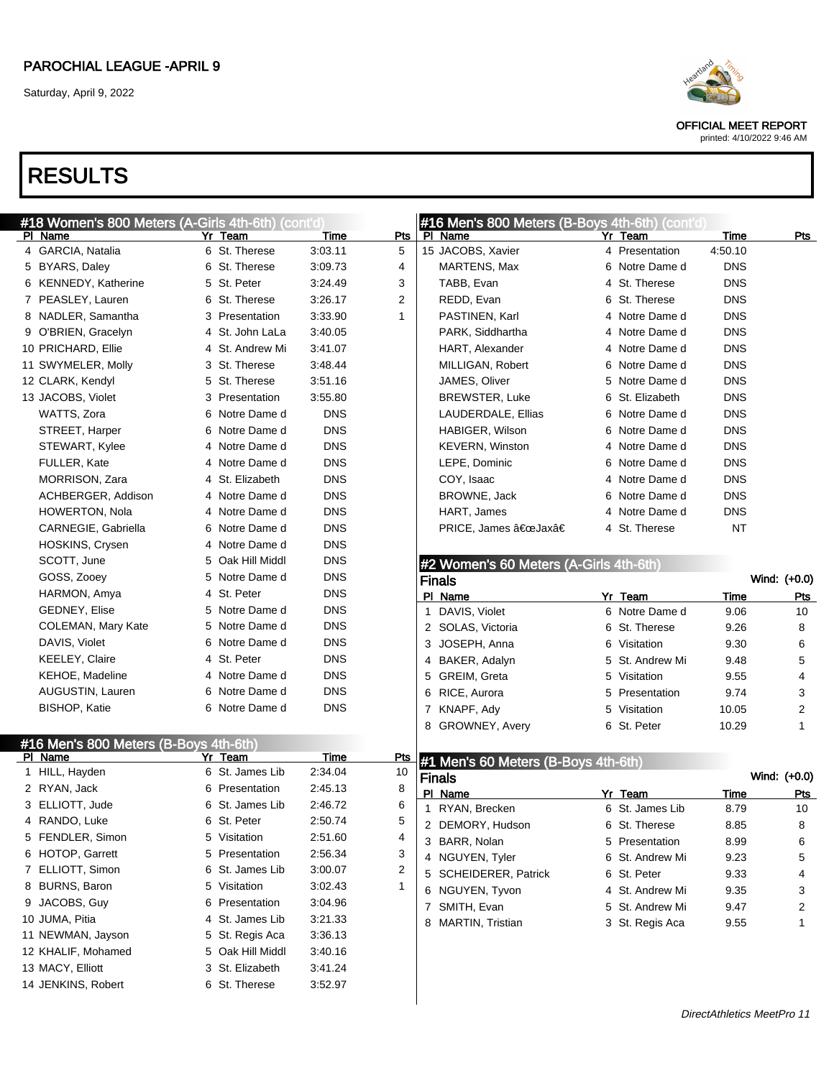Saturday, April 9, 2022

# RESULTS

| #18 Women's 800 Meters (A-Girls 4th-6th) (cont'd)<br>PI Name | Yr Team          | Time       | <b>Pts</b>   | #16 Men's 800 Meters (B-Boys 4th-6th) (cont'd)<br>PI Name |   | Yr Team                    | Time                       | <u>Pts</u>        |
|--------------------------------------------------------------|------------------|------------|--------------|-----------------------------------------------------------|---|----------------------------|----------------------------|-------------------|
| 4 GARCIA, Natalia                                            | 6 St. Therese    | 3:03.11    | 5            | 15 JACOBS, Xavier                                         |   | 4 Presentation             | 4:50.10                    |                   |
| 5 BYARS, Daley                                               | 6 St. Therese    | 3:09.73    | 4            | MARTENS, Max                                              |   | 6 Notre Dame d             | <b>DNS</b>                 |                   |
| 6 KENNEDY, Katherine                                         | 5 St. Peter      | 3:24.49    | 3            | TABB, Evan                                                |   | 4 St. Therese              | <b>DNS</b>                 |                   |
| 7 PEASLEY, Lauren                                            | 6 St. Therese    | 3:26.17    | 2            | REDD, Evan                                                |   | 6 St. Therese              | <b>DNS</b>                 |                   |
| NADLER, Samantha<br>8                                        | 3 Presentation   | 3:33.90    | $\mathbf{1}$ | PASTINEN, Karl                                            |   | 4 Notre Dame d             | <b>DNS</b>                 |                   |
| O'BRIEN, Gracelyn<br>9                                       | 4 St. John LaLa  | 3:40.05    |              | PARK, Siddhartha                                          |   | 4 Notre Dame d             | <b>DNS</b>                 |                   |
| 10 PRICHARD, Ellie                                           | 4 St. Andrew Mi  | 3:41.07    |              | HART, Alexander                                           |   | 4 Notre Dame d             | <b>DNS</b>                 |                   |
| 11 SWYMELER, Molly                                           | 3 St. Therese    | 3:48.44    |              | MILLIGAN, Robert                                          |   | 6 Notre Dame d             | <b>DNS</b>                 |                   |
| 12 CLARK, Kendyl                                             | 5 St. Therese    | 3:51.16    |              | JAMES, Oliver                                             |   | 5 Notre Dame d             | <b>DNS</b>                 |                   |
| 13 JACOBS, Violet                                            | 3 Presentation   | 3:55.80    |              | <b>BREWSTER, Luke</b>                                     |   | 6 St. Elizabeth            | <b>DNS</b>                 |                   |
| WATTS, Zora                                                  | 6 Notre Dame d   | <b>DNS</b> |              | LAUDERDALE, Ellias                                        |   | 6 Notre Dame d             | <b>DNS</b>                 |                   |
| STREET, Harper                                               | 6 Notre Dame d   | <b>DNS</b> |              | HABIGER, Wilson                                           |   | 6 Notre Dame d             | <b>DNS</b>                 |                   |
| STEWART, Kylee                                               | 4 Notre Dame d   | <b>DNS</b> |              | <b>KEVERN, Winston</b>                                    |   | 4 Notre Dame d             | <b>DNS</b>                 |                   |
| FULLER, Kate                                                 | 4 Notre Dame d   | <b>DNS</b> |              | LEPE, Dominic                                             |   | 6 Notre Dame d             | <b>DNS</b>                 |                   |
| MORRISON, Zara                                               | 4 St. Elizabeth  | <b>DNS</b> |              | COY, Isaac                                                |   | 4 Notre Dame d             | <b>DNS</b>                 |                   |
| ACHBERGER, Addison                                           | 4 Notre Dame d   | <b>DNS</b> |              | BROWNE, Jack                                              |   | 6 Notre Dame d             | <b>DNS</b>                 |                   |
| <b>HOWERTON, Nola</b>                                        | 4 Notre Dame d   | <b>DNS</b> |              | HART, James                                               |   | 4 Notre Dame d             | <b>DNS</b>                 |                   |
| CARNEGIE, Gabriella                                          | 6 Notre Dame d   | <b>DNS</b> |              | PRICE, James "Jaxâ€                                       |   | 4 St. Therese              | <b>NT</b>                  |                   |
| HOSKINS, Crysen                                              | 4 Notre Dame d   | <b>DNS</b> |              |                                                           |   |                            |                            |                   |
| SCOTT, June                                                  | 5 Oak Hill Middl | <b>DNS</b> |              |                                                           |   |                            |                            |                   |
| GOSS, Zooey                                                  | 5 Notre Dame d   | <b>DNS</b> |              | #2 Women's 60 Meters (A-Girls 4th-6th)                    |   |                            |                            | Wind: (+0.0)      |
| HARMON, Amya                                                 | 4 St. Peter      | <b>DNS</b> |              | <b>Finals</b>                                             |   | Yr Team                    |                            |                   |
| GEDNEY, Elise                                                | 5 Notre Dame d   | <b>DNS</b> |              | PI Name<br>1 DAVIS, Violet                                |   | 6 Notre Dame d             | <b>Time</b><br>9.06        | Pts<br>10         |
| COLEMAN, Mary Kate                                           | 5 Notre Dame d   | <b>DNS</b> |              | 2 SOLAS, Victoria                                         |   | 6 St. Therese              | 9.26                       | 8                 |
| DAVIS, Violet                                                | 6 Notre Dame d   | <b>DNS</b> |              | 3 JOSEPH, Anna                                            |   | 6 Visitation               | 9.30                       | 6                 |
| <b>KEELEY, Claire</b>                                        | 4 St. Peter      | <b>DNS</b> |              | 4 BAKER, Adalyn                                           |   | 5 St. Andrew Mi            | 9.48                       | 5                 |
| KEHOE, Madeline                                              | 4 Notre Dame d   | <b>DNS</b> |              | 5 GREIM, Greta                                            |   | 5 Visitation               | 9.55                       | 4                 |
| AUGUSTIN, Lauren                                             | 6 Notre Dame d   | <b>DNS</b> |              | 6 RICE, Aurora                                            | 5 | Presentation               | 9.74                       | 3                 |
| BISHOP, Katie                                                | 6 Notre Dame d   | <b>DNS</b> |              | 7 KNAPF, Ady                                              |   | 5 Visitation               |                            |                   |
|                                                              |                  |            |              | 8 GROWNEY, Avery                                          |   | 6 St. Peter                | 10.05<br>10.29             | 2<br>$\mathbf{1}$ |
|                                                              |                  |            |              |                                                           |   |                            |                            |                   |
| #16 Men's 800 Meters (B-Boys 4th-6th)<br>PI Name             | Yr Team          | Time       | <u>Pts</u>   |                                                           |   |                            |                            |                   |
| 1 HILL, Hayden                                               | 6 St. James Lib  | 2:34.04    | 10           | #1 Men's 60 Meters (B-Boys 4th-6th)                       |   |                            |                            |                   |
| 2 RYAN, Jack                                                 | 6 Presentation   | 2:45.13    | 8            | <b>Finals</b>                                             |   |                            |                            | Wind: (+0.0)      |
| 3 ELLIOTT, Jude                                              | 6 St. James Lib  | 2:46.72    | 6            | PI Name                                                   |   | Yr Team<br>6 St. James Lib | <b>Time</b>                | <u>Pts</u>        |
| 4 RANDO, Luke                                                | 6 St. Peter      | 2:50.74    | 5            | 1 RYAN, Brecken                                           |   |                            | 8.79                       | 10                |
| 5 FENDLER, Simon                                             | 5 Visitation     | 2:51.60    | 4            | 2 DEMORY, Hudson                                          |   | 6 St. Therese              | 8.85                       | 8                 |
| 6 HOTOP, Garrett                                             | 5 Presentation   | 2:56.34    | 3            | 3 BARR, Nolan                                             |   | 5 Presentation             | 8.99                       | 6                 |
| 7 ELLIOTT, Simon                                             | 6 St. James Lib  | 3:00.07    | 2            | 4 NGUYEN, Tyler                                           |   | 6 St. Andrew Mi            | 9.23                       | 5                 |
| 8 BURNS, Baron                                               | 5 Visitation     | 3:02.43    | 1            | 5 SCHEIDERER, Patrick                                     |   | 6 St. Peter                | 9.33                       | 4                 |
| 9 JACOBS, Guy                                                | 6 Presentation   | 3:04.96    |              | 6 NGUYEN, Tyvon                                           |   | 4 St. Andrew Mi            | 9.35                       | 3                 |
| 10 JUMA, Pitia                                               | 4 St. James Lib  | 3:21.33    |              | 7 SMITH, Evan                                             |   | 5 St. Andrew Mi            | 9.47                       | 2                 |
| 11 NEWMAN, Jayson                                            | 5 St. Regis Aca  | 3:36.13    |              | 8 MARTIN, Tristian                                        |   | 3 St. Regis Aca            | 9.55                       | 1                 |
| 12 KHALIF, Mohamed                                           | 5 Oak Hill Middl | 3:40.16    |              |                                                           |   |                            |                            |                   |
| 13 MACY, Elliott                                             | 3 St. Elizabeth  | 3:41.24    |              |                                                           |   |                            |                            |                   |
| 14 JENKINS, Robert                                           | 6 St. Therese    | 3:52.97    |              |                                                           |   |                            |                            |                   |
|                                                              |                  |            |              |                                                           |   |                            |                            |                   |
|                                                              |                  |            |              |                                                           |   |                            | DirectAthletics MeetPro 11 |                   |

OFFICIAL MEET REPORT printed: 4/10/2022 9:46 AM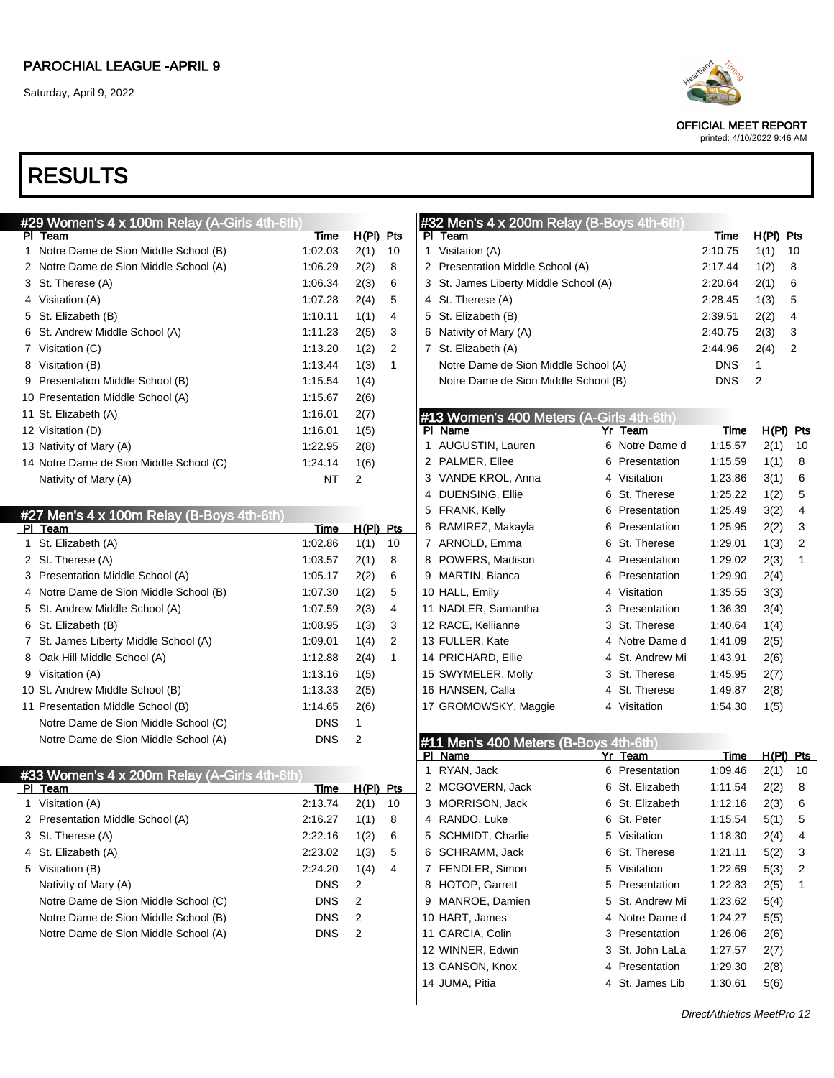Saturday, April 9, 2022



OFFICIAL MEET REPORT

#### printed: 4/10/2022 9:46 AM

| #29 Women's 4 x 100m Relay (A-Girls 4th-6th) |            |             |              | #32 Men's 4 x 200m Relay (B-Boys 4th-6th) |                    |                            |             |                |
|----------------------------------------------|------------|-------------|--------------|-------------------------------------------|--------------------|----------------------------|-------------|----------------|
| PI Team                                      | Time       | $H(PI)$ Pts |              | PI Team                                   |                    | Time                       | $H(PI)$ Pts |                |
| 1 Notre Dame de Sion Middle School (B)       | 1:02.03    | 2(1)        | 10           | 1 Visitation (A)                          |                    | 2:10.75                    | 1(1)        | 10             |
| 2 Notre Dame de Sion Middle School (A)       | 1:06.29    | 2(2)        | 8            | 2 Presentation Middle School (A)          |                    | 2:17.44                    | 1(2)        | 8              |
| 3 St. Therese (A)                            | 1:06.34    | 2(3)        | 6            | 3 St. James Liberty Middle School (A)     |                    | 2:20.64                    | 2(1)        | 6              |
| 4 Visitation (A)                             | 1:07.28    | 2(4)        | 5            | 4 St. Therese (A)                         |                    | 2:28.45                    | 1(3)        | 5              |
| 5 St. Elizabeth (B)                          | 1:10.11    | 1(1)        | 4            | 5 St. Elizabeth (B)                       |                    | 2:39.51                    | 2(2)        | 4              |
| 6 St. Andrew Middle School (A)               | 1:11.23    | 2(5)        | 3            | 6 Nativity of Mary (A)                    |                    | 2:40.75                    | 2(3)        | 3              |
| 7 Visitation (C)                             | 1:13.20    | 1(2)        | 2            | 7 St. Elizabeth (A)                       |                    | 2:44.96                    | 2(4)        | 2              |
| 8 Visitation (B)                             | 1:13.44    | 1(3)        | $\mathbf{1}$ | Notre Dame de Sion Middle School (A)      |                    | DNS                        | 1           |                |
| 9 Presentation Middle School (B)             | 1:15.54    | 1(4)        |              | Notre Dame de Sion Middle School (B)      |                    | <b>DNS</b>                 | 2           |                |
| 10 Presentation Middle School (A)            | 1:15.67    | 2(6)        |              |                                           |                    |                            |             |                |
| 11 St. Elizabeth (A)                         | 1:16.01    | 2(7)        |              | #13 Women's 400 Meters (A-Girls 4th-6th)  |                    |                            |             |                |
| 12 Visitation (D)                            | 1:16.01    | 1(5)        |              | PI Name                                   | Yr Team            | Time                       |             | $H(PI)$ Pts    |
| 13 Nativity of Mary (A)                      | 1:22.95    | 2(8)        |              | 1 AUGUSTIN, Lauren                        | 6 Notre Dame d     | 1:15.57                    | 2(1)        | 10             |
| 14 Notre Dame de Sion Middle School (C)      | 1:24.14    | 1(6)        |              | 2 PALMER, Ellee                           | 6<br>Presentation  | 1:15.59                    | 1(1)        | 8              |
| Nativity of Mary (A)                         | NT         | 2           |              | 3 VANDE KROL, Anna                        | 4 Visitation       | 1:23.86                    | 3(1)        | 6              |
|                                              |            |             |              | 4 DUENSING, Ellie                         | 6<br>St. Therese   | 1:25.22                    | 1(2)        | 5              |
| #27 Men's 4 x 100m Relay (B-Boys 4th-6th)    |            |             |              | 5 FRANK, Kelly                            | Presentation<br>6  | 1:25.49                    | 3(2)        | 4              |
| PI Team                                      | Time       | $H(PI)$ Pts |              | 6 RAMIREZ, Makayla                        | Presentation<br>6  | 1:25.95                    | 2(2)        | 3              |
| 1 St. Elizabeth (A)                          | 1:02.86    | 1(1)        | 10           | 7 ARNOLD, Emma                            | 6<br>St. Therese   | 1:29.01                    | 1(3)        | $\overline{2}$ |
| 2 St. Therese (A)                            | 1:03.57    | 2(1)        | 8            | 8 POWERS, Madison                         | Presentation<br>4  | 1:29.02                    | 2(3)        | $\mathbf{1}$   |
| 3 Presentation Middle School (A)             | 1:05.17    | 2(2)        | 6            | 9 MARTIN, Bianca                          | 6<br>Presentation  | 1:29.90                    | 2(4)        |                |
| 4 Notre Dame de Sion Middle School (B)       | 1:07.30    | 1(2)        | 5            | 10 HALL, Emily                            | 4 Visitation       | 1:35.55                    | 3(3)        |                |
| 5 St. Andrew Middle School (A)               | 1:07.59    | 2(3)        | 4            | 11 NADLER, Samantha                       | 3 Presentation     | 1:36.39                    | 3(4)        |                |
| 6 St. Elizabeth (B)                          | 1:08.95    | 1(3)        | 3            | 12 RACE, Kellianne                        | 3 St. Therese      | 1:40.64                    | 1(4)        |                |
| 7 St. James Liberty Middle School (A)        | 1:09.01    | 1(4)        | 2            | 13 FULLER, Kate                           | 4 Notre Dame d     | 1:41.09                    | 2(5)        |                |
| 8 Oak Hill Middle School (A)                 | 1:12.88    | 2(4)        | $\mathbf{1}$ | 14 PRICHARD, Ellie                        | 4 St. Andrew Mi    | 1:43.91                    | 2(6)        |                |
| 9 Visitation (A)                             | 1:13.16    | 1(5)        |              | 15 SWYMELER, Molly                        | 3 St. Therese      | 1:45.95                    | 2(7)        |                |
| 10 St. Andrew Middle School (B)              | 1:13.33    | 2(5)        |              | 16 HANSEN, Calla                          | 4 St. Therese      | 1:49.87                    | 2(8)        |                |
| 11 Presentation Middle School (B)            | 1:14.65    | 2(6)        |              | 17 GROMOWSKY, Maggie                      | 4 Visitation       | 1:54.30                    | 1(5)        |                |
| Notre Dame de Sion Middle School (C)         | <b>DNS</b> | 1           |              |                                           |                    |                            |             |                |
| Notre Dame de Sion Middle School (A)         | <b>DNS</b> | 2           |              | #11 Men's 400 Meters (B-Boys 4th-6th)     |                    |                            |             |                |
|                                              |            |             |              | PI Name                                   | Yr_Team            | Time                       |             | $H(PI)$ Pts    |
| #33 Women's 4 x 200m Relay (A-Girls 4th-6th) |            |             |              | 1 RYAN, Jack                              | 6 Presentation     | 1:09.46                    | 2(1)        | 10             |
| PI Team                                      | Time       | $H(PI)$ Pts |              | 2 MCGOVERN, Jack                          | 6 St. Elizabeth    | 1:11.54                    | 2(2)        | 8              |
| 1 Visitation (A)                             | 2:13.74    | 2(1)        | 10           | 3 MORRISON, Jack                          | 6 St. Elizabeth    | 1:12.16                    | 2(3)        | 6              |
| 2 Presentation Middle School (A)             | 2:16.27    | 1(1)        | 8            | 4 RANDO, Luke                             | 6 St. Peter        | 1:15.54                    | 5(1)        | 5              |
| 3 St. Therese (A)                            | 2:22.16    | 1(2)        | 6            | 5 SCHMIDT, Charlie                        | 5 Visitation       | 1:18.30                    | 2(4)        | 4              |
| 4 St. Elizabeth (A)                          | 2:23.02    | 1(3)        | 5            | 6 SCHRAMM, Jack                           | St. Therese<br>6   | 1:21.11                    | 5(2)        | 3              |
| 5 Visitation (B)                             | 2:24.20    | 1(4)        | 4            | 7 FENDLER, Simon                          | 5 Visitation       | 1:22.69                    | 5(3)        | 2              |
| Nativity of Mary (A)                         | DNS        | 2           |              | 8 HOTOP, Garrett                          | Presentation<br>5  | 1:22.83                    | 2(5)        | 1              |
| Notre Dame de Sion Middle School (C)         | DNS        | 2           |              | 9 MANROE, Damien                          | St. Andrew Mi<br>5 | 1:23.62                    | 5(4)        |                |
| Notre Dame de Sion Middle School (B)         | DNS        | 2           |              | 10 HART, James                            | 4 Notre Dame d     | 1:24.27                    | 5(5)        |                |
| Notre Dame de Sion Middle School (A)         | <b>DNS</b> | 2           |              | 11 GARCIA, Colin                          | 3 Presentation     | 1:26.06                    | 2(6)        |                |
|                                              |            |             |              | 12 WINNER, Edwin                          | 3 St. John LaLa    | 1:27.57                    | 2(7)        |                |
|                                              |            |             |              | 13 GANSON, Knox                           | 4 Presentation     | 1:29.30                    | 2(8)        |                |
|                                              |            |             |              | 14 JUMA, Pitia                            | 4 St. James Lib    | 1:30.61                    | 5(6)        |                |
|                                              |            |             |              |                                           |                    |                            |             |                |
|                                              |            |             |              |                                           |                    | DirectAthletics MeetPro 12 |             |                |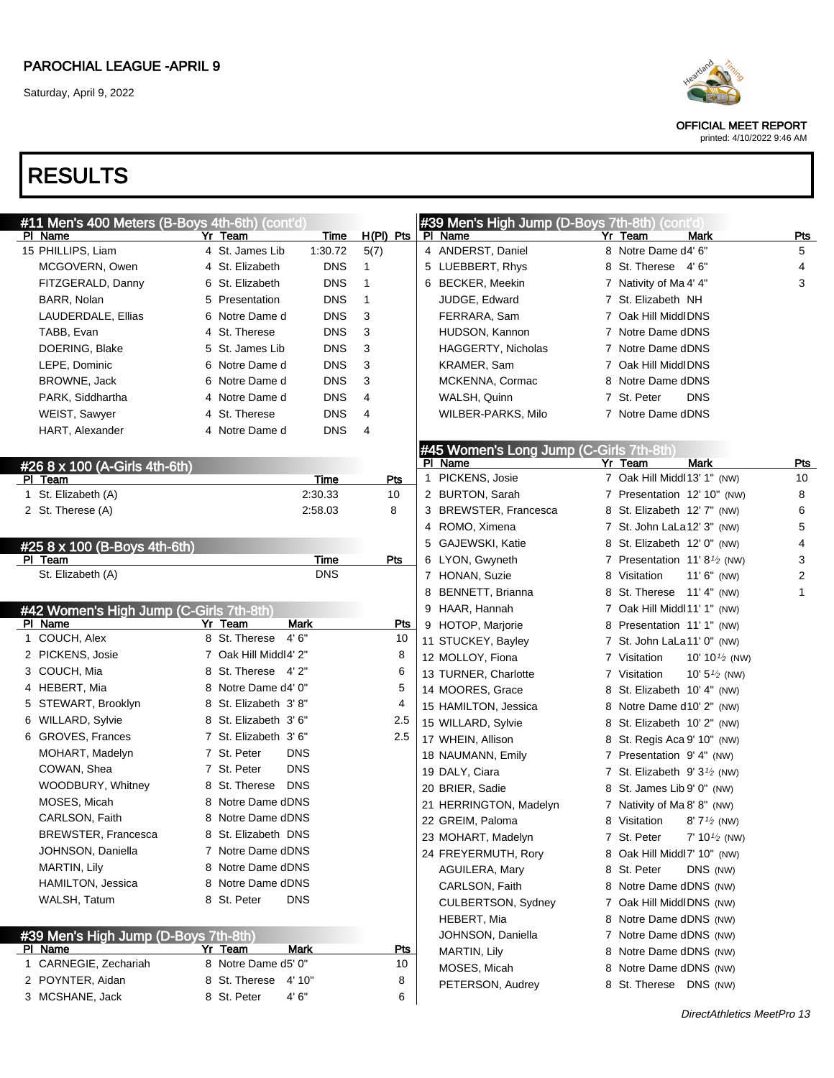OFFICIAL MEET REPORT

printed: 4/10/2022 9:46 AM

| #11 Men's 400 Meters (B-Boys 4th-6th) (cont'd) |                       |             |              |             |   | #39 Men's High Jump (D-Boys 7th-8th) (cont'd) |   |                                        |                           |                |
|------------------------------------------------|-----------------------|-------------|--------------|-------------|---|-----------------------------------------------|---|----------------------------------------|---------------------------|----------------|
| PI Name                                        | Yr Team               | <u>Time</u> |              | $H(PI)$ Pts |   | PI Name                                       |   | Yr Team                                | Mark                      | Pts            |
| 15 PHILLIPS, Liam                              | 4 St. James Lib       | 1:30.72     | 5(7)         |             |   | 4 ANDERST, Daniel                             |   | 8 Notre Dame d4' 6"                    |                           | 5              |
| MCGOVERN, Owen                                 | 4 St. Elizabeth       | <b>DNS</b>  | 1            |             |   | 5 LUEBBERT, Rhys                              |   | 8 St. Therese 4'6"                     |                           | 4              |
| FITZGERALD, Danny                              | 6 St. Elizabeth       | <b>DNS</b>  | $\mathbf{1}$ |             |   | 6 BECKER, Meekin                              |   | 7 Nativity of Ma 4' 4"                 |                           | 3              |
| BARR, Nolan                                    | 5 Presentation        | <b>DNS</b>  | $\mathbf{1}$ |             |   | JUDGE, Edward                                 |   | 7 St. Elizabeth NH                     |                           |                |
| LAUDERDALE, Ellias                             | 6 Notre Dame d        | <b>DNS</b>  | 3            |             |   | FERRARA, Sam                                  |   | 7 Oak Hill MiddlDNS                    |                           |                |
| TABB, Evan                                     | 4 St. Therese         | <b>DNS</b>  | 3            |             |   | HUDSON, Kannon                                |   | 7 Notre Dame dDNS                      |                           |                |
| DOERING, Blake                                 | 5 St. James Lib       | <b>DNS</b>  | 3            |             |   | <b>HAGGERTY, Nicholas</b>                     |   | 7 Notre Dame dDNS                      |                           |                |
| LEPE, Dominic                                  | 6 Notre Dame d        | <b>DNS</b>  | 3            |             |   | KRAMER, Sam                                   |   | 7 Oak Hill MiddlDNS                    |                           |                |
| BROWNE, Jack                                   | 6 Notre Dame d        | <b>DNS</b>  | 3            |             |   | MCKENNA, Cormac                               |   | 8 Notre Dame dDNS                      |                           |                |
| PARK, Siddhartha                               | 4 Notre Dame d        | <b>DNS</b>  | 4            |             |   | WALSH, Quinn                                  |   | 7 St. Peter                            | <b>DNS</b>                |                |
| WEIST, Sawyer                                  | 4 St. Therese         | <b>DNS</b>  | 4            |             |   | WILBER-PARKS, Milo                            |   | 7 Notre Dame dDNS                      |                           |                |
| HART, Alexander                                | 4 Notre Dame d        | <b>DNS</b>  | 4            |             |   |                                               |   |                                        |                           |                |
|                                                |                       |             |              |             |   | #45 Women's Long Jump (C-Girls 7th-8th)       |   |                                        |                           |                |
| #26  8  x  100  (A-Girls 4th-6th)              |                       |             |              |             |   | PI Name                                       |   | Yr Team                                | Mark                      | <b>Pts</b>     |
| PI Team                                        |                       | Time        |              | <b>Pts</b>  | 1 | PICKENS, Josie                                |   | 7 Oak Hill Middl 13' 1" (NW)           |                           | 10             |
| 1 St. Elizabeth (A)                            |                       | 2:30.33     |              | 10          |   | 2 BURTON, Sarah                               |   | 7 Presentation 12' 10" (NW)            |                           | 8              |
| 2 St. Therese (A)                              |                       | 2:58.03     |              | 8           |   | 3 BREWSTER, Francesca                         |   | 8 St. Elizabeth 12' 7" (NW)            |                           | 6              |
|                                                |                       |             |              |             |   | 4 ROMO, Ximena                                |   | 7 St. John LaLa12' 3" (NW)             |                           | 5              |
| #25 8 x 100 (B-Boys 4th-6th)                   |                       |             |              |             |   | 5 GAJEWSKI, Katie                             |   | 8 St. Elizabeth 12' 0" (NW)            |                           | 4              |
| PI Team                                        |                       | Time        |              | Pts         |   | 6 LYON, Gwyneth                               |   | 7 Presentation $11' 8\frac{1}{2}$ (NW) |                           | 3              |
| St. Elizabeth (A)                              |                       | <b>DNS</b>  |              |             |   | 7 HONAN, Suzie                                |   | 8 Visitation                           | $11'6''$ (NW)             | $\overline{2}$ |
|                                                |                       |             |              |             |   | 8 BENNETT, Brianna                            |   | 8 St. Therese 11' 4" (NW)              |                           | 1              |
| #42 Women's High Jump (C-Girls 7th-8th)        |                       |             |              |             |   | 9 HAAR, Hannah                                |   | 7 Oak Hill Middl11' 1" (NW)            |                           |                |
| PI Name                                        | Yr Team               | Mark        |              | <u>Pts</u>  |   | 9 HOTOP, Marjorie                             |   | 8 Presentation 11' 1" (NW)             |                           |                |
| 1 COUCH, Alex                                  | 8 St. Therese<br>4'6" |             |              | 10          |   | 11 STUCKEY, Bayley                            |   | 7 St. John LaLa11' 0" (NW)             |                           |                |
| 2 PICKENS, Josie                               | 7 Oak Hill Middl4' 2" |             |              | 8           |   | 12 MOLLOY, Fiona                              |   | 7 Visitation                           | 10' 10 $\frac{1}{2}$ (NW) |                |
| 3 COUCH, Mia                                   | 8 St. Therese 4'2"    |             |              | 6           |   | 13 TURNER, Charlotte                          |   | 7 Visitation                           | 10' $5\frac{1}{2}$ (NW)   |                |
| 4 HEBERT, Mia                                  | 8 Notre Dame d4' 0"   |             |              | 5           |   | 14 MOORES, Grace                              | 8 | St. Elizabeth 10' 4" (NW)              |                           |                |
| 5 STEWART, Brooklyn                            | 8 St. Elizabeth 3'8"  |             |              | 4           |   | 15 HAMILTON, Jessica                          |   | 8 Notre Dame d10' 2" (NW)              |                           |                |
| 6 WILLARD, Sylvie                              | 8 St. Elizabeth 3'6"  |             |              | 2.5         |   | 15 WILLARD, Sylvie                            |   | 8 St. Elizabeth 10' 2" (NW)            |                           |                |
| 6 GROVES, Frances                              | 7 St. Elizabeth 3' 6" |             |              | 2.5         |   | 17 WHEIN, Allison                             |   | 8 St. Regis Aca 9' 10" (NW)            |                           |                |
| MOHART, Madelyn                                | 7 St. Peter           | <b>DNS</b>  |              |             |   | 18 NAUMANN, Emily                             |   | 7 Presentation 9'4" (NW)               |                           |                |
| COWAN, Shea                                    | 7 St. Peter           | <b>DNS</b>  |              |             |   | 19 DALY, Ciara                                |   | 7 St. Elizabeth $9'3\frac{1}{2}$ (NW)  |                           |                |
| WOODBURY, Whitney                              | 8 St. Therese DNS     |             |              |             |   | 20 BRIER, Sadie                               |   | 8 St. James Lib 9' 0" (NW)             |                           |                |
| MOSES, Micah                                   | 8 Notre Dame dDNS     |             |              |             |   | 21 HERRINGTON, Madelyn                        |   | 7 Nativity of Ma 8' 8" (NW)            |                           |                |
| CARLSON, Faith                                 | 8 Notre Dame dDNS     |             |              |             |   | 22 GREIM, Paloma                              |   | 8 Visitation 8' 7 <sup>1/2</sup> (NW)  |                           |                |
| <b>BREWSTER, Francesca</b>                     | 8 St. Elizabeth DNS   |             |              |             |   | 23 MOHART, Madelyn                            |   | 7 St. Peter                            | $7' 10\frac{1}{2}$ (NW)   |                |
| JOHNSON, Daniella                              | 7 Notre Dame dDNS     |             |              |             |   | 24 FREYERMUTH, Rory                           |   | 8 Oak Hill Middl7' 10" (NW)            |                           |                |
| MARTIN, Lily                                   | 8 Notre Dame dDNS     |             |              |             |   | AGUILERA, Mary                                |   | 8 St. Peter                            | DNS (NW)                  |                |
| HAMILTON, Jessica                              | 8 Notre Dame dDNS     |             |              |             |   | CARLSON, Faith                                |   | 8 Notre Dame dDNS (NW)                 |                           |                |
| WALSH, Tatum                                   | 8 St. Peter           | <b>DNS</b>  |              |             |   | CULBERTSON, Sydney                            |   | 7 Oak Hill MiddlDNS (NW)               |                           |                |
|                                                |                       |             |              |             |   | HEBERT, Mia                                   |   | 8 Notre Dame dDNS (NW)                 |                           |                |
| #39 Men's High Jump (D-Boys 7th-8th)           |                       |             |              |             |   | JOHNSON, Daniella                             |   | 7 Notre Dame dDNS (NW)                 |                           |                |
| PI Name                                        | Yr Team               | Mark        |              | <u>Pts</u>  |   | MARTIN, Lily                                  |   | 8 Notre Dame dDNS (NW)                 |                           |                |
| 1 CARNEGIE, Zechariah                          | 8 Notre Dame d5' 0"   |             |              | 10          |   | MOSES, Micah                                  |   | 8 Notre Dame dDNS (NW)                 |                           |                |
| 2 POYNTER, Aidan                               | 8 St. Therese 4' 10"  |             |              | 8           |   | PETERSON, Audrey                              |   | 8 St. Therese DNS (NW)                 |                           |                |
| 3 MCSHANE, Jack                                | 8 St. Peter           | 4'6''       |              | 6           |   |                                               |   |                                        |                           |                |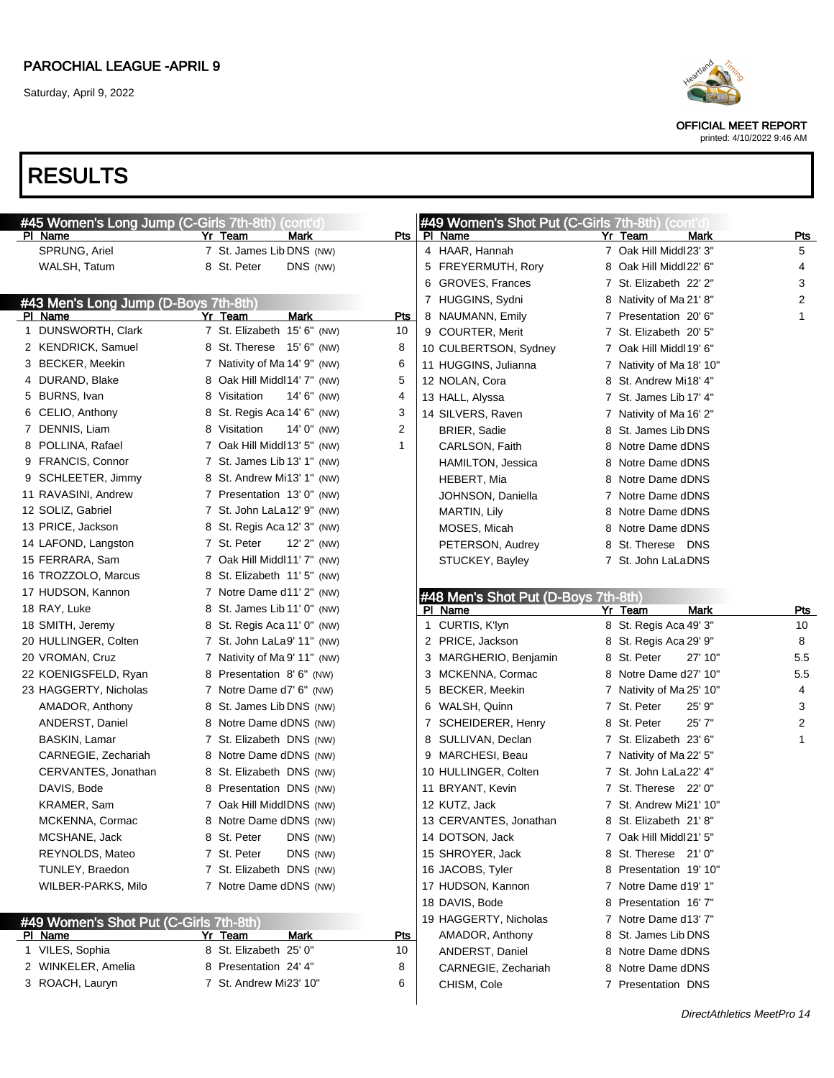

OFFICIAL MEET REPORT

printed: 4/10/2022 9:46 AM

| #45 Women's Long Jump (C-Girls 7th-8th) (cont'd) |                                 |              | #49 Women's Shot Put (C-Girls 7th-8th) (cont'd |                          |              |
|--------------------------------------------------|---------------------------------|--------------|------------------------------------------------|--------------------------|--------------|
| PI Name                                          | Yr Team<br>Mark                 |              | Pts   PI Name                                  | Yr Team<br><b>Mark</b>   | <u>Pts</u>   |
| SPRUNG, Ariel                                    | 7 St. James Lib DNS (NW)        |              | 4 HAAR, Hannah                                 | 7 Oak Hill Middl23' 3"   | 5            |
| WALSH, Tatum                                     | 8 St. Peter<br>DNS (NW)         |              | 5 FREYERMUTH, Rory                             | 8 Oak Hill Middl22' 6"   | 4            |
|                                                  |                                 |              | 6 GROVES, Frances                              | 7 St. Elizabeth 22' 2"   | 3            |
| #43 Men's Long Jump (D-Boys 7th-8th)             |                                 |              | 7 HUGGINS, Sydni                               | 8 Nativity of Ma 21' 8"  | 2            |
| PI Name                                          | Yr Team<br>Mark                 | Pts          | 8 NAUMANN, Emily                               | 7 Presentation 20'6"     | 1            |
| 1 DUNSWORTH, Clark                               | 7 St. Elizabeth 15' 6" (NW)     | 10           | 9 COURTER, Merit                               | 7 St. Elizabeth 20' 5"   |              |
| 2 KENDRICK, Samuel                               | 8 St. Therese 15' 6" (NW)       | 8            | 10 CULBERTSON, Sydney                          | 7 Oak Hill Middl 19' 6"  |              |
| 3 BECKER, Meekin                                 | 7 Nativity of Ma 14' 9" (NW)    | 6            | 11 HUGGINS, Julianna                           | 7 Nativity of Ma 18' 10" |              |
| 4 DURAND, Blake                                  | 8 Oak Hill Middl 14' 7" (NW)    | 5            | 12 NOLAN, Cora                                 | 8 St. Andrew Mi18' 4"    |              |
| 5 BURNS, Ivan                                    | 8 Visitation<br>$14' 6''$ (NW)  | 4            | 13 HALL, Alyssa                                | 7 St. James Lib 17' 4"   |              |
| 6 CELIO, Anthony                                 | 8 St. Regis Aca 14' 6" (NW)     | 3            | 14 SILVERS, Raven                              | 7 Nativity of Ma 16' 2"  |              |
| 7 DENNIS, Liam                                   | 8 Visitation<br>14' $0''$ (NW)  | 2            | <b>BRIER, Sadie</b>                            | 8 St. James Lib DNS      |              |
| 8 POLLINA, Rafael                                | 7 Oak Hill Middl13' 5" (NW)     | $\mathbf{1}$ | CARLSON, Faith                                 | 8 Notre Dame dDNS        |              |
| 9 FRANCIS, Connor                                | 7 St. James Lib 13' 1" (NW)     |              | HAMILTON, Jessica                              | 8 Notre Dame dDNS        |              |
| 9 SCHLEETER, Jimmy                               | 8 St. Andrew Mi13' 1" (NW)      |              | HEBERT, Mia                                    | 8 Notre Dame dDNS        |              |
| 11 RAVASINI, Andrew                              | 7 Presentation 13'0" (NW)       |              | JOHNSON, Daniella                              | 7 Notre Dame dDNS        |              |
| 12 SOLIZ, Gabriel                                | 7 St. John LaLa12' 9" (NW)      |              | MARTIN, Lily                                   | 8 Notre Dame dDNS        |              |
| 13 PRICE, Jackson                                | 8 St. Regis Aca 12' 3" (NW)     |              | MOSES, Micah                                   | 8 Notre Dame dDNS        |              |
| 14 LAFOND, Langston                              | 7 St. Peter<br>$12'$ $2''$ (NW) |              | PETERSON, Audrey                               | 8 St. Therese DNS        |              |
| 15 FERRARA, Sam                                  | 7 Oak Hill Middl11' 7" (NW)     |              | STUCKEY, Bayley                                | 7 St. John LaLaDNS       |              |
| 16 TROZZOLO, Marcus                              | 8 St. Elizabeth 11' 5" (NW)     |              |                                                |                          |              |
| 17 HUDSON, Kannon                                | 7 Notre Dame d11' 2" (NW)       |              | #48 Men's Shot Put (D-Boys 7th-8th)            |                          |              |
| 18 RAY, Luke                                     | 8 St. James Lib 11' 0" (NW)     |              | PI Name                                        | <b>Mark</b><br>Yr Team   | Pts          |
| 18 SMITH, Jeremy                                 | 8 St. Regis Aca 11' 0" (NW)     |              | 1 CURTIS, K'lyn                                | 8 St. Regis Aca 49' 3"   | 10           |
| 20 HULLINGER, Colten                             | 7 St. John LaLa9' 11" (NW)      |              | 2 PRICE, Jackson                               | 8 St. Regis Aca 29' 9"   | 8            |
| 20 VROMAN, Cruz                                  | 7 Nativity of Ma 9' 11" (NW)    |              | 3 MARGHERIO, Benjamin                          | 8 St. Peter<br>27' 10"   | 5.5          |
| 22 KOENIGSFELD, Ryan                             | 8 Presentation 8'6" (NW)        |              | 3 MCKENNA, Cormac                              | 8 Notre Dame d27' 10"    | 5.5          |
| 23 HAGGERTY, Nicholas                            | 7 Notre Dame d7' 6" (NW)        |              | 5 BECKER, Meekin                               | 7 Nativity of Ma 25' 10" | 4            |
| AMADOR, Anthony                                  | 8 St. James Lib DNS (NW)        |              | 6 WALSH, Quinn                                 | 25' 9"<br>7 St. Peter    | 3            |
| ANDERST, Daniel                                  | 8 Notre Dame dDNS (NW)          |              | 7 SCHEIDERER, Henry                            | 8 St. Peter<br>25'7"     | 2            |
| <b>BASKIN, Lamar</b>                             | 7 St. Elizabeth DNS (NW)        |              | 8 SULLIVAN, Declan                             | 7 St. Elizabeth 23' 6"   | $\mathbf{1}$ |
| CARNEGIE, Zechariah                              | 8 Notre Dame dDNS (NW)          |              | 9 MARCHESI, Beau                               | 7 Nativity of Ma 22' 5"  |              |
| CERVANTES, Jonathan                              | 8 St. Elizabeth DNS (NW)        |              | 10 HULLINGER, Colten                           | 7 St. John LaLa22' 4"    |              |
| DAVIS, Bode                                      | 8 Presentation DNS (NW)         |              | 11 BRYANT, Kevin                               | 7 St. Therese 22' 0"     |              |
| KRAMER, Sam                                      | 7 Oak Hill MiddlDNS (NW)        |              | 12 KUTZ, Jack                                  | 7 St. Andrew Mi21' 10"   |              |
| MCKENNA, Cormac                                  | 8 Notre Dame dDNS (NW)          |              | 13 CERVANTES, Jonathan                         | 8 St. Elizabeth 21'8"    |              |
| MCSHANE, Jack                                    | 8 St. Peter<br>DNS (NW)         |              | 14 DOTSON, Jack                                | 7 Oak Hill Middl21' 5"   |              |
| REYNOLDS, Mateo                                  | 7 St. Peter<br>DNS (NW)         |              | 15 SHROYER, Jack                               | 8 St. Therese 21' 0"     |              |
| TUNLEY, Braedon                                  | 7 St. Elizabeth DNS (NW)        |              | 16 JACOBS, Tyler                               | 8 Presentation 19'10"    |              |
| WILBER-PARKS, Milo                               | 7 Notre Dame dDNS (NW)          |              | 17 HUDSON, Kannon                              | 7 Notre Dame d19' 1"     |              |
|                                                  |                                 |              | 18 DAVIS, Bode                                 | 8 Presentation 16'7"     |              |
| #49 Women's Shot Put (C-Girls 7th-8th)           |                                 |              | 19 HAGGERTY, Nicholas                          | 7 Notre Dame d13' 7"     |              |
| PI Name                                          | Yr Team<br>Mark                 | <u>Pts</u>   | AMADOR, Anthony                                | 8 St. James Lib DNS      |              |
| 1 VILES, Sophia                                  | 8 St. Elizabeth 25' 0"          | 10           | ANDERST, Daniel                                | 8 Notre Dame dDNS        |              |
| 2 WINKELER, Amelia                               | 8 Presentation 24' 4"           | 8            | CARNEGIE, Zechariah                            | 8 Notre Dame dDNS        |              |
| 3 ROACH, Lauryn                                  | 7 St. Andrew Mi23' 10"          | 6            | CHISM, Cole                                    | 7 Presentation DNS       |              |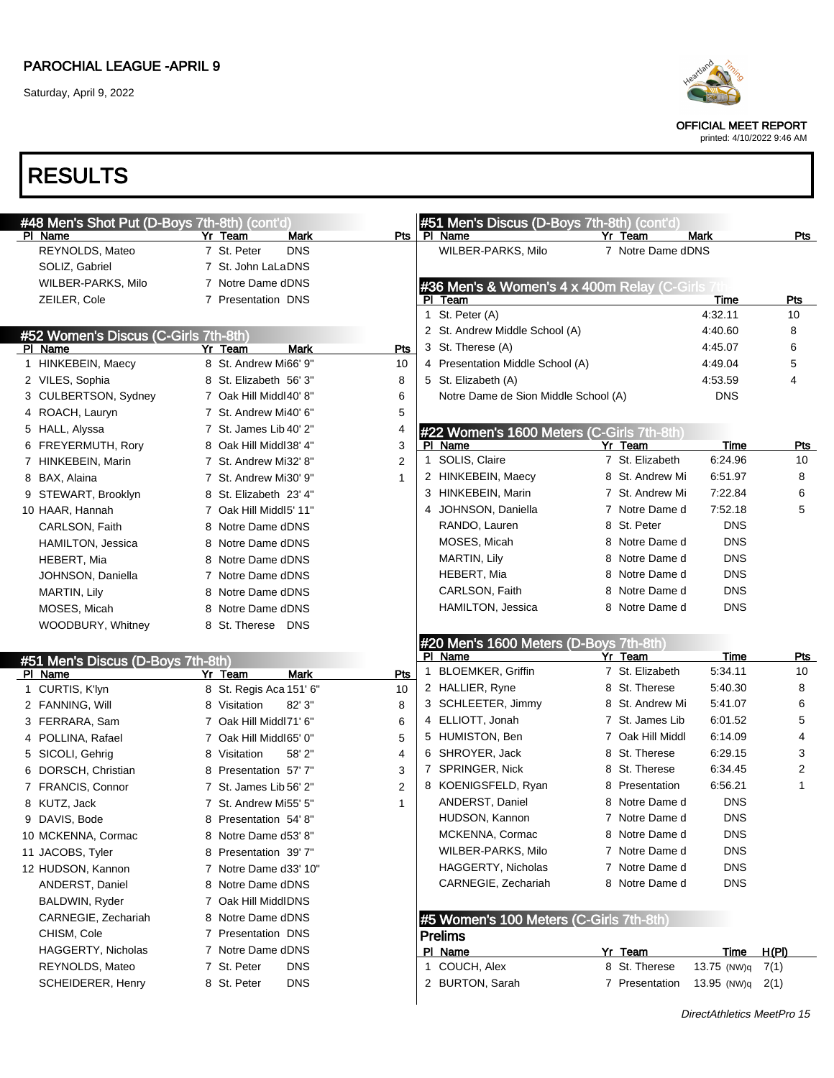Saturday, April 9, 2022



OFFICIAL MEET REPORT

printed: 4/10/2022 9:46 AM

| #48 Men's Shot Put (D-Boys 7th-8th) (cont'd) |                           |              | #51 Men's Discus (D-Boys 7th-8th) (cont'd)     |                   |             |              |
|----------------------------------------------|---------------------------|--------------|------------------------------------------------|-------------------|-------------|--------------|
| PI Name                                      | Mark<br>Yr Team           |              | Pts   PI Name                                  | Yr Team           | <b>Mark</b> | Pts          |
| REYNOLDS, Mateo                              | 7 St. Peter<br><b>DNS</b> |              | WILBER-PARKS, Milo                             | 7 Notre Dame dDNS |             |              |
| SOLIZ, Gabriel                               | 7 St. John LaLaDNS        |              |                                                |                   |             |              |
| WILBER-PARKS, Milo                           | 7 Notre Dame dDNS         |              | #36 Men's & Women's 4 x 400m Relay (C-Girls 7t |                   |             |              |
| ZEILER, Cole                                 | 7 Presentation DNS        |              | PI Team                                        |                   | Time        | <b>Pts</b>   |
|                                              |                           |              | 1 St. Peter (A)                                |                   | 4:32.11     | 10           |
| #52 Women's Discus (C-Girls 7th-8th)         |                           |              | 2 St. Andrew Middle School (A)                 |                   | 4:40.60     | 8            |
| PI Name                                      | <b>Mark</b><br>Yr Team    | Pts          | 3 St. Therese (A)                              |                   | 4:45.07     | 6            |
| 1 HINKEBEIN, Maecy                           | 8 St. Andrew Mi66' 9"     | 10           | 4 Presentation Middle School (A)               |                   | 4:49.04     | 5            |
| 2 VILES, Sophia                              | 8 St. Elizabeth 56' 3"    | 8            | 5 St. Elizabeth (A)                            |                   | 4:53.59     | 4            |
| 3 CULBERTSON, Sydney                         | 7 Oak Hill Middl40' 8"    | 6            | Notre Dame de Sion Middle School (A)           |                   | <b>DNS</b>  |              |
| 4 ROACH, Lauryn                              | 7 St. Andrew Mi40' 6"     | 5            |                                                |                   |             |              |
| 5 HALL, Alyssa                               | 7 St. James Lib 40' 2"    | 4            | #22 Women's 1600 Meters (C-Girls 7th-8th)      |                   |             |              |
| 6 FREYERMUTH, Rory                           | 8 Oak Hill Middl38' 4"    | 3            | PI Name                                        | Yr Team           | Time        | <u>Pts</u>   |
| 7 HINKEBEIN, Marin                           | 7 St. Andrew Mi32' 8"     | 2            | 1 SOLIS, Claire                                | 7 St. Elizabeth   | 6:24.96     | 10           |
| 8 BAX, Alaina                                | 7 St. Andrew Mi30' 9"     | $\mathbf{1}$ | 2 HINKEBEIN, Maecy                             | 8 St. Andrew Mi   | 6:51.97     | 8            |
| 9 STEWART, Brooklyn                          | 8 St. Elizabeth 23' 4"    |              | 3 HINKEBEIN, Marin                             | 7 St. Andrew Mi   | 7:22.84     | 6            |
| 10 HAAR, Hannah                              | 7 Oak Hill Middl5' 11"    |              | 4 JOHNSON, Daniella                            | 7 Notre Dame d    | 7:52.18     | 5            |
| CARLSON, Faith                               | 8 Notre Dame dDNS         |              | RANDO, Lauren                                  | 8 St. Peter       | <b>DNS</b>  |              |
| HAMILTON, Jessica                            | 8 Notre Dame dDNS         |              | MOSES, Micah                                   | 8 Notre Dame d    | <b>DNS</b>  |              |
| HEBERT, Mia                                  | 8 Notre Dame dDNS         |              | MARTIN, Lily                                   | 8 Notre Dame d    | <b>DNS</b>  |              |
| JOHNSON, Daniella                            | 7 Notre Dame dDNS         |              | HEBERT, Mia                                    | 8 Notre Dame d    | <b>DNS</b>  |              |
| MARTIN, Lily                                 | 8 Notre Dame dDNS         |              | CARLSON, Faith                                 | 8 Notre Dame d    | <b>DNS</b>  |              |
| MOSES, Micah                                 | 8 Notre Dame dDNS         |              | HAMILTON, Jessica                              | 8 Notre Dame d    | <b>DNS</b>  |              |
| WOODBURY, Whitney                            | 8 St. Therese DNS         |              |                                                |                   |             |              |
|                                              |                           |              | #20 Men's 1600 Meters (D-Boys 7th-8th)         |                   |             |              |
| #51 Men's Discus (D-Boys 7th-8th)            |                           |              | PI Name                                        | Yr Team           | Time        | Pts          |
| PI Name                                      | <b>Mark</b><br>Yr Team    | Pts          | 1 BLOEMKER, Griffin                            | 7 St. Elizabeth   | 5:34.11     | 10           |
| 1 CURTIS, K'lyn                              | 8 St. Regis Aca 151' 6"   | 10           | 2 HALLIER, Ryne                                | 8 St. Therese     | 5:40.30     | 8            |
| 2 FANNING, Will                              | 82' 3"<br>8 Visitation    | 8            | 3 SCHLEETER, Jimmy                             | 8 St. Andrew Mi   | 5:41.07     | 6            |
| 3 FERRARA, Sam                               | 7 Oak Hill Middl71' 6"    | 6            | 4 ELLIOTT, Jonah                               | 7 St. James Lib   | 6:01.52     | 5            |
| 4 POLLINA, Rafael                            | 7 Oak Hill Middl65' 0"    | 5            | 5 HUMISTON, Ben                                | 7 Oak Hill Middl  | 6:14.09     | 4            |
| 5 SICOLI, Gehrig                             | 58' 2"<br>8 Visitation    | 4            | 6 SHROYER, Jack                                | 8 St. Therese     | 6:29.15     | 3            |
| 6 DORSCH, Christian                          | 8 Presentation 57'7"      | 3            | 7 SPRINGER, Nick                               | 8 St. Therese     | 6:34.45     | 2            |
| 7 FRANCIS, Connor                            | 7 St. James Lib 56' 2"    | 2            | 8 KOENIGSFELD, Ryan                            | 8 Presentation    | 6:56.21     | $\mathbf{1}$ |
| 8 KUTZ, Jack                                 | 7 St. Andrew Mi55' 5"     | $\mathbf{1}$ | ANDERST, Daniel                                | 8 Notre Dame d    | <b>DNS</b>  |              |
| 9 DAVIS, Bode                                | 8 Presentation 54'8"      |              | HUDSON, Kannon                                 | 7 Notre Dame d    | <b>DNS</b>  |              |
| 10 MCKENNA, Cormac                           | 8 Notre Dame d53' 8"      |              | MCKENNA, Cormac                                | 8 Notre Dame d    | <b>DNS</b>  |              |
| 11 JACOBS, Tyler                             | 8 Presentation 39'7"      |              | WILBER-PARKS, Milo                             | 7 Notre Dame d    | <b>DNS</b>  |              |
| 12 HUDSON, Kannon                            | 7 Notre Dame d33' 10"     |              | HAGGERTY, Nicholas                             | 7 Notre Dame d    | <b>DNS</b>  |              |
| ANDERST, Daniel                              | 8 Notre Dame dDNS         |              | CARNEGIE, Zechariah                            | 8 Notre Dame d    | <b>DNS</b>  |              |
| BALDWIN, Ryder                               | 7 Oak Hill MiddlDNS       |              |                                                |                   |             |              |
| CARNEGIE, Zechariah                          | 8 Notre Dame dDNS         |              | #5 Women's 100 Meters (C-Girls 7th-8th)        |                   |             |              |
| CHISM, Cole                                  | 7 Presentation DNS        |              | <b>Prelims</b>                                 |                   |             |              |
| <b>HAGGERTY, Nicholas</b>                    | 7 Notre Dame dDNS         |              | PI Name                                        | Yr Team           | Time        | <u>H(PI)</u> |
| REYNOLDS, Mateo                              | <b>DNS</b><br>7 St. Peter |              | 1 COUCH, Alex                                  | 8 St. Therese     | 13.75 (NW)q | 7(1)         |
| SCHEIDERER, Henry                            | <b>DNS</b><br>8 St. Peter |              | 2 BURTON, Sarah                                | 7 Presentation    | 13.95 (NW)q | 2(1)         |
|                                              |                           |              |                                                |                   |             |              |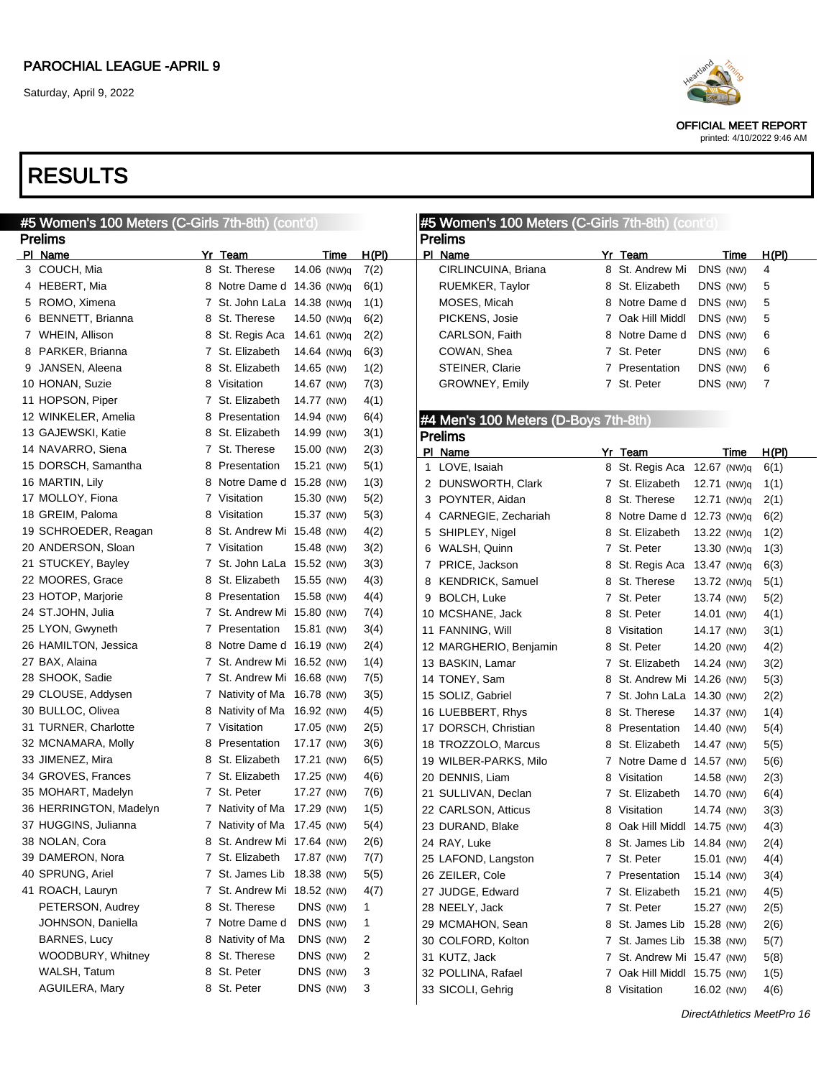# RESULTS

| #5 Women's 100 Meters (C-Girls 7th-8th) (cont'd) |                             |             |              |                | #5 Women's 100 Meters (C-Girls 7th-8th) (cont'd) |   |                             |             |              |  |
|--------------------------------------------------|-----------------------------|-------------|--------------|----------------|--------------------------------------------------|---|-----------------------------|-------------|--------------|--|
| <b>Prelims</b>                                   |                             |             |              |                | <b>Prelims</b>                                   |   |                             |             |              |  |
| PI Name                                          | Yr Team                     | <u>Time</u> | H(PI)        |                | PI Name                                          |   | Yr_Team                     | <b>Time</b> | H(PI)        |  |
| 3 COUCH, Mia                                     | 8 St. Therese               | 14.06 (NW)q | 7(2)         |                | CIRLINCUINA, Briana                              |   | 8 St. Andrew Mi             | DNS (NW)    | 4            |  |
| 4 HEBERT, Mia                                    | 8 Notre Dame d 14.36 (NW)q  |             | 6(1)         |                | RUEMKER, Taylor                                  |   | 8 St. Elizabeth             | DNS (NW)    | 5            |  |
| 5 ROMO, Ximena                                   | 7 St. John LaLa 14.38 (NW)q |             | 1(1)         |                | MOSES, Micah                                     |   | 8 Notre Dame d              | DNS (NW)    | 5            |  |
| 6 BENNETT, Brianna                               | 8 St. Therese               | 14.50 (NW)q | 6(2)         |                | PICKENS, Josie                                   |   | 7 Oak Hill Middl            | DNS (NW)    | 5            |  |
| 7 WHEIN, Allison                                 | 8 St. Regis Aca             | 14.61 (NW)q | 2(2)         |                | CARLSON, Faith                                   |   | 8 Notre Dame d              | DNS (NW)    | 6            |  |
| 8 PARKER, Brianna                                | 7 St. Elizabeth             | 14.64 (NW)q | 6(3)         |                | COWAN, Shea                                      |   | 7 St. Peter                 | DNS (NW)    | 6            |  |
| 9 JANSEN, Aleena                                 | 8 St. Elizabeth             | 14.65 (NW)  | 1(2)         |                | STEINER, Clarie                                  |   | 7 Presentation              | DNS (NW)    | 6            |  |
| 10 HONAN, Suzie                                  | 8 Visitation                | 14.67 (NW)  | 7(3)         |                | GROWNEY, Emily                                   |   | 7 St. Peter                 | DNS (NW)    | 7            |  |
| 11 HOPSON, Piper                                 | 7 St. Elizabeth             | 14.77 (NW)  | 4(1)         |                |                                                  |   |                             |             |              |  |
| 12 WINKELER, Amelia                              | 8 Presentation              | 14.94 (NW)  | 6(4)         |                | #4 Men's 100 Meters (D-Boys 7th-8th)             |   |                             |             |              |  |
| 13 GAJEWSKI, Katie                               | 8 St. Elizabeth             | 14.99 (NW)  | 3(1)         |                | <b>Prelims</b>                                   |   |                             |             |              |  |
| 14 NAVARRO, Siena                                | 7 St. Therese               | 15.00 (NW)  | 2(3)         |                | PI Name                                          |   | Yr Team                     | Time        | <u>H(PI)</u> |  |
| 15 DORSCH, Samantha                              | 8 Presentation              | 15.21 (NW)  | 5(1)         | $\mathbf{1}$   | LOVE, Isaiah                                     |   | 8 St. Regis Aca 12.67 (NW)q |             | 6(1)         |  |
| 16 MARTIN, Lily                                  | 8 Notre Dame d 15.28 (NW)   |             | 1(3)         |                | 2 DUNSWORTH, Clark                               |   | 7 St. Elizabeth             | 12.71 (NW)q | 1(1)         |  |
| 17 MOLLOY, Fiona                                 | 7 Visitation                | 15.30 (NW)  | 5(2)         |                | 3 POYNTER, Aidan                                 |   | 8 St. Therese               | 12.71 (NW)q | 2(1)         |  |
| 18 GREIM, Paloma                                 | 8 Visitation                | 15.37 (NW)  | 5(3)         | 4              | CARNEGIE, Zechariah                              |   | 8 Notre Dame d 12.73 (NW)q  |             | 6(2)         |  |
| 19 SCHROEDER, Reagan                             | 8 St. Andrew Mi 15.48 (NW)  |             | 4(2)         | 5              | SHIPLEY, Nigel                                   |   | 8 St. Elizabeth             | 13.22 (NW)q | 1(2)         |  |
| 20 ANDERSON, Sloan                               | 7 Visitation                | 15.48 (NW)  | 3(2)         | 6              | WALSH, Quinn                                     |   | 7 St. Peter                 | 13.30 (NW)q | 1(3)         |  |
| 21 STUCKEY, Bayley                               | 7 St. John LaLa 15.52 (NW)  |             | 3(3)         | $\overline{7}$ | PRICE, Jackson                                   |   | 8 St. Regis Aca 13.47 (NW)q |             | 6(3)         |  |
| 22 MOORES, Grace                                 | 8 St. Elizabeth             | 15.55 (NW)  | 4(3)         | 8              | <b>KENDRICK, Samuel</b>                          |   | 8 St. Therese               | 13.72 (NW)q | 5(1)         |  |
| 23 HOTOP, Marjorie                               | 8 Presentation              | 15.58 (NW)  | 4(4)         | 9              | <b>BOLCH, Luke</b>                               |   | 7 St. Peter                 | 13.74 (NW)  | 5(2)         |  |
| 24 ST.JOHN, Julia                                | 7 St. Andrew Mi 15.80 (NW)  |             | 7(4)         |                | 10 MCSHANE, Jack                                 |   | 8 St. Peter                 | 14.01 (NW)  | 4(1)         |  |
| 25 LYON, Gwyneth                                 | 7 Presentation              | 15.81 (NW)  | 3(4)         |                | 11 FANNING, Will                                 |   | 8 Visitation                | 14.17 (NW)  | 3(1)         |  |
| 26 HAMILTON, Jessica                             | 8 Notre Dame d 16.19 (NW)   |             | 2(4)         |                | 12 MARGHERIO, Benjamin                           |   | 8 St. Peter                 | 14.20 (NW)  | 4(2)         |  |
| 27 BAX, Alaina                                   | 7 St. Andrew Mi 16.52 (NW)  |             | 1(4)         |                | 13 BASKIN, Lamar                                 |   | 7 St. Elizabeth             | 14.24 (NW)  | 3(2)         |  |
| 28 SHOOK, Sadie                                  | 7 St. Andrew Mi 16.68 (NW)  |             | 7(5)         |                | 14 TONEY, Sam                                    |   | 8 St. Andrew Mi 14.26 (NW)  |             | 5(3)         |  |
| 29 CLOUSE, Addysen                               | 7 Nativity of Ma 16.78 (NW) |             | 3(5)         |                | 15 SOLIZ, Gabriel                                |   | 7 St. John LaLa 14.30 (NW)  |             | 2(2)         |  |
| 30 BULLOC, Olivea                                | 8 Nativity of Ma 16.92 (NW) |             | 4(5)         |                | 16 LUEBBERT, Rhys                                |   | 8 St. Therese               | 14.37 (NW)  | 1(4)         |  |
| 31 TURNER, Charlotte                             | 7 Visitation                | 17.05 (NW)  | 2(5)         |                | 17 DORSCH, Christian                             | 8 | Presentation                | 14.40 (NW)  | 5(4)         |  |
| 32 MCNAMARA, Molly                               | 8 Presentation              | 17.17 (NW)  | 3(6)         |                | 18 TROZZOLO, Marcus                              |   | 8 St. Elizabeth             | 14.47 (NW)  | 5(5)         |  |
| 33 JIMENEZ, Mira                                 | 8 St. Elizabeth             | 17.21 (NW)  | 6(5)         |                | 19 WILBER-PARKS, Milo                            |   | 7 Notre Dame d 14.57 (NW)   |             | 5(6)         |  |
| 34 GROVES, Frances                               | 7 St. Elizabeth             | 17.25 (NW)  | 4(6)         |                | 20 DENNIS, Liam                                  | 8 | Visitation                  | 14.58 (NW)  | 2(3)         |  |
| 35 MOHART, Madelyn                               | 7 St. Peter                 | 17.27 (NW)  | 7(6)         |                | 21 SULLIVAN, Declan                              |   | 7 St. Elizabeth             | 14.70 (NW)  | 6(4)         |  |
| 36 HERRINGTON, Madelyn                           | 7 Nativity of Ma 17.29 (NW) |             | 1(5)         |                | 22 CARLSON, Atticus                              |   | 8 Visitation                | 14.74 (NW)  | 3(3)         |  |
| 37 HUGGINS, Julianna                             | 7 Nativity of Ma 17.45 (NW) |             | 5(4)         |                | 23 DURAND, Blake                                 |   | 8 Oak Hill Middl 14.75 (NW) |             | 4(3)         |  |
| 38 NOLAN, Cora                                   | 8 St. Andrew Mi 17.64 (NW)  |             | 2(6)         |                | 24 RAY, Luke                                     |   | 8 St. James Lib 14.84 (NW)  |             | 2(4)         |  |
| 39 DAMERON, Nora                                 | 7 St. Elizabeth 17.87 (NW)  |             | 7(7)         |                | 25 LAFOND, Langston                              |   | 7 St. Peter                 | 15.01 (NW)  | 4(4)         |  |
| 40 SPRUNG, Ariel                                 | 7 St. James Lib 18.38 (NW)  |             | 5(5)         |                | 26 ZEILER, Cole                                  |   | 7 Presentation              | 15.14 (NW)  | 3(4)         |  |
| 41 ROACH, Lauryn                                 | 7 St. Andrew Mi 18.52 (NW)  |             | 4(7)         |                | 27 JUDGE, Edward                                 |   | 7 St. Elizabeth             | 15.21 (NW)  | 4(5)         |  |
| PETERSON, Audrey                                 | 8 St. Therese               | DNS (NW)    | 1            |                | 28 NEELY, Jack                                   |   | 7 St. Peter                 | 15.27 (NW)  | 2(5)         |  |
| JOHNSON, Daniella                                | 7 Notre Dame d              | DNS (NW)    | $\mathbf{1}$ |                | 29 MCMAHON, Sean                                 |   | 8 St. James Lib 15.28 (NW)  |             | 2(6)         |  |
| <b>BARNES, Lucy</b>                              | 8 Nativity of Ma            | DNS (NW)    | 2            |                | 30 COLFORD, Kolton                               |   | 7 St. James Lib 15.38 (NW)  |             | 5(7)         |  |
| WOODBURY, Whitney                                | 8 St. Therese               | DNS (NW)    | 2            |                | 31 KUTZ, Jack                                    |   | 7 St. Andrew Mi 15.47 (NW)  |             | 5(8)         |  |
| WALSH, Tatum                                     | 8 St. Peter                 | DNS (NW)    | 3            |                | 32 POLLINA, Rafael                               |   | 7 Oak Hill Middl 15.75 (NW) |             | 1(5)         |  |
| AGUILERA, Mary                                   | 8 St. Peter                 | DNS (NW)    | 3            |                | 33 SICOLI, Gehrig                                |   | 8 Visitation                | 16.02 (NW)  | 4(6)         |  |
|                                                  |                             |             |              |                |                                                  |   |                             |             |              |  |



OFFICIAL MEET REPORT printed: 4/10/2022 9:46 AM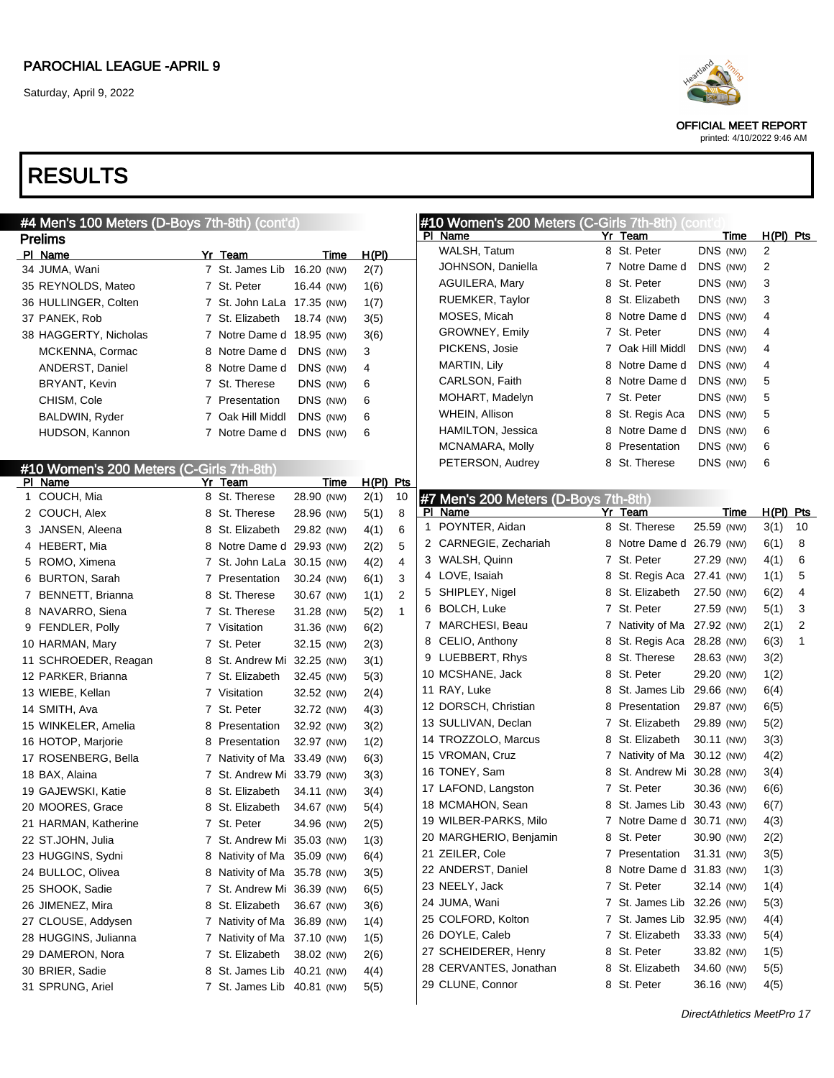OFFICIAL MEET REPORT printed: 4/10/2022 9:46 AM

| #4 Men's 100 Meters (D-Boys 7th-8th) (cont'd) |                             |            |                        | #10 Women's 200 Meters (C-Girls 7th-8th) (conti |                             |             |             |                |
|-----------------------------------------------|-----------------------------|------------|------------------------|-------------------------------------------------|-----------------------------|-------------|-------------|----------------|
| <b>Prelims</b>                                |                             |            |                        | PI Name                                         | Yr Team                     | <u>Time</u> | $H(PI)$ Pts |                |
| PI Name                                       | Yr Team                     | Time       | H(PI)                  | WALSH, Tatum                                    | 8 St. Peter                 | DNS (NW)    | 2           |                |
| 34 JUMA, Wani                                 | 7 St. James Lib 16.20 (NW)  |            | 2(7)                   | JOHNSON, Daniella                               | 7 Notre Dame d              | DNS (NW)    | 2           |                |
| 35 REYNOLDS, Mateo                            | 7 St. Peter                 | 16.44 (NW) | 1(6)                   | AGUILERA, Mary                                  | 8 St. Peter                 | DNS (NW)    | 3           |                |
| 36 HULLINGER, Colten                          | 7 St. John LaLa 17.35 (NW)  |            | 1(7)                   | RUEMKER, Taylor                                 | 8 St. Elizabeth             | DNS (NW)    | 3           |                |
| 37 PANEK, Rob                                 | 7 St. Elizabeth             | 18.74 (NW) | 3(5)                   | MOSES, Micah                                    | 8 Notre Dame d              | DNS (NW)    | 4           |                |
| 38 HAGGERTY, Nicholas                         | 7 Notre Dame d 18.95 (NW)   |            | 3(6)                   | GROWNEY, Emily                                  | 7 St. Peter                 | DNS (NW)    | 4           |                |
| MCKENNA, Cormac                               | 8 Notre Dame d              | DNS (NW)   | 3                      | PICKENS, Josie                                  | 7 Oak Hill Middl            | DNS (NW)    | 4           |                |
| <b>ANDERST, Daniel</b>                        | 8 Notre Dame d              | DNS (NW)   | 4                      | <b>MARTIN, Lily</b>                             | 8 Notre Dame d              | DNS (NW)    | 4           |                |
| BRYANT, Kevin                                 | 7 St. Therese               | DNS (NW)   | 6                      | CARLSON, Faith                                  | 8 Notre Dame d              | DNS (NW)    | 5           |                |
| CHISM, Cole                                   | 7 Presentation              | DNS (NW)   | 6                      | MOHART, Madelyn                                 | 7 St. Peter                 | DNS (NW)    | 5           |                |
| BALDWIN, Ryder                                | 7 Oak Hill Middl            | DNS (NW)   | 6                      | WHEIN, Allison                                  | 8 St. Regis Aca             | DNS (NW)    | 5           |                |
| HUDSON, Kannon                                | 7 Notre Dame d              | DNS (NW)   | 6                      | HAMILTON, Jessica                               | 8 Notre Dame d              | DNS (NW)    | 6           |                |
|                                               |                             |            |                        | MCNAMARA, Molly                                 | 8 Presentation              | DNS (NW)    | 6           |                |
| #10 Women's 200 Meters (C-Girls 7th-8th)      |                             |            |                        | PETERSON, Audrey                                | 8 St. Therese               | DNS (NW)    | 6           |                |
| PI Name                                       | Yr Team                     | Time       | $H(PI)$ Pts            |                                                 |                             |             |             |                |
| 1 COUCH, Mia                                  | 8 St. Therese               | 28.90 (NW) | 2(1)<br>10             | #7 Men's 200 Meters (D-Boys 7th-8th)            |                             |             |             |                |
| 2 COUCH, Alex                                 | 8 St. Therese               | 28.96 (NW) | 8<br>5(1)              | PI Name                                         | Yr Team                     | Time        | $H(PI)$ Pts |                |
| 3 JANSEN, Aleena                              | 8 St. Elizabeth             | 29.82 (NW) | 6<br>4(1)              | 1 POYNTER, Aidan                                | 8 St. Therese               | 25.59 (NW)  | 3(1)        | 10             |
| 4 HEBERT, Mia                                 | 8 Notre Dame d 29.93 (NW)   |            | 5<br>2(2)              | 2 CARNEGIE, Zechariah                           | 8 Notre Dame d 26.79 (NW)   |             | 6(1)        | 8              |
| 5 ROMO, Ximena                                | 7 St. John LaLa 30.15 (NW)  |            | $\overline{4}$<br>4(2) | 3 WALSH, Quinn                                  | 7 St. Peter                 | 27.29 (NW)  | 4(1)        | 6              |
| 6 BURTON, Sarah                               | 7 Presentation              | 30.24 (NW) | 3<br>6(1)              | 4 LOVE, Isaiah                                  | 8 St. Regis Aca 27.41 (NW)  |             | 1(1)        | 5              |
| 7 BENNETT, Brianna                            | 8 St. Therese               | 30.67 (NW) | $\overline{2}$<br>1(1) | 5 SHIPLEY, Nigel                                | 8 St. Elizabeth             | 27.50 (NW)  | 6(2)        | 4              |
| 8 NAVARRO, Siena                              | 7 St. Therese               | 31.28 (NW) | $\mathbf{1}$<br>5(2)   | 6 BOLCH, Luke                                   | 7 St. Peter                 | 27.59 (NW)  | 5(1)        | 3              |
| 9 FENDLER, Polly                              | 7 Visitation                | 31.36 (NW) | 6(2)                   | 7 MARCHESI, Beau                                | 7 Nativity of Ma 27.92 (NW) |             | 2(1)        | $\overline{2}$ |
| 10 HARMAN, Mary                               | 7 St. Peter                 | 32.15 (NW) | 2(3)                   | 8 CELIO, Anthony                                | 8 St. Regis Aca 28.28 (NW)  |             | 6(3)        | 1              |
| 11 SCHROEDER, Reagan                          | 8 St. Andrew Mi 32.25 (NW)  |            | 3(1)                   | 9 LUEBBERT, Rhys                                | 8 St. Therese               | 28.63 (NW)  | 3(2)        |                |
| 12 PARKER, Brianna                            | 7 St. Elizabeth             | 32.45 (NW) | 5(3)                   | 10 MCSHANE, Jack                                | 8 St. Peter                 | 29.20 (NW)  | 1(2)        |                |
| 13 WIEBE, Kellan                              | 7 Visitation                | 32.52 (NW) | 2(4)                   | 11 RAY, Luke                                    | 8 St. James Lib 29.66 (NW)  |             | 6(4)        |                |
| 14 SMITH, Ava                                 | 7 St. Peter                 | 32.72 (NW) | 4(3)                   | 12 DORSCH, Christian                            | 8 Presentation              | 29.87 (NW)  | 6(5)        |                |
| 15 WINKELER, Amelia                           | 8 Presentation              | 32.92 (NW) | 3(2)                   | 13 SULLIVAN, Declan                             | 7 St. Elizabeth             | 29.89 (NW)  | 5(2)        |                |
| 16 HOTOP, Marjorie                            | 8 Presentation              | 32.97 (NW) | 1(2)                   | 14 TROZZOLO, Marcus                             | 8 St. Elizabeth             | 30.11 (NW)  | 3(3)        |                |
| 17 ROSENBERG, Bella                           | 7 Nativity of Ma 33.49 (NW) |            | 6(3)                   | 15 VROMAN, Cruz                                 | 7 Nativity of Ma 30.12 (NW) |             | 4(2)        |                |
| 18 BAX, Alaina                                | 7 St. Andrew Mi 33.79 (NW)  |            | 3(3)                   | 16 TONEY, Sam                                   | 8 St. Andrew Mi 30.28 (NW)  |             | 3(4)        |                |
| 19 GAJEWSKI, Katie                            | 8 St. Elizabeth             | 34.11 (NW) | 3(4)                   | 17 LAFOND, Langston                             | 7 St. Peter                 | 30.36 (NW)  | 6(6)        |                |
| 20 MOORES, Grace                              | 8 St. Elizabeth             | 34.67 (NW) | 5(4)                   | 18 MCMAHON, Sean                                | 8 St. James Lib 30.43 (NW)  |             | 6(7)        |                |
| 21 HARMAN, Katherine                          | 7 St. Peter                 | 34.96 (NW) | 2(5)                   | 19 WILBER-PARKS, Milo                           | 7 Notre Dame d 30.71 (NW)   |             | 4(3)        |                |
| 22 ST.JOHN, Julia                             | 7 St. Andrew Mi 35.03 (NW)  |            | 1(3)                   | 20 MARGHERIO, Benjamin                          | 8 St. Peter                 | 30.90 (NW)  | 2(2)        |                |
| 23 HUGGINS, Sydni                             | 8 Nativity of Ma 35.09 (NW) |            | 6(4)                   | 21 ZEILER, Cole                                 | 7 Presentation              | 31.31 (NW)  | 3(5)        |                |
| 24 BULLOC, Olivea                             | 8 Nativity of Ma 35.78 (NW) |            | 3(5)                   | 22 ANDERST, Daniel                              | 8 Notre Dame d 31.83 (NW)   |             | 1(3)        |                |
| 25 SHOOK, Sadie                               | 7 St. Andrew Mi 36.39 (NW)  |            | 6(5)                   | 23 NEELY, Jack                                  | 7 St. Peter                 | 32.14 (NW)  | 1(4)        |                |
| 26 JIMENEZ, Mira                              | 8 St. Elizabeth             | 36.67 (NW) | 3(6)                   | 24 JUMA, Wani                                   | 7 St. James Lib 32.26 (NW)  |             | 5(3)        |                |
| 27 CLOUSE, Addysen                            | 7 Nativity of Ma 36.89 (NW) |            | 1(4)                   | 25 COLFORD, Kolton                              | 7 St. James Lib 32.95 (NW)  |             | 4(4)        |                |
| 28 HUGGINS, Julianna                          | 7 Nativity of Ma 37.10 (NW) |            | 1(5)                   | 26 DOYLE, Caleb                                 | 7 St. Elizabeth             | 33.33 (NW)  | 5(4)        |                |
| 29 DAMERON, Nora                              | 7 St. Elizabeth             | 38.02 (NW) | 2(6)                   | 27 SCHEIDERER, Henry                            | 8 St. Peter                 | 33.82 (NW)  | 1(5)        |                |
| 30 BRIER, Sadie                               | 8 St. James Lib 40.21 (NW)  |            | 4(4)                   | 28 CERVANTES, Jonathan                          | 8 St. Elizabeth             | 34.60 (NW)  | 5(5)        |                |
| 31 SPRUNG, Ariel                              | 7 St. James Lib 40.81 (NW)  |            | 5(5)                   | 29 CLUNE, Connor                                | 8 St. Peter                 | 36.16 (NW)  | 4(5)        |                |
|                                               |                             |            |                        |                                                 |                             |             |             |                |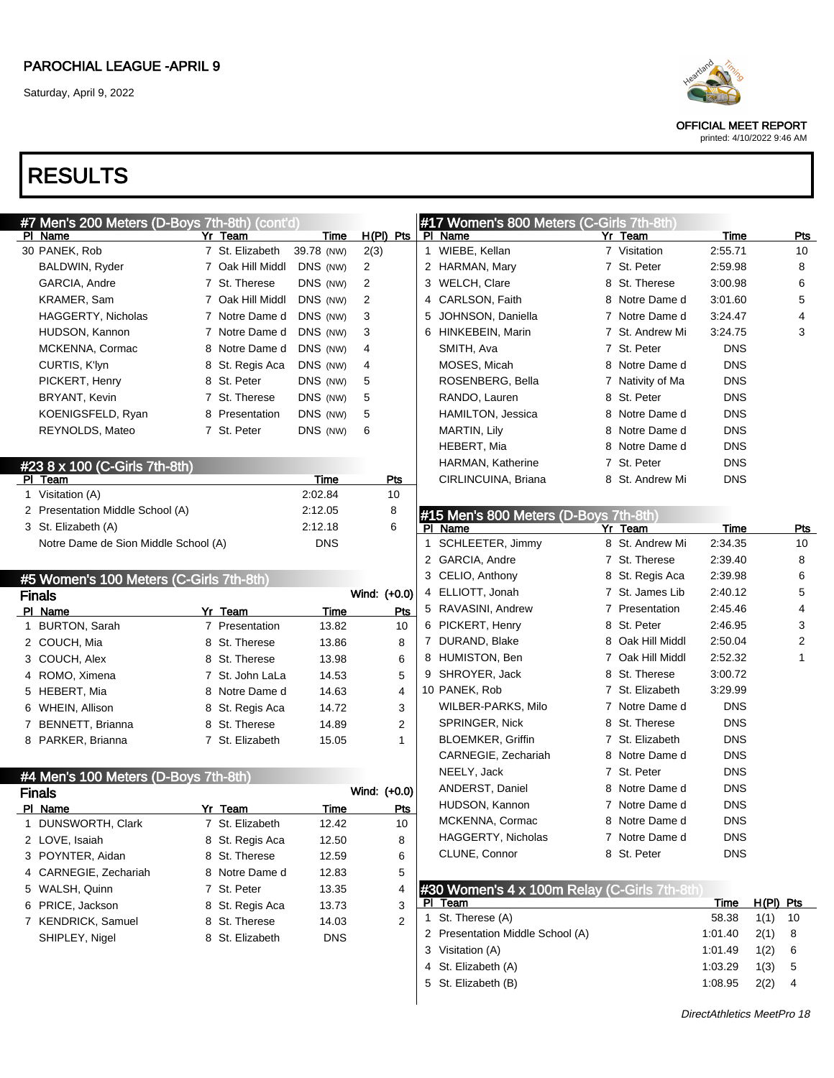OFFICIAL MEET REPORT

printed: 4/10/2022 9:46 AM

# RESULTS

|    | #7 Men's ZUU Meters (D-Boys 7tn-8tn) (cont'd)<br>PI Name |             | Yr Team          |            | <b>Time</b> |              | <u>H(PI) Pts</u> |
|----|----------------------------------------------------------|-------------|------------------|------------|-------------|--------------|------------------|
|    | 30 PANEK, Rob                                            |             | 7 St. Elizabeth  | 39.78 (NW) |             | 2(3)         |                  |
|    | BALDWIN, Ryder                                           |             | 7 Oak Hill Middl | DNS (NW)   |             | 2            |                  |
|    | GARCIA, Andre                                            |             | 7 St. Therese    | DNS (NW)   |             | 2            |                  |
|    | KRAMER, Sam                                              |             | 7 Oak Hill Middl | DNS (NW)   |             | 2            |                  |
|    | <b>HAGGERTY, Nicholas</b>                                |             | 7 Notre Dame d   | DNS (NW)   |             | 3            |                  |
|    | HUDSON, Kannon                                           |             | 7 Notre Dame d   | DNS (NW)   |             | 3            |                  |
|    | MCKENNA, Cormac                                          |             | 8 Notre Dame d   | DNS (NW)   |             | 4            |                  |
|    | CURTIS, K'lyn                                            |             | 8 St. Regis Aca  | DNS (NW)   |             | 4            |                  |
|    | PICKERT, Henry                                           |             | 8 St. Peter      | DNS (NW)   |             | 5            |                  |
|    | <b>BRYANT, Kevin</b>                                     |             | 7 St. Therese    | DNS (NW)   |             | 5            |                  |
|    | KOENIGSFELD, Ryan                                        |             | 8 Presentation   | DNS (NW)   |             | 5            |                  |
|    | REYNOLDS, Mateo                                          |             | 7 St. Peter      | DNS (NW)   |             | 6            |                  |
|    |                                                          |             |                  |            |             |              |                  |
|    | #23 8 x 100 (C-Girls 7th-8th)                            |             |                  |            |             |              |                  |
| ΡI | <b>Team</b>                                              |             |                  |            | Time        |              | Pts              |
|    | 1 Visitation (A)                                         |             |                  | 2:02.84    |             |              | 10               |
|    | 2 Presentation Middle School (A)                         |             |                  | 2:12.05    |             |              | 8                |
|    | 3 St. Elizabeth (A)                                      |             |                  | 2:12.18    |             |              | 6                |
|    | Notre Dame de Sion Middle School (A)                     |             |                  |            | DNS         |              |                  |
|    |                                                          |             |                  |            |             |              |                  |
|    | #5 Women's 100 Meters (C-Girls 7th-8th)                  |             |                  |            |             |              |                  |
|    |                                                          |             |                  |            |             |              |                  |
|    | <b>Finals</b>                                            |             |                  |            |             | Wind: (+0.0) |                  |
|    | PI Name                                                  |             | Yr Team          |            | Time        |              | Pts              |
|    | 1 BURTON, Sarah                                          |             | 7 Presentation   |            | 13.82       |              | 10               |
|    | 2 COUCH, Mia                                             |             | 8 St. Therese    |            | 13.86       |              | 8                |
|    | 3 COUCH, Alex                                            |             | 8 St. Therese    |            | 13.98       |              | 6                |
|    | 4 ROMO, Ximena                                           |             | 7 St. John LaLa  |            | 14.53       |              | 5                |
|    | 5 HEBERT, Mia                                            |             | 8 Notre Dame d   |            | 14.63       |              | 4                |
|    | 6 WHEIN, Allison                                         |             | 8 St. Regis Aca  |            | 14.72       |              | 3                |
|    | 7 BENNETT, Brianna                                       |             | 8 St. Therese    |            | 14.89       |              | 2                |
|    | 8 PARKER, Brianna                                        |             | 7 St. Elizabeth  |            | 15.05       |              | 1                |
|    |                                                          |             |                  |            |             |              |                  |
|    | #4 Men's 100 Meters (D-Boys 7th-8th)                     |             |                  |            |             |              |                  |
|    | <b>Finals</b>                                            |             |                  |            |             | Wind: (+0.0) |                  |
|    | PI Name                                                  |             | Yr Team          |            | Time        |              | Pts              |
| 1  | DUNSWORTH, Clark                                         | $7^{\circ}$ | St. Elizabeth    |            | 12.42       |              | 10               |
| 2  | LOVE, Isaiah                                             |             | 8 St. Regis Aca  |            | 12.50       |              | 8                |
| 3  | POYNTER, Aidan                                           | 8.          | St. Therese      |            | 12.59       |              | 6                |
| 4  | CARNEGIE, Zechariah                                      | 8.          | Notre Dame d     |            | 12.83       |              | 5                |
| 5  | WALSH, Quinn                                             | 7           | St. Peter        |            | 13.35       |              | 4                |
| 6  | PRICE, Jackson                                           | 8           | St. Regis Aca    |            | 13.73       |              | 3                |
|    | 7 KENDRICK, Samuel<br>SHIPLEY, Nigel                     | 8           | St. Therese      |            | 14.03       |              | 2                |

 $\mathbf{F}$  Mess 7th-8th) (contains  $\mathbf{F}$ 

#### #17 Women's 800 Meters (C-Girls 7th-8th)

| PI. | Name                | Yr Team          | Time       | Pts |
|-----|---------------------|------------------|------------|-----|
|     | 1 WIEBE, Kellan     | 7 Visitation     | 2:55.71    | 10  |
|     | 2 HARMAN, Mary      | 7 St. Peter      | 2:59.98    | 8   |
|     | 3 WELCH, Clare      | 8 St. Therese    | 3:00.98    | 6   |
|     | 4 CARLSON, Faith    | 8 Notre Dame d   | 3:01.60    | 5   |
|     | 5 JOHNSON, Daniella | 7 Notre Dame d   | 3:24.47    | 4   |
|     | 6 HINKEBEIN, Marin  | 7 St. Andrew Mi  | 3:24.75    | 3   |
|     | SMITH, Ava          | 7 St. Peter      | <b>DNS</b> |     |
|     | MOSES, Micah        | 8 Notre Dame d   | <b>DNS</b> |     |
|     | ROSENBERG, Bella    | 7 Nativity of Ma | <b>DNS</b> |     |
|     | RANDO, Lauren       | 8 St. Peter      | <b>DNS</b> |     |
|     | HAMILTON, Jessica   | 8 Notre Dame d   | <b>DNS</b> |     |
|     | MARTIN, Lily        | 8 Notre Dame d   | <b>DNS</b> |     |
|     | HEBERT, Mia         | 8 Notre Dame d   | <b>DNS</b> |     |
|     | HARMAN, Katherine   | 7 St. Peter      | <b>DNS</b> |     |
|     | CIRLINCUINA, Briana | 8 St. Andrew Mi  | <b>DNS</b> |     |

|    | #15 Men's 800 Meters (D-Boys 7th-8th) |                |                  |            |     |
|----|---------------------------------------|----------------|------------------|------------|-----|
| PI | Name                                  | Yr             | Team             | Time       | Pts |
| 1  | SCHLEETER, Jimmy                      |                | 8 St. Andrew Mi  | 2:34.35    | 10  |
| 2  | GARCIA, Andre                         | $\mathbf{7}$   | St. Therese      | 2:39.40    | 8   |
| 3  | CELIO, Anthony                        |                | 8 St. Regis Aca  | 2:39.98    | 6   |
| 4  | ELLIOTT, Jonah                        | $7^{\circ}$    | St. James Lib    | 2:40.12    | 5   |
| 5  | RAVASINI, Andrew                      |                | 7 Presentation   | 2:45.46    | 4   |
| 6  | PICKERT, Henry                        |                | 8 St. Peter      | 2:46.95    | 3   |
| 7  | DURAND, Blake                         | 8              | Oak Hill Middl   | 2:50.04    | 2   |
| 8  | HUMISTON, Ben                         |                | 7 Oak Hill Middl | 2:52.32    | 1   |
| 9  | SHROYER, Jack                         |                | 8 St. Therese    | 3:00.72    |     |
|    | 10 PANEK, Rob                         |                | 7 St. Elizabeth  | 3:29.99    |     |
|    | WILBER-PARKS, Milo                    | 7              | Notre Dame d     | <b>DNS</b> |     |
|    | SPRINGER, Nick                        |                | 8 St. Therese    | <b>DNS</b> |     |
|    | <b>BLOEMKER, Griffin</b>              |                | 7 St. Elizabeth  | <b>DNS</b> |     |
|    | CARNEGIE, Zechariah                   |                | 8 Notre Dame d   | <b>DNS</b> |     |
|    | NEELY, Jack                           | $7^{\circ}$    | St. Peter        | <b>DNS</b> |     |
|    | ANDERST, Daniel                       |                | 8 Notre Dame d   | <b>DNS</b> |     |
|    | HUDSON, Kannon                        | $7^{\circ}$    | Notre Dame d     | <b>DNS</b> |     |
|    | MCKENNA, Cormac                       | 8              | Notre Dame d     | <b>DNS</b> |     |
|    | HAGGERTY, Nicholas                    | $\overline{7}$ | Notre Dame d     | <b>DNS</b> |     |
|    | CLUNE, Connor                         |                | 8 St. Peter      | <b>DNS</b> |     |

#### #30 Women's 4 x 100m Relay (C-Girls 7th-8th)

| Team                             | Time    | $H(PI)$ Pts |     |  |
|----------------------------------|---------|-------------|-----|--|
| 1 St. Therese (A)                | 58.38   | 1(1)        | -10 |  |
| 2 Presentation Middle School (A) | 1:01.40 | 2(1)        | -8  |  |
| 3 Visitation (A)                 | 1:01.49 | 1(2)        | -6  |  |
| 4 St. Elizabeth (A)              | 1:03.29 | 1(3)        | -5  |  |
| 5 St. Elizabeth (B)              | 1:08.95 | 2(2)        | 4   |  |
|                                  |         |             |     |  |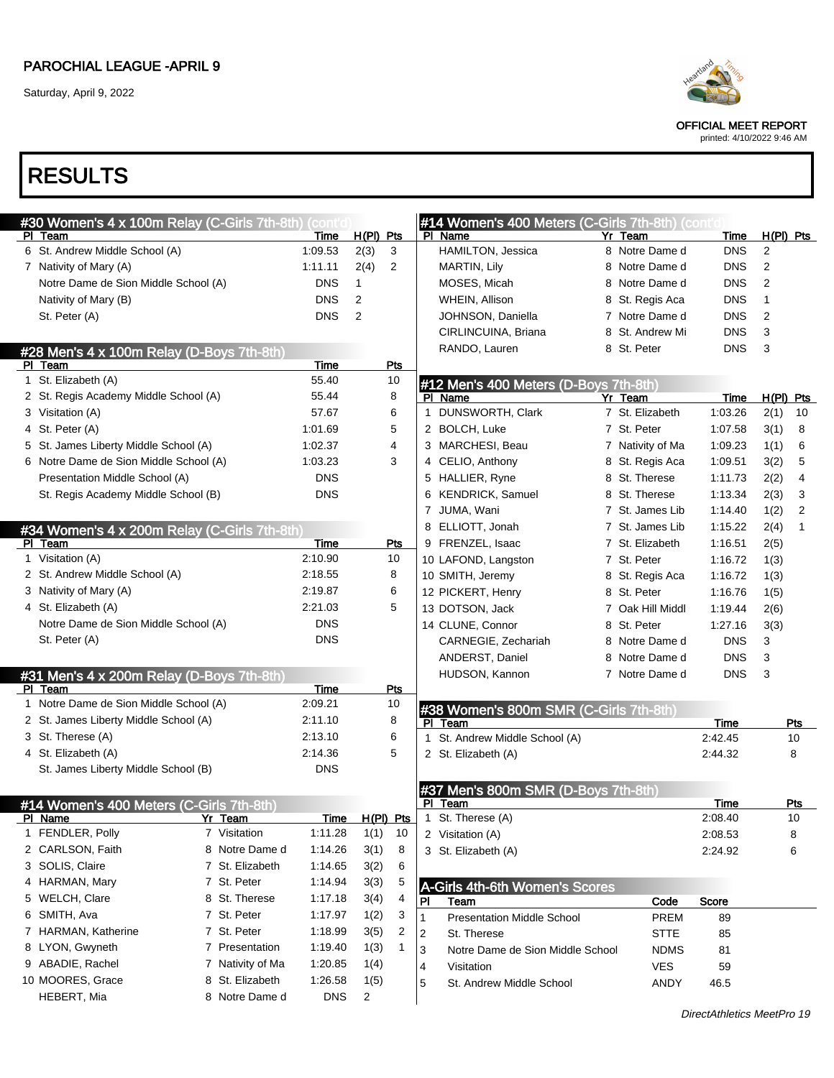Saturday, April 9, 2022



OFFICIAL MEET REPORT

printed: 4/10/2022 9:46 AM

| #30 Women's 4 x 100m Relay (C-Girls 7th-8th) (contic |                  |             |                |           |              | #14 Women's 400 Meters (C-Girls 7th-8th) (conti |   |                  |                            |                |                |
|------------------------------------------------------|------------------|-------------|----------------|-----------|--------------|-------------------------------------------------|---|------------------|----------------------------|----------------|----------------|
| PI Team                                              |                  | Time        | H(PI) Pts      |           |              | PI Name                                         |   | Yr Team          | Time                       | $H(PI)$ Pts    |                |
| 6 St. Andrew Middle School (A)                       |                  | 1:09.53     | 2(3)           | 3         |              | HAMILTON, Jessica                               |   | 8 Notre Dame d   | <b>DNS</b>                 | 2              |                |
| 7 Nativity of Mary (A)                               |                  | 1:11.11     | 2(4)           | 2         |              | MARTIN, Lily                                    |   | 8 Notre Dame d   | <b>DNS</b>                 | $\overline{2}$ |                |
| Notre Dame de Sion Middle School (A)                 |                  | <b>DNS</b>  | $\mathbf{1}$   |           |              | MOSES, Micah                                    |   | 8 Notre Dame d   | <b>DNS</b>                 | 2              |                |
| Nativity of Mary (B)                                 |                  | <b>DNS</b>  | 2              |           |              | WHEIN, Allison                                  |   | 8 St. Regis Aca  | <b>DNS</b>                 | $\mathbf{1}$   |                |
| St. Peter (A)                                        |                  | <b>DNS</b>  | $\overline{2}$ |           |              | JOHNSON, Daniella                               |   | 7 Notre Dame d   | <b>DNS</b>                 | $\overline{2}$ |                |
|                                                      |                  |             |                |           |              | CIRLINCUINA, Briana                             |   | 8 St. Andrew Mi  | <b>DNS</b>                 | 3              |                |
| #28 Men's 4 x 100m Relay (D-Boys 7th-8th)            |                  |             |                |           |              | RANDO, Lauren                                   |   | 8 St. Peter      | <b>DNS</b>                 | 3              |                |
| PI Team                                              |                  | <b>Time</b> |                | Pts       |              |                                                 |   |                  |                            |                |                |
| 1 St. Elizabeth (A)                                  |                  | 55.40       |                | 10        |              | #12 Men's 400 Meters (D-Boys 7th-8th)           |   |                  |                            |                |                |
| 2 St. Regis Academy Middle School (A)                |                  | 55.44       |                | 8         |              | PI Name                                         |   | Yr Team          | <u>Time</u>                | $H(PI)$ Pts    |                |
| 3 Visitation (A)                                     |                  | 57.67       |                | 6         | $\mathbf 1$  | DUNSWORTH, Clark                                |   | 7 St. Elizabeth  | 1:03.26                    | 2(1)           | 10             |
| 4 St. Peter (A)                                      |                  | 1:01.69     |                | 5         |              | 2 BOLCH, Luke                                   |   | 7 St. Peter      | 1:07.58                    | 3(1)           | 8              |
| 5 St. James Liberty Middle School (A)                |                  | 1:02.37     |                | 4         |              | 3 MARCHESI, Beau                                |   | 7 Nativity of Ma | 1:09.23                    | 1(1)           | 6              |
| 6 Notre Dame de Sion Middle School (A)               |                  | 1:03.23     |                | 3         |              | 4 CELIO, Anthony                                |   | 8 St. Regis Aca  | 1:09.51                    | 3(2)           | 5              |
| Presentation Middle School (A)                       |                  | <b>DNS</b>  |                |           |              | 5 HALLIER, Ryne                                 |   | 8 St. Therese    | 1:11.73                    | 2(2)           | 4              |
| St. Regis Academy Middle School (B)                  |                  | <b>DNS</b>  |                |           |              | 6 KENDRICK, Samuel                              |   | 8 St. Therese    | 1:13.34                    | 2(3)           | 3              |
|                                                      |                  |             |                |           |              | 7 JUMA, Wani                                    |   | 7 St. James Lib  | 1:14.40                    | 1(2)           | $\overline{2}$ |
| #34 Women's 4 x 200m Relay (C-Girls 7th-8th)         |                  |             |                |           |              | 8 ELLIOTT, Jonah                                |   | 7 St. James Lib  | 1:15.22                    | 2(4)           | $\mathbf{1}$   |
| PI Team                                              |                  | Time        |                | Pts       |              | 9 FRENZEL, Isaac                                |   | 7 St. Elizabeth  | 1:16.51                    | 2(5)           |                |
| 1 Visitation (A)                                     |                  | 2:10.90     |                | 10        |              | 10 LAFOND, Langston                             |   | 7 St. Peter      | 1:16.72                    | 1(3)           |                |
| 2 St. Andrew Middle School (A)                       |                  | 2:18.55     |                | 8         |              | 10 SMITH, Jeremy                                |   | 8 St. Regis Aca  | 1:16.72                    | 1(3)           |                |
| 3 Nativity of Mary (A)                               |                  | 2:19.87     |                | 6         |              | 12 PICKERT, Henry                               |   | 8 St. Peter      | 1:16.76                    | 1(5)           |                |
| 4 St. Elizabeth (A)                                  |                  | 2:21.03     |                | 5         |              | 13 DOTSON, Jack                                 |   | 7 Oak Hill Middl | 1:19.44                    | 2(6)           |                |
| Notre Dame de Sion Middle School (A)                 |                  | <b>DNS</b>  |                |           |              | 14 CLUNE, Connor                                | 8 | St. Peter        | 1:27.16                    | 3(3)           |                |
| St. Peter (A)                                        |                  | <b>DNS</b>  |                |           |              | CARNEGIE, Zechariah                             |   | 8 Notre Dame d   | <b>DNS</b>                 | 3              |                |
|                                                      |                  |             |                |           |              | ANDERST, Daniel                                 |   | 8 Notre Dame d   | <b>DNS</b>                 | 3              |                |
| #31 Men's 4 x 200m Relay (D-Boys 7th-8th)            |                  |             |                |           |              | HUDSON, Kannon                                  |   | 7 Notre Dame d   | <b>DNS</b>                 | 3              |                |
| PI Team                                              |                  | Time        |                | Pts       |              |                                                 |   |                  |                            |                |                |
| 1 Notre Dame de Sion Middle School (A)               |                  | 2:09.21     |                | 10        |              | #38 Women's 800m SMR (C-Girls 7th-8th)          |   |                  |                            |                |                |
| 2 St. James Liberty Middle School (A)                |                  | 2:11.10     |                | 8         |              | PI Team                                         |   |                  | Time                       |                | Pts            |
| 3 St. Therese (A)                                    |                  | 2:13.10     |                | 6         | $\mathbf{1}$ | St. Andrew Middle School (A)                    |   |                  | 2:42.45                    |                | 10             |
| 4 St. Elizabeth (A)                                  |                  | 2:14.36     |                | 5         |              | 2 St. Elizabeth (A)                             |   |                  | 2:44.32                    |                | 8              |
| St. James Liberty Middle School (B)                  |                  | <b>DNS</b>  |                |           |              |                                                 |   |                  |                            |                |                |
|                                                      |                  |             |                |           |              | #37 Men's 800m SMR (D-Boys 7th-8th)             |   |                  |                            |                |                |
| #14 Women's 400 Meters (C-Girls 7th-8th)             |                  |             |                |           |              | PI Team                                         |   |                  | Time                       |                | Pts            |
| PI Name                                              | Yr Team          | <b>Time</b> |                | H(PI) Pts |              | 1 St. Therese (A)                               |   |                  | 2:08.40                    |                | 10             |
| 1 FENDLER, Polly                                     | 7 Visitation     | 1:11.28     |                | $1(1)$ 10 |              | 2 Visitation (A)                                |   |                  | 2:08.53                    |                | 8              |
| 2 CARLSON, Faith                                     | 8 Notre Dame d   | 1:14.26     | 3(1)           | 8         |              | 3 St. Elizabeth (A)                             |   |                  | 2:24.92                    |                | 6              |
| 3 SOLIS, Claire                                      | 7 St. Elizabeth  | 1:14.65     | 3(2)           | 6         |              |                                                 |   |                  |                            |                |                |
| 4 HARMAN, Mary                                       | 7 St. Peter      | 1:14.94     | 3(3)           | 5         |              | A-Girls 4th-6th Women's Scores                  |   |                  |                            |                |                |
| 5 WELCH, Clare                                       | 8 St. Therese    | 1:17.18     | 3(4)           | 4         | <b>PI</b>    | Team                                            |   | Code             | Score                      |                |                |
| 6 SMITH, Ava                                         | 7 St. Peter      | 1:17.97     | 1(2)           | 3         | 1            | <b>Presentation Middle School</b>               |   | PREM             | 89                         |                |                |
| 7 HARMAN, Katherine                                  | 7 St. Peter      | 1:18.99     | 3(5)           | 2         | 2            | St. Therese                                     |   | <b>STTE</b>      | 85                         |                |                |
| 8 LYON, Gwyneth                                      | 7 Presentation   | 1:19.40     | 1(3)           | 1         | 3            | Notre Dame de Sion Middle School                |   | <b>NDMS</b>      | 81                         |                |                |
| 9 ABADIE, Rachel                                     | 7 Nativity of Ma | 1:20.85     | 1(4)           |           | 4            | Visitation                                      |   | <b>VES</b>       | 59                         |                |                |
| 10 MOORES, Grace                                     | 8 St. Elizabeth  | 1:26.58     | 1(5)           |           | 5            | St. Andrew Middle School                        |   | <b>ANDY</b>      | 46.5                       |                |                |
| HEBERT, Mia                                          | 8 Notre Dame d   | <b>DNS</b>  | $\overline{2}$ |           |              |                                                 |   |                  |                            |                |                |
|                                                      |                  |             |                |           |              |                                                 |   |                  | DirectAthletics MeetPro 19 |                |                |